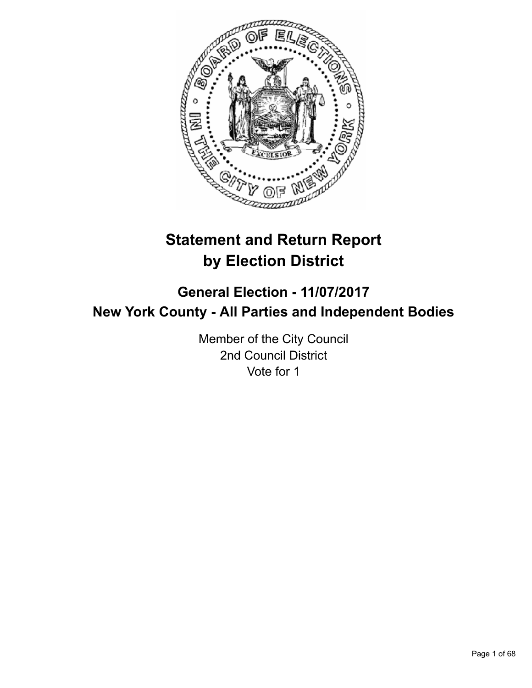

# **Statement and Return Report by Election District**

## **General Election - 11/07/2017 New York County - All Parties and Independent Bodies**

Member of the City Council 2nd Council District Vote for 1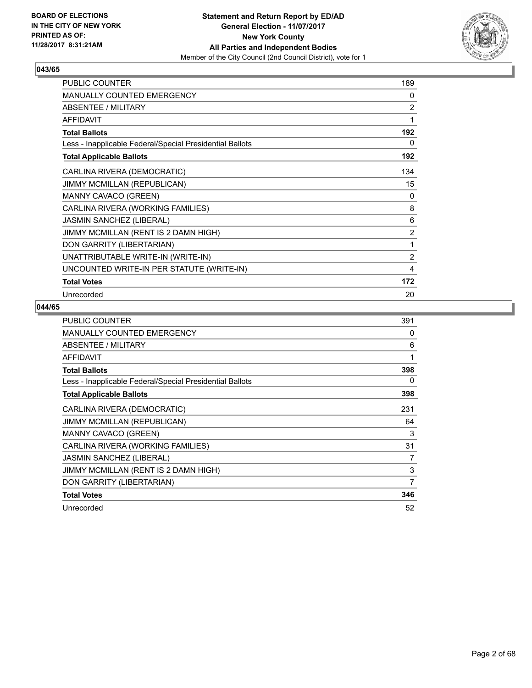

| PUBLIC COUNTER                                           | 189            |
|----------------------------------------------------------|----------------|
| MANUALLY COUNTED EMERGENCY                               | 0              |
| <b>ABSENTEE / MILITARY</b>                               | $\overline{2}$ |
| <b>AFFIDAVIT</b>                                         | 1              |
| <b>Total Ballots</b>                                     | 192            |
| Less - Inapplicable Federal/Special Presidential Ballots | 0              |
| <b>Total Applicable Ballots</b>                          | 192            |
| CARLINA RIVERA (DEMOCRATIC)                              | 134            |
| JIMMY MCMILLAN (REPUBLICAN)                              | 15             |
| MANNY CAVACO (GREEN)                                     | 0              |
| CARLINA RIVERA (WORKING FAMILIES)                        | 8              |
| JASMIN SANCHEZ (LIBERAL)                                 | 6              |
| JIMMY MCMILLAN (RENT IS 2 DAMN HIGH)                     | $\overline{2}$ |
| DON GARRITY (LIBERTARIAN)                                | 1              |
| UNATTRIBUTABLE WRITE-IN (WRITE-IN)                       | $\overline{2}$ |
| UNCOUNTED WRITE-IN PER STATUTE (WRITE-IN)                | 4              |
| <b>Total Votes</b>                                       | 172            |
| Unrecorded                                               | 20             |

| <b>PUBLIC COUNTER</b>                                    | 391 |
|----------------------------------------------------------|-----|
| <b>MANUALLY COUNTED EMERGENCY</b>                        | 0   |
| ABSENTEE / MILITARY                                      | 6   |
| <b>AFFIDAVIT</b>                                         | 1   |
| <b>Total Ballots</b>                                     | 398 |
| Less - Inapplicable Federal/Special Presidential Ballots | 0   |
| <b>Total Applicable Ballots</b>                          | 398 |
| CARLINA RIVERA (DEMOCRATIC)                              | 231 |
| <b>JIMMY MCMILLAN (REPUBLICAN)</b>                       | 64  |
| <b>MANNY CAVACO (GREEN)</b>                              | 3   |
| CARLINA RIVERA (WORKING FAMILIES)                        | 31  |
| JASMIN SANCHEZ (LIBERAL)                                 | 7   |
| JIMMY MCMILLAN (RENT IS 2 DAMN HIGH)                     | 3   |
| DON GARRITY (LIBERTARIAN)                                | 7   |
| <b>Total Votes</b>                                       | 346 |
| Unrecorded                                               | 52  |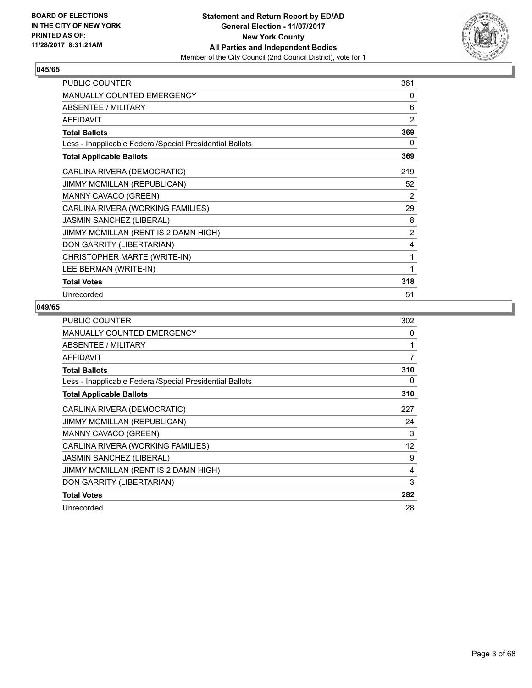

| <b>PUBLIC COUNTER</b>                                    | 361            |
|----------------------------------------------------------|----------------|
| MANUALLY COUNTED EMERGENCY                               | 0              |
| <b>ABSENTEE / MILITARY</b>                               | 6              |
| <b>AFFIDAVIT</b>                                         | $\overline{2}$ |
| <b>Total Ballots</b>                                     | 369            |
| Less - Inapplicable Federal/Special Presidential Ballots | 0              |
| <b>Total Applicable Ballots</b>                          | 369            |
| CARLINA RIVERA (DEMOCRATIC)                              | 219            |
| JIMMY MCMILLAN (REPUBLICAN)                              | 52             |
| MANNY CAVACO (GREEN)                                     | 2              |
| CARLINA RIVERA (WORKING FAMILIES)                        | 29             |
| JASMIN SANCHEZ (LIBERAL)                                 | 8              |
| JIMMY MCMILLAN (RENT IS 2 DAMN HIGH)                     | $\overline{2}$ |
| DON GARRITY (LIBERTARIAN)                                | 4              |
| CHRISTOPHER MARTE (WRITE-IN)                             | 1              |
| LEE BERMAN (WRITE-IN)                                    | 1              |
| <b>Total Votes</b>                                       | 318            |
| Unrecorded                                               | 51             |

| <b>PUBLIC COUNTER</b>                                    | 302 |
|----------------------------------------------------------|-----|
| <b>MANUALLY COUNTED EMERGENCY</b>                        | 0   |
| ABSENTEE / MILITARY                                      |     |
| <b>AFFIDAVIT</b>                                         | 7   |
| <b>Total Ballots</b>                                     | 310 |
| Less - Inapplicable Federal/Special Presidential Ballots | 0   |
| <b>Total Applicable Ballots</b>                          | 310 |
| CARLINA RIVERA (DEMOCRATIC)                              | 227 |
| JIMMY MCMILLAN (REPUBLICAN)                              | 24  |
| <b>MANNY CAVACO (GREEN)</b>                              | 3   |
| CARLINA RIVERA (WORKING FAMILIES)                        | 12  |
| JASMIN SANCHEZ (LIBERAL)                                 | 9   |
| JIMMY MCMILLAN (RENT IS 2 DAMN HIGH)                     | 4   |
| DON GARRITY (LIBERTARIAN)                                | 3   |
| <b>Total Votes</b>                                       | 282 |
| Unrecorded                                               | 28  |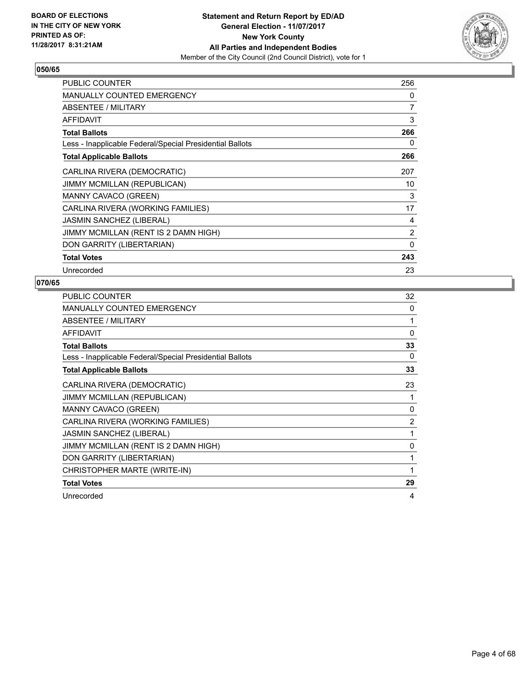

| <b>PUBLIC COUNTER</b>                                    | 256      |
|----------------------------------------------------------|----------|
| <b>MANUALLY COUNTED EMERGENCY</b>                        | 0        |
| ABSENTEE / MILITARY                                      | 7        |
| <b>AFFIDAVIT</b>                                         | 3        |
| <b>Total Ballots</b>                                     | 266      |
| Less - Inapplicable Federal/Special Presidential Ballots | 0        |
| <b>Total Applicable Ballots</b>                          | 266      |
| CARLINA RIVERA (DEMOCRATIC)                              | 207      |
| JIMMY MCMILLAN (REPUBLICAN)                              | 10       |
| MANNY CAVACO (GREEN)                                     | 3        |
| CARLINA RIVERA (WORKING FAMILIES)                        | 17       |
| <b>JASMIN SANCHEZ (LIBERAL)</b>                          | 4        |
| JIMMY MCMILLAN (RENT IS 2 DAMN HIGH)                     | 2        |
| DON GARRITY (LIBERTARIAN)                                | $\Omega$ |
| <b>Total Votes</b>                                       | 243      |
| Unrecorded                                               | 23       |

| <b>PUBLIC COUNTER</b>                                    | 32       |
|----------------------------------------------------------|----------|
| <b>MANUALLY COUNTED EMERGENCY</b>                        | $\Omega$ |
| ABSENTEE / MILITARY                                      | 1        |
| <b>AFFIDAVIT</b>                                         | 0        |
| <b>Total Ballots</b>                                     | 33       |
| Less - Inapplicable Federal/Special Presidential Ballots | 0        |
| <b>Total Applicable Ballots</b>                          | 33       |
| CARLINA RIVERA (DEMOCRATIC)                              | 23       |
| <b>JIMMY MCMILLAN (REPUBLICAN)</b>                       |          |
| MANNY CAVACO (GREEN)                                     | $\Omega$ |
| CARLINA RIVERA (WORKING FAMILIES)                        | 2        |
| <b>JASMIN SANCHEZ (LIBERAL)</b>                          | 1        |
| JIMMY MCMILLAN (RENT IS 2 DAMN HIGH)                     | 0        |
| DON GARRITY (LIBERTARIAN)                                |          |
| CHRISTOPHER MARTE (WRITE-IN)                             | 1        |
| <b>Total Votes</b>                                       | 29       |
| Unrecorded                                               | 4        |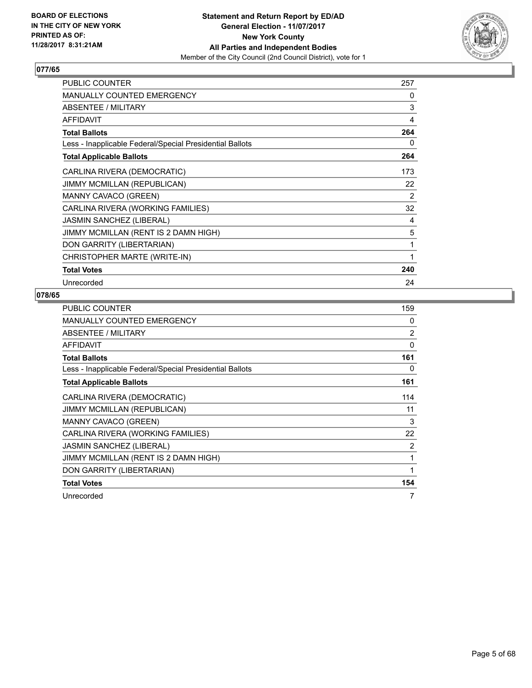

| <b>PUBLIC COUNTER</b>                                    | 257 |
|----------------------------------------------------------|-----|
| MANUALLY COUNTED EMERGENCY                               | 0   |
| <b>ABSENTEE / MILITARY</b>                               | 3   |
| <b>AFFIDAVIT</b>                                         | 4   |
| <b>Total Ballots</b>                                     | 264 |
| Less - Inapplicable Federal/Special Presidential Ballots | 0   |
| <b>Total Applicable Ballots</b>                          | 264 |
| CARLINA RIVERA (DEMOCRATIC)                              | 173 |
| JIMMY MCMILLAN (REPUBLICAN)                              | 22  |
| <b>MANNY CAVACO (GREEN)</b>                              | 2   |
| CARLINA RIVERA (WORKING FAMILIES)                        | 32  |
| JASMIN SANCHEZ (LIBERAL)                                 | 4   |
| JIMMY MCMILLAN (RENT IS 2 DAMN HIGH)                     | 5   |
| DON GARRITY (LIBERTARIAN)                                | 1   |
| CHRISTOPHER MARTE (WRITE-IN)                             | 1   |
| <b>Total Votes</b>                                       | 240 |
| Unrecorded                                               | 24  |

| <b>PUBLIC COUNTER</b>                                    | 159            |
|----------------------------------------------------------|----------------|
| <b>MANUALLY COUNTED EMERGENCY</b>                        | 0              |
| ABSENTEE / MILITARY                                      | $\overline{2}$ |
| <b>AFFIDAVIT</b>                                         | 0              |
| <b>Total Ballots</b>                                     | 161            |
| Less - Inapplicable Federal/Special Presidential Ballots | 0              |
| <b>Total Applicable Ballots</b>                          | 161            |
| CARLINA RIVERA (DEMOCRATIC)                              | 114            |
| <b>JIMMY MCMILLAN (REPUBLICAN)</b>                       | 11             |
| <b>MANNY CAVACO (GREEN)</b>                              | 3              |
| CARLINA RIVERA (WORKING FAMILIES)                        | 22             |
| <b>JASMIN SANCHEZ (LIBERAL)</b>                          | 2              |
| JIMMY MCMILLAN (RENT IS 2 DAMN HIGH)                     | 1              |
| DON GARRITY (LIBERTARIAN)                                | 1              |
| <b>Total Votes</b>                                       | 154            |
| Unrecorded                                               | 7              |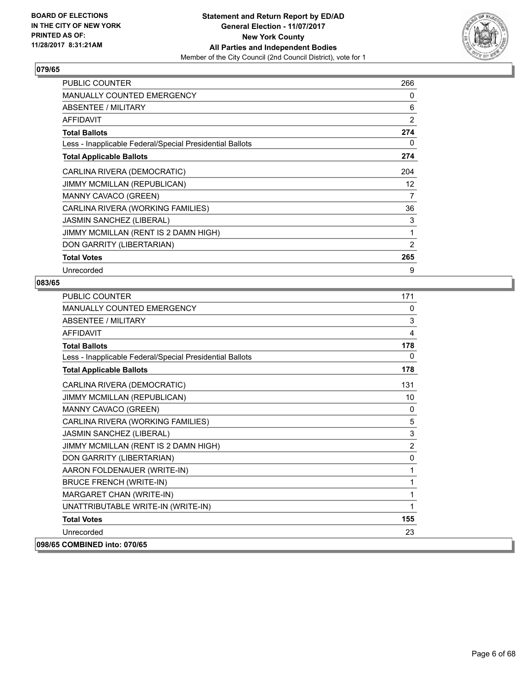

| PUBLIC COUNTER                                           | 266            |
|----------------------------------------------------------|----------------|
| <b>MANUALLY COUNTED EMERGENCY</b>                        | 0              |
| ABSENTEE / MILITARY                                      | 6              |
| <b>AFFIDAVIT</b>                                         | $\overline{2}$ |
| <b>Total Ballots</b>                                     | 274            |
| Less - Inapplicable Federal/Special Presidential Ballots | 0              |
| <b>Total Applicable Ballots</b>                          | 274            |
| CARLINA RIVERA (DEMOCRATIC)                              | 204            |
| <b>JIMMY MCMILLAN (REPUBLICAN)</b>                       | 12             |
| MANNY CAVACO (GREEN)                                     | 7              |
| CARLINA RIVERA (WORKING FAMILIES)                        | 36             |
| <b>JASMIN SANCHEZ (LIBERAL)</b>                          | 3              |
| JIMMY MCMILLAN (RENT IS 2 DAMN HIGH)                     | 1              |
| DON GARRITY (LIBERTARIAN)                                | 2              |
| <b>Total Votes</b>                                       | 265            |
| Unrecorded                                               | 9              |

| <b>PUBLIC COUNTER</b>                                    | 171            |
|----------------------------------------------------------|----------------|
| MANUALLY COUNTED EMERGENCY                               | 0              |
| <b>ABSENTEE / MILITARY</b>                               | 3              |
| <b>AFFIDAVIT</b>                                         | 4              |
| <b>Total Ballots</b>                                     | 178            |
| Less - Inapplicable Federal/Special Presidential Ballots | 0              |
| <b>Total Applicable Ballots</b>                          | 178            |
| CARLINA RIVERA (DEMOCRATIC)                              | 131            |
| JIMMY MCMILLAN (REPUBLICAN)                              | 10             |
| MANNY CAVACO (GREEN)                                     | 0              |
| CARLINA RIVERA (WORKING FAMILIES)                        | 5              |
| JASMIN SANCHEZ (LIBERAL)                                 | 3              |
| JIMMY MCMILLAN (RENT IS 2 DAMN HIGH)                     | $\overline{2}$ |
| DON GARRITY (LIBERTARIAN)                                | $\mathbf{0}$   |
| AARON FOLDENAUER (WRITE-IN)                              | 1              |
| <b>BRUCE FRENCH (WRITE-IN)</b>                           | 1              |
| MARGARET CHAN (WRITE-IN)                                 | 1              |
| UNATTRIBUTABLE WRITE-IN (WRITE-IN)                       | 1              |
| <b>Total Votes</b>                                       | 155            |
| Unrecorded                                               | 23             |
| 098/65 COMBINED into: 070/65                             |                |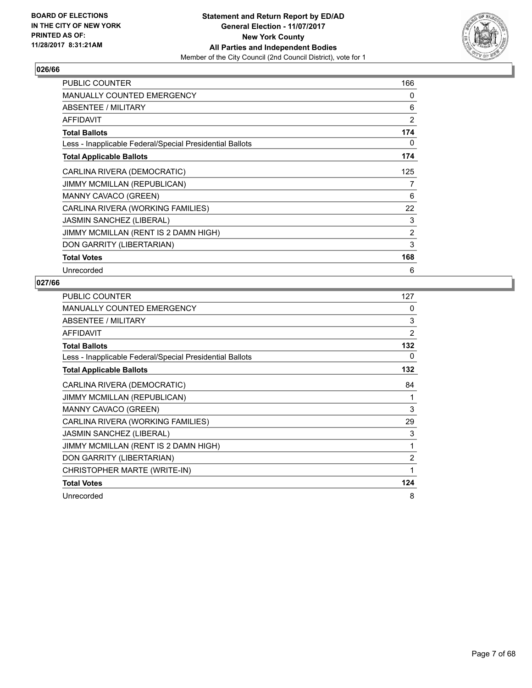

| <b>PUBLIC COUNTER</b>                                    | 166 |
|----------------------------------------------------------|-----|
| <b>MANUALLY COUNTED EMERGENCY</b>                        | 0   |
| ABSENTEE / MILITARY                                      | 6   |
| <b>AFFIDAVIT</b>                                         | 2   |
| <b>Total Ballots</b>                                     | 174 |
| Less - Inapplicable Federal/Special Presidential Ballots | 0   |
| <b>Total Applicable Ballots</b>                          | 174 |
| CARLINA RIVERA (DEMOCRATIC)                              | 125 |
| JIMMY MCMILLAN (REPUBLICAN)                              | 7   |
| MANNY CAVACO (GREEN)                                     | 6   |
| CARLINA RIVERA (WORKING FAMILIES)                        | 22  |
| <b>JASMIN SANCHEZ (LIBERAL)</b>                          | 3   |
| JIMMY MCMILLAN (RENT IS 2 DAMN HIGH)                     | 2   |
| DON GARRITY (LIBERTARIAN)                                | 3   |
| <b>Total Votes</b>                                       | 168 |
| Unrecorded                                               | 6   |

| PUBLIC COUNTER                                           | 127            |
|----------------------------------------------------------|----------------|
| <b>MANUALLY COUNTED EMERGENCY</b>                        | 0              |
| ABSENTEE / MILITARY                                      | 3              |
| <b>AFFIDAVIT</b>                                         | 2              |
| <b>Total Ballots</b>                                     | 132            |
| Less - Inapplicable Federal/Special Presidential Ballots | 0              |
| <b>Total Applicable Ballots</b>                          | 132            |
| CARLINA RIVERA (DEMOCRATIC)                              | 84             |
| <b>JIMMY MCMILLAN (REPUBLICAN)</b>                       | 1              |
| MANNY CAVACO (GREEN)                                     | 3              |
| CARLINA RIVERA (WORKING FAMILIES)                        | 29             |
| <b>JASMIN SANCHEZ (LIBERAL)</b>                          | 3              |
| JIMMY MCMILLAN (RENT IS 2 DAMN HIGH)                     | 1              |
| DON GARRITY (LIBERTARIAN)                                | $\overline{2}$ |
| CHRISTOPHER MARTE (WRITE-IN)                             | 1              |
| <b>Total Votes</b>                                       | 124            |
| Unrecorded                                               | 8              |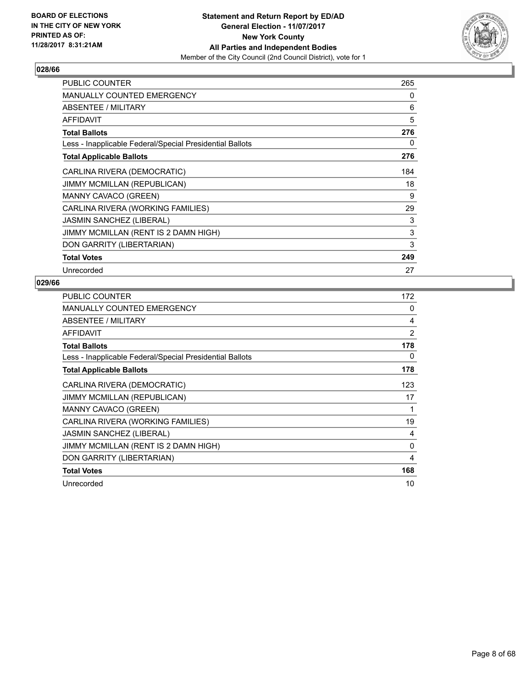

| <b>PUBLIC COUNTER</b>                                    | 265 |
|----------------------------------------------------------|-----|
| <b>MANUALLY COUNTED EMERGENCY</b>                        | 0   |
| ABSENTEE / MILITARY                                      | 6   |
| <b>AFFIDAVIT</b>                                         | 5   |
| <b>Total Ballots</b>                                     | 276 |
| Less - Inapplicable Federal/Special Presidential Ballots | 0   |
| <b>Total Applicable Ballots</b>                          | 276 |
| CARLINA RIVERA (DEMOCRATIC)                              | 184 |
| JIMMY MCMILLAN (REPUBLICAN)                              | 18  |
| <b>MANNY CAVACO (GREEN)</b>                              | 9   |
| CARLINA RIVERA (WORKING FAMILIES)                        | 29  |
| <b>JASMIN SANCHEZ (LIBERAL)</b>                          | 3   |
| JIMMY MCMILLAN (RENT IS 2 DAMN HIGH)                     | 3   |
| DON GARRITY (LIBERTARIAN)                                | 3   |
| <b>Total Votes</b>                                       | 249 |
| Unrecorded                                               | 27  |

| <b>PUBLIC COUNTER</b>                                    | 172 |
|----------------------------------------------------------|-----|
| MANUALLY COUNTED EMERGENCY                               | 0   |
| ABSENTEE / MILITARY                                      | 4   |
| AFFIDAVIT                                                | 2   |
| <b>Total Ballots</b>                                     | 178 |
| Less - Inapplicable Federal/Special Presidential Ballots | 0   |
| <b>Total Applicable Ballots</b>                          | 178 |
| CARLINA RIVERA (DEMOCRATIC)                              | 123 |
| <b>JIMMY MCMILLAN (REPUBLICAN)</b>                       | 17  |
| MANNY CAVACO (GREEN)                                     | 1   |
| CARLINA RIVERA (WORKING FAMILIES)                        | 19  |
| <b>JASMIN SANCHEZ (LIBERAL)</b>                          | 4   |
| JIMMY MCMILLAN (RENT IS 2 DAMN HIGH)                     | 0   |
| DON GARRITY (LIBERTARIAN)                                | 4   |
| <b>Total Votes</b>                                       | 168 |
| Unrecorded                                               | 10  |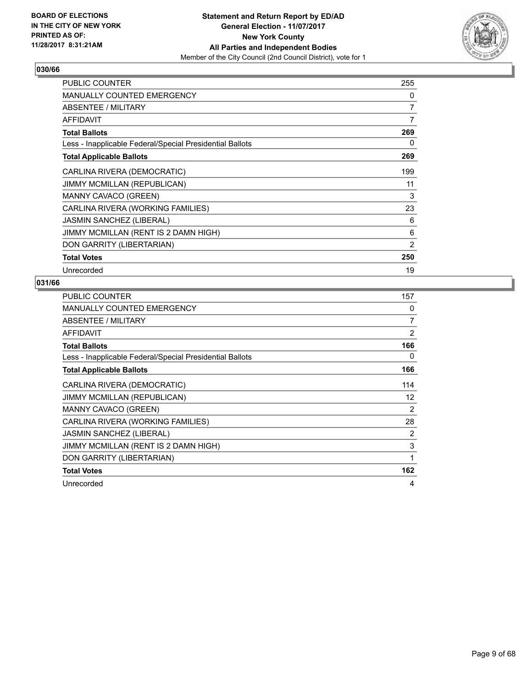

| <b>PUBLIC COUNTER</b>                                    | 255 |
|----------------------------------------------------------|-----|
| <b>MANUALLY COUNTED EMERGENCY</b>                        | 0   |
| ABSENTEE / MILITARY                                      | 7   |
| AFFIDAVIT                                                | 7   |
| <b>Total Ballots</b>                                     | 269 |
| Less - Inapplicable Federal/Special Presidential Ballots | 0   |
| <b>Total Applicable Ballots</b>                          | 269 |
| CARLINA RIVERA (DEMOCRATIC)                              | 199 |
| JIMMY MCMILLAN (REPUBLICAN)                              | 11  |
| <b>MANNY CAVACO (GREEN)</b>                              | 3   |
| CARLINA RIVERA (WORKING FAMILIES)                        | 23  |
| <b>JASMIN SANCHEZ (LIBERAL)</b>                          | 6   |
| JIMMY MCMILLAN (RENT IS 2 DAMN HIGH)                     | 6   |
| DON GARRITY (LIBERTARIAN)                                | 2   |
| <b>Total Votes</b>                                       | 250 |
| Unrecorded                                               | 19  |

| <b>PUBLIC COUNTER</b>                                    | 157            |
|----------------------------------------------------------|----------------|
| <b>MANUALLY COUNTED EMERGENCY</b>                        | 0              |
| ABSENTEE / MILITARY                                      | 7              |
| <b>AFFIDAVIT</b>                                         | $\overline{2}$ |
| <b>Total Ballots</b>                                     | 166            |
| Less - Inapplicable Federal/Special Presidential Ballots | 0              |
| <b>Total Applicable Ballots</b>                          | 166            |
| CARLINA RIVERA (DEMOCRATIC)                              | 114            |
| <b>JIMMY MCMILLAN (REPUBLICAN)</b>                       | 12             |
| MANNY CAVACO (GREEN)                                     | 2              |
| CARLINA RIVERA (WORKING FAMILIES)                        | 28             |
| <b>JASMIN SANCHEZ (LIBERAL)</b>                          | $\overline{2}$ |
| JIMMY MCMILLAN (RENT IS 2 DAMN HIGH)                     | 3              |
| DON GARRITY (LIBERTARIAN)                                | 1              |
| <b>Total Votes</b>                                       | 162            |
| Unrecorded                                               | 4              |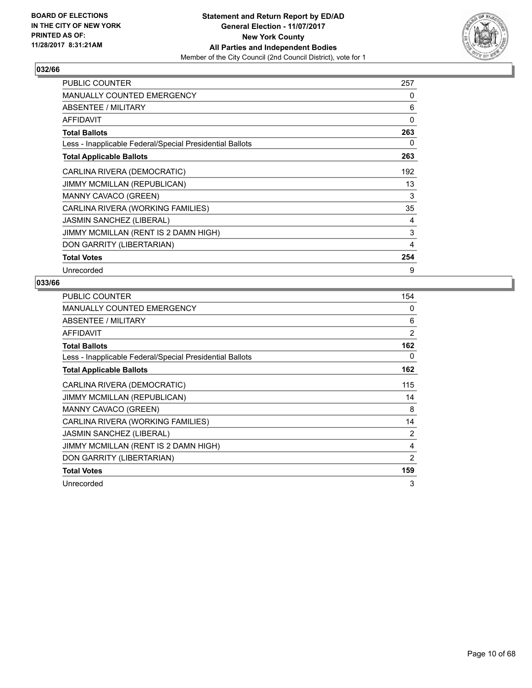

| PUBLIC COUNTER                                           | 257 |
|----------------------------------------------------------|-----|
| <b>MANUALLY COUNTED EMERGENCY</b>                        | 0   |
| ABSENTEE / MILITARY                                      | 6   |
| <b>AFFIDAVIT</b>                                         | 0   |
| <b>Total Ballots</b>                                     | 263 |
| Less - Inapplicable Federal/Special Presidential Ballots | 0   |
| <b>Total Applicable Ballots</b>                          | 263 |
| CARLINA RIVERA (DEMOCRATIC)                              | 192 |
| JIMMY MCMILLAN (REPUBLICAN)                              | 13  |
| MANNY CAVACO (GREEN)                                     | 3   |
| CARLINA RIVERA (WORKING FAMILIES)                        | 35  |
| <b>JASMIN SANCHEZ (LIBERAL)</b>                          | 4   |
| JIMMY MCMILLAN (RENT IS 2 DAMN HIGH)                     | 3   |
| DON GARRITY (LIBERTARIAN)                                | 4   |
| <b>Total Votes</b>                                       | 254 |
| Unrecorded                                               | 9   |

| <b>PUBLIC COUNTER</b>                                    | 154            |
|----------------------------------------------------------|----------------|
| <b>MANUALLY COUNTED EMERGENCY</b>                        | 0              |
| ABSENTEE / MILITARY                                      | 6              |
| <b>AFFIDAVIT</b>                                         | $\overline{2}$ |
| <b>Total Ballots</b>                                     | 162            |
| Less - Inapplicable Federal/Special Presidential Ballots | 0              |
| <b>Total Applicable Ballots</b>                          | 162            |
| CARLINA RIVERA (DEMOCRATIC)                              | 115            |
| <b>JIMMY MCMILLAN (REPUBLICAN)</b>                       | 14             |
| MANNY CAVACO (GREEN)                                     | 8              |
| CARLINA RIVERA (WORKING FAMILIES)                        | 14             |
| <b>JASMIN SANCHEZ (LIBERAL)</b>                          | $\overline{2}$ |
| JIMMY MCMILLAN (RENT IS 2 DAMN HIGH)                     | 4              |
| DON GARRITY (LIBERTARIAN)                                | 2              |
| <b>Total Votes</b>                                       | 159            |
| Unrecorded                                               | 3              |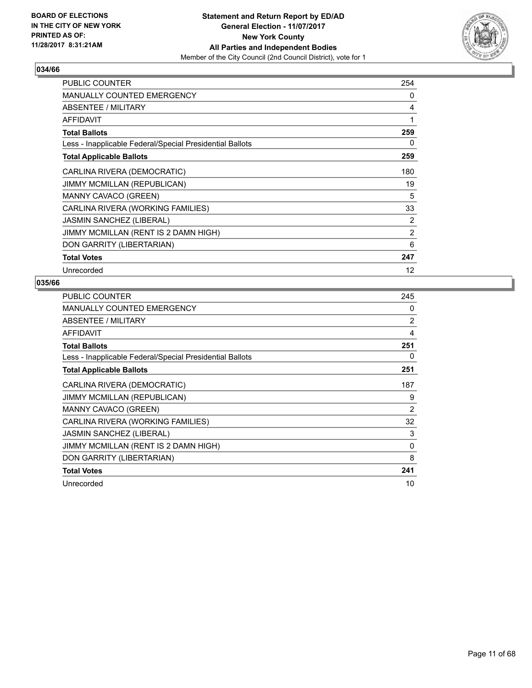

| <b>PUBLIC COUNTER</b>                                    | 254            |
|----------------------------------------------------------|----------------|
| <b>MANUALLY COUNTED EMERGENCY</b>                        | 0              |
| ABSENTEE / MILITARY                                      | 4              |
| <b>AFFIDAVIT</b>                                         | 1              |
| <b>Total Ballots</b>                                     | 259            |
| Less - Inapplicable Federal/Special Presidential Ballots | 0              |
| <b>Total Applicable Ballots</b>                          | 259            |
| CARLINA RIVERA (DEMOCRATIC)                              | 180            |
| JIMMY MCMILLAN (REPUBLICAN)                              | 19             |
| MANNY CAVACO (GREEN)                                     | 5              |
| CARLINA RIVERA (WORKING FAMILIES)                        | 33             |
| <b>JASMIN SANCHEZ (LIBERAL)</b>                          | $\overline{2}$ |
| JIMMY MCMILLAN (RENT IS 2 DAMN HIGH)                     | $\overline{2}$ |
| DON GARRITY (LIBERTARIAN)                                | 6              |
| <b>Total Votes</b>                                       | 247            |
| Unrecorded                                               | 12             |

| <b>PUBLIC COUNTER</b>                                    | 245            |
|----------------------------------------------------------|----------------|
| <b>MANUALLY COUNTED EMERGENCY</b>                        | 0              |
| ABSENTEE / MILITARY                                      | 2              |
| AFFIDAVIT                                                | 4              |
| <b>Total Ballots</b>                                     | 251            |
| Less - Inapplicable Federal/Special Presidential Ballots | 0              |
| <b>Total Applicable Ballots</b>                          | 251            |
| CARLINA RIVERA (DEMOCRATIC)                              | 187            |
| <b>JIMMY MCMILLAN (REPUBLICAN)</b>                       | 9              |
| MANNY CAVACO (GREEN)                                     | $\overline{2}$ |
| CARLINA RIVERA (WORKING FAMILIES)                        | 32             |
| <b>JASMIN SANCHEZ (LIBERAL)</b>                          | 3              |
| JIMMY MCMILLAN (RENT IS 2 DAMN HIGH)                     | 0              |
| DON GARRITY (LIBERTARIAN)                                | 8              |
| <b>Total Votes</b>                                       | 241            |
| Unrecorded                                               | 10             |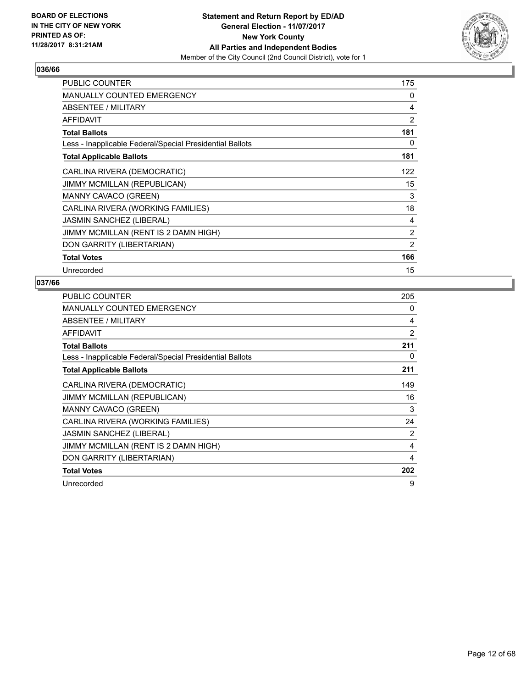

| PUBLIC COUNTER                                           | 175 |
|----------------------------------------------------------|-----|
| <b>MANUALLY COUNTED EMERGENCY</b>                        | 0   |
| ABSENTEE / MILITARY                                      | 4   |
| <b>AFFIDAVIT</b>                                         | 2   |
| <b>Total Ballots</b>                                     | 181 |
| Less - Inapplicable Federal/Special Presidential Ballots | 0   |
| <b>Total Applicable Ballots</b>                          | 181 |
| CARLINA RIVERA (DEMOCRATIC)                              | 122 |
| JIMMY MCMILLAN (REPUBLICAN)                              | 15  |
| MANNY CAVACO (GREEN)                                     | 3   |
| CARLINA RIVERA (WORKING FAMILIES)                        | 18  |
| <b>JASMIN SANCHEZ (LIBERAL)</b>                          | 4   |
| JIMMY MCMILLAN (RENT IS 2 DAMN HIGH)                     | 2   |
| DON GARRITY (LIBERTARIAN)                                | 2   |
| <b>Total Votes</b>                                       | 166 |
| Unrecorded                                               | 15  |

| <b>PUBLIC COUNTER</b>                                    | 205            |
|----------------------------------------------------------|----------------|
| <b>MANUALLY COUNTED EMERGENCY</b>                        | 0              |
| ABSENTEE / MILITARY                                      | 4              |
| AFFIDAVIT                                                | 2              |
| <b>Total Ballots</b>                                     | 211            |
| Less - Inapplicable Federal/Special Presidential Ballots | 0              |
| <b>Total Applicable Ballots</b>                          | 211            |
| CARLINA RIVERA (DEMOCRATIC)                              | 149            |
| <b>JIMMY MCMILLAN (REPUBLICAN)</b>                       | 16             |
| <b>MANNY CAVACO (GREEN)</b>                              | 3              |
| CARLINA RIVERA (WORKING FAMILIES)                        | 24             |
| <b>JASMIN SANCHEZ (LIBERAL)</b>                          | $\overline{2}$ |
| JIMMY MCMILLAN (RENT IS 2 DAMN HIGH)                     | 4              |
| DON GARRITY (LIBERTARIAN)                                | 4              |
| <b>Total Votes</b>                                       | 202            |
| Unrecorded                                               | 9              |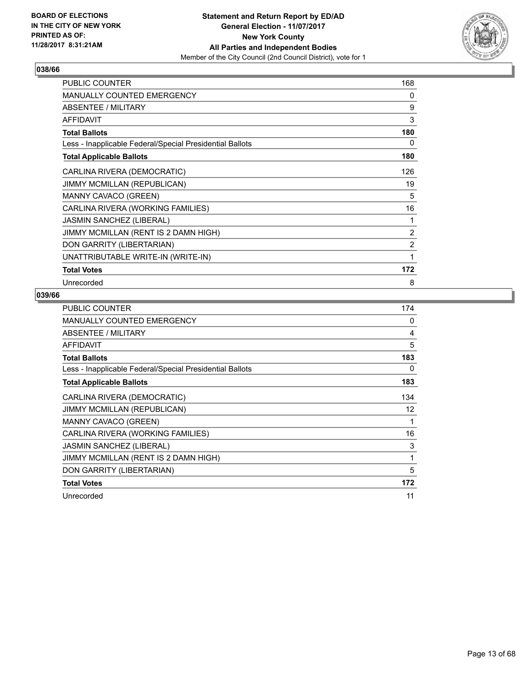

| <b>PUBLIC COUNTER</b>                                    | 168 |
|----------------------------------------------------------|-----|
| <b>MANUALLY COUNTED EMERGENCY</b>                        | 0   |
| <b>ABSENTEE / MILITARY</b>                               | 9   |
| <b>AFFIDAVIT</b>                                         | 3   |
| <b>Total Ballots</b>                                     | 180 |
| Less - Inapplicable Federal/Special Presidential Ballots | 0   |
| <b>Total Applicable Ballots</b>                          | 180 |
| CARLINA RIVERA (DEMOCRATIC)                              | 126 |
| JIMMY MCMILLAN (REPUBLICAN)                              | 19  |
| MANNY CAVACO (GREEN)                                     | 5   |
| CARLINA RIVERA (WORKING FAMILIES)                        | 16  |
| <b>JASMIN SANCHEZ (LIBERAL)</b>                          | 1   |
| JIMMY MCMILLAN (RENT IS 2 DAMN HIGH)                     | 2   |
| DON GARRITY (LIBERTARIAN)                                | 2   |
| UNATTRIBUTABLE WRITE-IN (WRITE-IN)                       | 1   |
| <b>Total Votes</b>                                       | 172 |
| Unrecorded                                               | 8   |

| <b>PUBLIC COUNTER</b>                                    | 174 |
|----------------------------------------------------------|-----|
| <b>MANUALLY COUNTED EMERGENCY</b>                        | 0   |
| ABSENTEE / MILITARY                                      | 4   |
| <b>AFFIDAVIT</b>                                         | 5   |
| <b>Total Ballots</b>                                     | 183 |
| Less - Inapplicable Federal/Special Presidential Ballots | 0   |
| <b>Total Applicable Ballots</b>                          | 183 |
| CARLINA RIVERA (DEMOCRATIC)                              | 134 |
| JIMMY MCMILLAN (REPUBLICAN)                              | 12  |
| <b>MANNY CAVACO (GREEN)</b>                              | 1   |
| CARLINA RIVERA (WORKING FAMILIES)                        | 16  |
| <b>JASMIN SANCHEZ (LIBERAL)</b>                          | 3   |
| JIMMY MCMILLAN (RENT IS 2 DAMN HIGH)                     | 1   |
| DON GARRITY (LIBERTARIAN)                                | 5   |
| <b>Total Votes</b>                                       | 172 |
| Unrecorded                                               | 11  |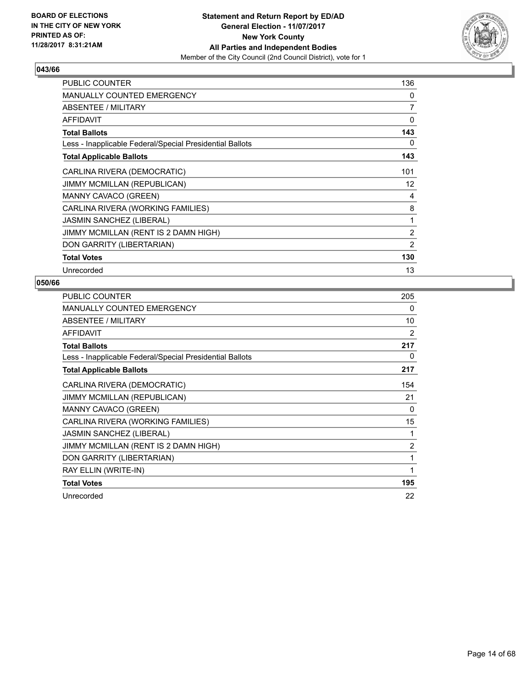

| <b>PUBLIC COUNTER</b>                                    | 136 |
|----------------------------------------------------------|-----|
| <b>MANUALLY COUNTED EMERGENCY</b>                        | 0   |
| ABSENTEE / MILITARY                                      | 7   |
| AFFIDAVIT                                                | 0   |
| <b>Total Ballots</b>                                     | 143 |
| Less - Inapplicable Federal/Special Presidential Ballots | 0   |
| <b>Total Applicable Ballots</b>                          | 143 |
| CARLINA RIVERA (DEMOCRATIC)                              | 101 |
| JIMMY MCMILLAN (REPUBLICAN)                              | 12  |
| <b>MANNY CAVACO (GREEN)</b>                              | 4   |
| CARLINA RIVERA (WORKING FAMILIES)                        | 8   |
| <b>JASMIN SANCHEZ (LIBERAL)</b>                          | 1   |
| JIMMY MCMILLAN (RENT IS 2 DAMN HIGH)                     | 2   |
| DON GARRITY (LIBERTARIAN)                                | 2   |
| <b>Total Votes</b>                                       | 130 |
| Unrecorded                                               | 13  |

| <b>PUBLIC COUNTER</b>                                    | 205            |
|----------------------------------------------------------|----------------|
| <b>MANUALLY COUNTED EMERGENCY</b>                        | 0              |
| ABSENTEE / MILITARY                                      | 10             |
| <b>AFFIDAVIT</b>                                         | 2              |
| <b>Total Ballots</b>                                     | 217            |
| Less - Inapplicable Federal/Special Presidential Ballots | 0              |
| <b>Total Applicable Ballots</b>                          | 217            |
| CARLINA RIVERA (DEMOCRATIC)                              | 154            |
| <b>JIMMY MCMILLAN (REPUBLICAN)</b>                       | 21             |
| <b>MANNY CAVACO (GREEN)</b>                              | 0              |
| CARLINA RIVERA (WORKING FAMILIES)                        | 15             |
| <b>JASMIN SANCHEZ (LIBERAL)</b>                          | 1              |
| JIMMY MCMILLAN (RENT IS 2 DAMN HIGH)                     | $\overline{2}$ |
| DON GARRITY (LIBERTARIAN)                                | 1              |
| RAY ELLIN (WRITE-IN)                                     | 1              |
| <b>Total Votes</b>                                       | 195            |
| Unrecorded                                               | 22             |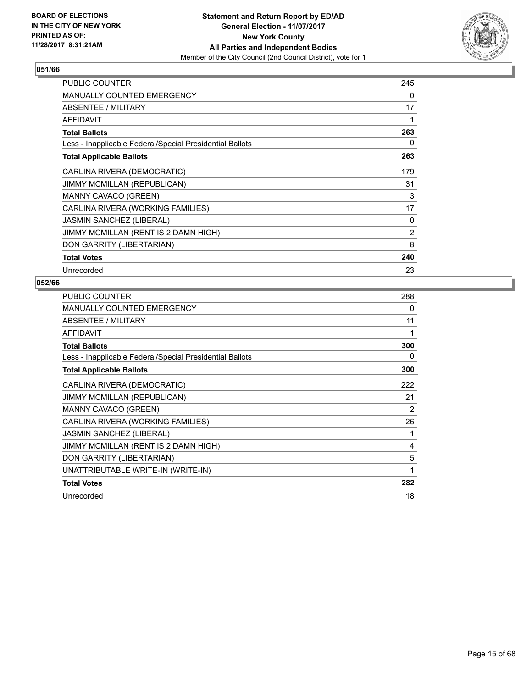

| <b>PUBLIC COUNTER</b>                                    | 245            |
|----------------------------------------------------------|----------------|
| <b>MANUALLY COUNTED EMERGENCY</b>                        | 0              |
| ABSENTEE / MILITARY                                      | 17             |
| <b>AFFIDAVIT</b>                                         | 1              |
| <b>Total Ballots</b>                                     | 263            |
| Less - Inapplicable Federal/Special Presidential Ballots | 0              |
| <b>Total Applicable Ballots</b>                          | 263            |
| CARLINA RIVERA (DEMOCRATIC)                              | 179            |
| JIMMY MCMILLAN (REPUBLICAN)                              | 31             |
| <b>MANNY CAVACO (GREEN)</b>                              | 3              |
| CARLINA RIVERA (WORKING FAMILIES)                        | 17             |
| <b>JASMIN SANCHEZ (LIBERAL)</b>                          | 0              |
| JIMMY MCMILLAN (RENT IS 2 DAMN HIGH)                     | $\overline{2}$ |
| DON GARRITY (LIBERTARIAN)                                | 8              |
| <b>Total Votes</b>                                       | 240            |
| Unrecorded                                               | 23             |

| <b>PUBLIC COUNTER</b>                                    | 288 |
|----------------------------------------------------------|-----|
| <b>MANUALLY COUNTED EMERGENCY</b>                        | 0   |
| ABSENTEE / MILITARY                                      | 11  |
| <b>AFFIDAVIT</b>                                         | 1   |
| <b>Total Ballots</b>                                     | 300 |
| Less - Inapplicable Federal/Special Presidential Ballots | 0   |
| <b>Total Applicable Ballots</b>                          | 300 |
| CARLINA RIVERA (DEMOCRATIC)                              | 222 |
| JIMMY MCMILLAN (REPUBLICAN)                              | 21  |
| <b>MANNY CAVACO (GREEN)</b>                              | 2   |
| CARLINA RIVERA (WORKING FAMILIES)                        | 26  |
| <b>JASMIN SANCHEZ (LIBERAL)</b>                          | 1   |
| JIMMY MCMILLAN (RENT IS 2 DAMN HIGH)                     | 4   |
| DON GARRITY (LIBERTARIAN)                                | 5   |
| UNATTRIBUTABLE WRITE-IN (WRITE-IN)                       | 1   |
| <b>Total Votes</b>                                       | 282 |
| Unrecorded                                               | 18  |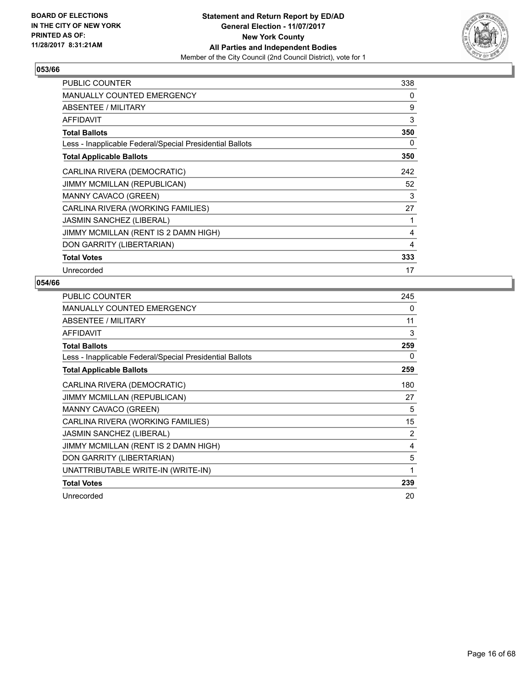

| PUBLIC COUNTER                                           | 338 |
|----------------------------------------------------------|-----|
| <b>MANUALLY COUNTED EMERGENCY</b>                        | 0   |
| ABSENTEE / MILITARY                                      | 9   |
| <b>AFFIDAVIT</b>                                         | 3   |
| <b>Total Ballots</b>                                     | 350 |
| Less - Inapplicable Federal/Special Presidential Ballots | 0   |
| <b>Total Applicable Ballots</b>                          | 350 |
| CARLINA RIVERA (DEMOCRATIC)                              | 242 |
| JIMMY MCMILLAN (REPUBLICAN)                              | 52  |
| MANNY CAVACO (GREEN)                                     | 3   |
| CARLINA RIVERA (WORKING FAMILIES)                        | 27  |
| <b>JASMIN SANCHEZ (LIBERAL)</b>                          | 1   |
| JIMMY MCMILLAN (RENT IS 2 DAMN HIGH)                     | 4   |
| DON GARRITY (LIBERTARIAN)                                | 4   |
| <b>Total Votes</b>                                       | 333 |
| Unrecorded                                               | 17  |

| PUBLIC COUNTER                                           | 245            |
|----------------------------------------------------------|----------------|
| <b>MANUALLY COUNTED EMERGENCY</b>                        | 0              |
| ABSENTEE / MILITARY                                      | 11             |
| <b>AFFIDAVIT</b>                                         | 3              |
| <b>Total Ballots</b>                                     | 259            |
| Less - Inapplicable Federal/Special Presidential Ballots | 0              |
| <b>Total Applicable Ballots</b>                          | 259            |
| CARLINA RIVERA (DEMOCRATIC)                              | 180            |
| <b>JIMMY MCMILLAN (REPUBLICAN)</b>                       | 27             |
| <b>MANNY CAVACO (GREEN)</b>                              | 5              |
| CARLINA RIVERA (WORKING FAMILIES)                        | 15             |
| <b>JASMIN SANCHEZ (LIBERAL)</b>                          | $\overline{2}$ |
| JIMMY MCMILLAN (RENT IS 2 DAMN HIGH)                     | 4              |
| DON GARRITY (LIBERTARIAN)                                | 5              |
| UNATTRIBUTABLE WRITE-IN (WRITE-IN)                       | 1              |
| <b>Total Votes</b>                                       | 239            |
| Unrecorded                                               | 20             |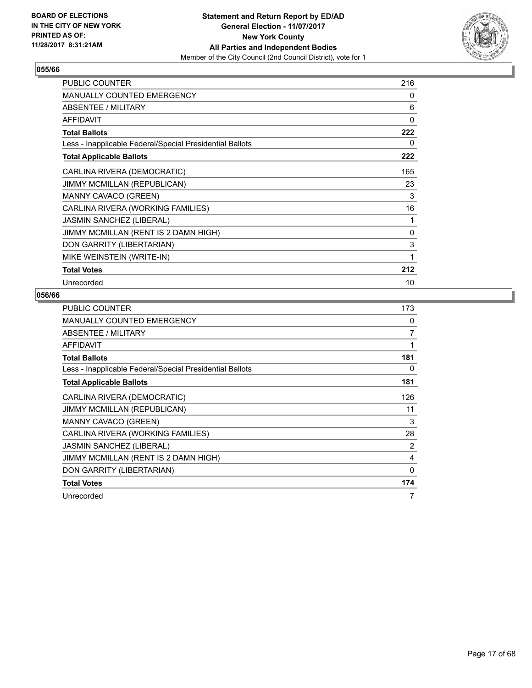

| PUBLIC COUNTER                                           | 216         |
|----------------------------------------------------------|-------------|
| <b>MANUALLY COUNTED EMERGENCY</b>                        | 0           |
| <b>ABSENTEE / MILITARY</b>                               | 6           |
| <b>AFFIDAVIT</b>                                         | $\mathbf 0$ |
| <b>Total Ballots</b>                                     | 222         |
| Less - Inapplicable Federal/Special Presidential Ballots | 0           |
| <b>Total Applicable Ballots</b>                          | 222         |
| CARLINA RIVERA (DEMOCRATIC)                              | 165         |
| JIMMY MCMILLAN (REPUBLICAN)                              | 23          |
| <b>MANNY CAVACO (GREEN)</b>                              | 3           |
| CARLINA RIVERA (WORKING FAMILIES)                        | 16          |
| JASMIN SANCHEZ (LIBERAL)                                 | 1           |
| JIMMY MCMILLAN (RENT IS 2 DAMN HIGH)                     | 0           |
| DON GARRITY (LIBERTARIAN)                                | 3           |
| MIKE WEINSTEIN (WRITE-IN)                                | 1           |
| <b>Total Votes</b>                                       | 212         |
| Unrecorded                                               | 10          |

| <b>PUBLIC COUNTER</b>                                    | 173 |
|----------------------------------------------------------|-----|
| <b>MANUALLY COUNTED EMERGENCY</b>                        | 0   |
| ABSENTEE / MILITARY                                      | 7   |
| <b>AFFIDAVIT</b>                                         | 1   |
| <b>Total Ballots</b>                                     | 181 |
| Less - Inapplicable Federal/Special Presidential Ballots | 0   |
| <b>Total Applicable Ballots</b>                          | 181 |
| CARLINA RIVERA (DEMOCRATIC)                              | 126 |
| JIMMY MCMILLAN (REPUBLICAN)                              | 11  |
| <b>MANNY CAVACO (GREEN)</b>                              | 3   |
| CARLINA RIVERA (WORKING FAMILIES)                        | 28  |
| <b>JASMIN SANCHEZ (LIBERAL)</b>                          | 2   |
| JIMMY MCMILLAN (RENT IS 2 DAMN HIGH)                     | 4   |
| DON GARRITY (LIBERTARIAN)                                | 0   |
| <b>Total Votes</b>                                       | 174 |
| Unrecorded                                               | 7   |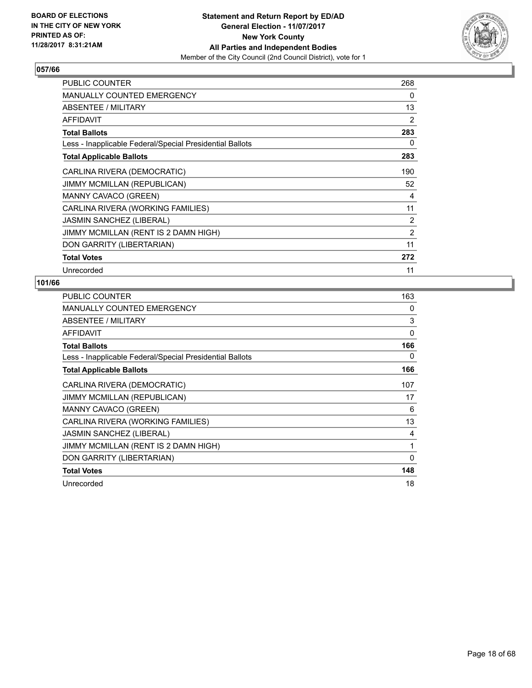

| PUBLIC COUNTER                                           | 268 |
|----------------------------------------------------------|-----|
| <b>MANUALLY COUNTED EMERGENCY</b>                        | 0   |
| ABSENTEE / MILITARY                                      | 13  |
| AFFIDAVIT                                                | 2   |
| <b>Total Ballots</b>                                     | 283 |
| Less - Inapplicable Federal/Special Presidential Ballots | 0   |
| <b>Total Applicable Ballots</b>                          | 283 |
| CARLINA RIVERA (DEMOCRATIC)                              | 190 |
| JIMMY MCMILLAN (REPUBLICAN)                              | 52  |
| MANNY CAVACO (GREEN)                                     | 4   |
| CARLINA RIVERA (WORKING FAMILIES)                        | 11  |
| <b>JASMIN SANCHEZ (LIBERAL)</b>                          | 2   |
| JIMMY MCMILLAN (RENT IS 2 DAMN HIGH)                     | 2   |
| DON GARRITY (LIBERTARIAN)                                | 11  |
| <b>Total Votes</b>                                       | 272 |
| Unrecorded                                               | 11  |

| <b>PUBLIC COUNTER</b>                                    | 163      |
|----------------------------------------------------------|----------|
| <b>MANUALLY COUNTED EMERGENCY</b>                        | 0        |
| ABSENTEE / MILITARY                                      | 3        |
| <b>AFFIDAVIT</b>                                         | 0        |
| <b>Total Ballots</b>                                     | 166      |
| Less - Inapplicable Federal/Special Presidential Ballots | 0        |
| <b>Total Applicable Ballots</b>                          | 166      |
| CARLINA RIVERA (DEMOCRATIC)                              | 107      |
| <b>JIMMY MCMILLAN (REPUBLICAN)</b>                       | 17       |
| MANNY CAVACO (GREEN)                                     | 6        |
| CARLINA RIVERA (WORKING FAMILIES)                        | 13       |
| <b>JASMIN SANCHEZ (LIBERAL)</b>                          | 4        |
| JIMMY MCMILLAN (RENT IS 2 DAMN HIGH)                     | 1        |
| DON GARRITY (LIBERTARIAN)                                | $\Omega$ |
| <b>Total Votes</b>                                       | 148      |
| Unrecorded                                               | 18       |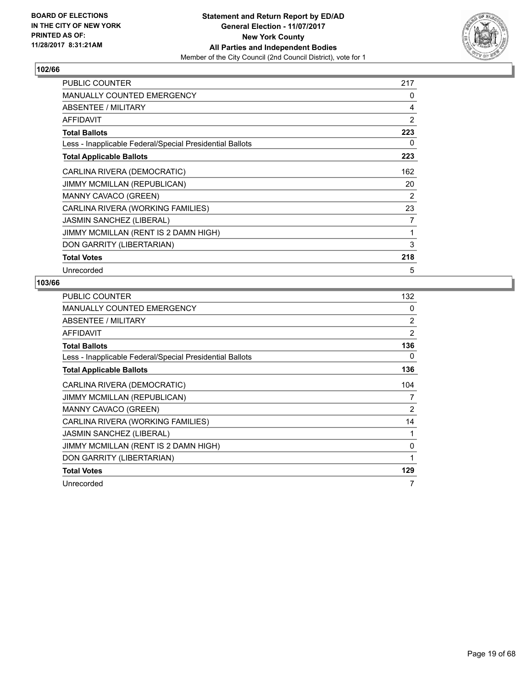

| <b>PUBLIC COUNTER</b>                                    | 217 |
|----------------------------------------------------------|-----|
| <b>MANUALLY COUNTED EMERGENCY</b>                        | 0   |
| ABSENTEE / MILITARY                                      | 4   |
| <b>AFFIDAVIT</b>                                         | 2   |
| <b>Total Ballots</b>                                     | 223 |
| Less - Inapplicable Federal/Special Presidential Ballots | 0   |
| <b>Total Applicable Ballots</b>                          | 223 |
| CARLINA RIVERA (DEMOCRATIC)                              | 162 |
| JIMMY MCMILLAN (REPUBLICAN)                              | 20  |
| <b>MANNY CAVACO (GREEN)</b>                              | 2   |
| CARLINA RIVERA (WORKING FAMILIES)                        | 23  |
| <b>JASMIN SANCHEZ (LIBERAL)</b>                          | 7   |
| JIMMY MCMILLAN (RENT IS 2 DAMN HIGH)                     | 1   |
| DON GARRITY (LIBERTARIAN)                                | 3   |
| <b>Total Votes</b>                                       | 218 |
| Unrecorded                                               | 5   |

| <b>PUBLIC COUNTER</b>                                    | 132 |
|----------------------------------------------------------|-----|
| <b>MANUALLY COUNTED EMERGENCY</b>                        | 0   |
| ABSENTEE / MILITARY                                      | 2   |
| AFFIDAVIT                                                | 2   |
| <b>Total Ballots</b>                                     | 136 |
| Less - Inapplicable Federal/Special Presidential Ballots | 0   |
| <b>Total Applicable Ballots</b>                          | 136 |
| CARLINA RIVERA (DEMOCRATIC)                              | 104 |
| JIMMY MCMILLAN (REPUBLICAN)                              | 7   |
| <b>MANNY CAVACO (GREEN)</b>                              | 2   |
| CARLINA RIVERA (WORKING FAMILIES)                        | 14  |
| <b>JASMIN SANCHEZ (LIBERAL)</b>                          | 1   |
| JIMMY MCMILLAN (RENT IS 2 DAMN HIGH)                     | 0   |
| DON GARRITY (LIBERTARIAN)                                | 1   |
| <b>Total Votes</b>                                       | 129 |
| Unrecorded                                               | 7   |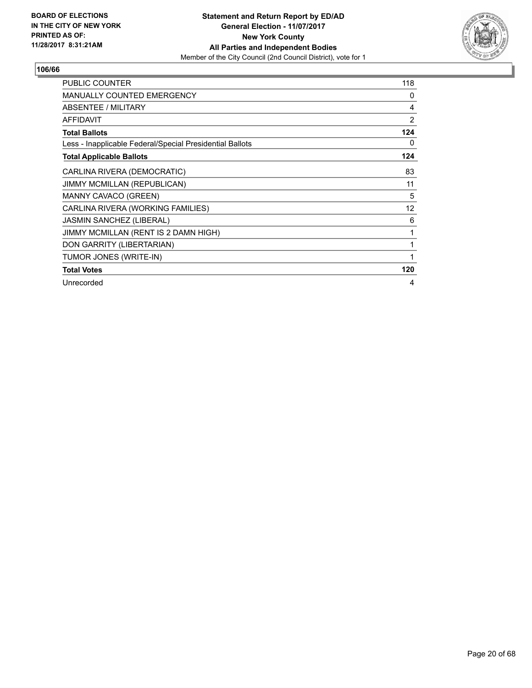

| <b>PUBLIC COUNTER</b>                                    | 118 |
|----------------------------------------------------------|-----|
| <b>MANUALLY COUNTED EMERGENCY</b>                        | 0   |
| <b>ABSENTEE / MILITARY</b>                               | 4   |
| <b>AFFIDAVIT</b>                                         | 2   |
| <b>Total Ballots</b>                                     | 124 |
| Less - Inapplicable Federal/Special Presidential Ballots | 0   |
| <b>Total Applicable Ballots</b>                          | 124 |
| CARLINA RIVERA (DEMOCRATIC)                              | 83  |
| JIMMY MCMILLAN (REPUBLICAN)                              | 11  |
| MANNY CAVACO (GREEN)                                     | 5   |
| CARLINA RIVERA (WORKING FAMILIES)                        | 12  |
| <b>JASMIN SANCHEZ (LIBERAL)</b>                          | 6   |
| JIMMY MCMILLAN (RENT IS 2 DAMN HIGH)                     | 1   |
| DON GARRITY (LIBERTARIAN)                                | 1   |
| TUMOR JONES (WRITE-IN)                                   | 1   |
| <b>Total Votes</b>                                       | 120 |
| Unrecorded                                               | 4   |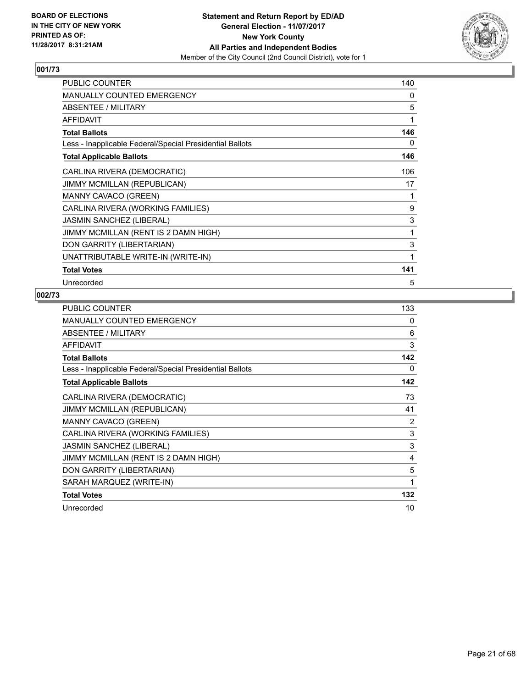

| <b>PUBLIC COUNTER</b>                                    | 140 |
|----------------------------------------------------------|-----|
| <b>MANUALLY COUNTED EMERGENCY</b>                        | 0   |
| <b>ABSENTEE / MILITARY</b>                               | 5   |
| <b>AFFIDAVIT</b>                                         | 1   |
| <b>Total Ballots</b>                                     | 146 |
| Less - Inapplicable Federal/Special Presidential Ballots | 0   |
| <b>Total Applicable Ballots</b>                          | 146 |
| CARLINA RIVERA (DEMOCRATIC)                              | 106 |
| JIMMY MCMILLAN (REPUBLICAN)                              | 17  |
| <b>MANNY CAVACO (GREEN)</b>                              | 1   |
| CARLINA RIVERA (WORKING FAMILIES)                        | 9   |
| JASMIN SANCHEZ (LIBERAL)                                 | 3   |
| JIMMY MCMILLAN (RENT IS 2 DAMN HIGH)                     | 1   |
| DON GARRITY (LIBERTARIAN)                                | 3   |
| UNATTRIBUTABLE WRITE-IN (WRITE-IN)                       | 1   |
| <b>Total Votes</b>                                       | 141 |
| Unrecorded                                               | 5   |

| <b>PUBLIC COUNTER</b>                                    | 133 |
|----------------------------------------------------------|-----|
| <b>MANUALLY COUNTED EMERGENCY</b>                        | 0   |
| <b>ABSENTEE / MILITARY</b>                               | 6   |
| <b>AFFIDAVIT</b>                                         | 3   |
| <b>Total Ballots</b>                                     | 142 |
| Less - Inapplicable Federal/Special Presidential Ballots | 0   |
| <b>Total Applicable Ballots</b>                          | 142 |
| CARLINA RIVERA (DEMOCRATIC)                              | 73  |
| <b>JIMMY MCMILLAN (REPUBLICAN)</b>                       | 41  |
| MANNY CAVACO (GREEN)                                     | 2   |
| CARLINA RIVERA (WORKING FAMILIES)                        | 3   |
| <b>JASMIN SANCHEZ (LIBERAL)</b>                          | 3   |
| JIMMY MCMILLAN (RENT IS 2 DAMN HIGH)                     | 4   |
| DON GARRITY (LIBERTARIAN)                                | 5   |
| SARAH MARQUEZ (WRITE-IN)                                 | 1   |
| <b>Total Votes</b>                                       | 132 |
| Unrecorded                                               | 10  |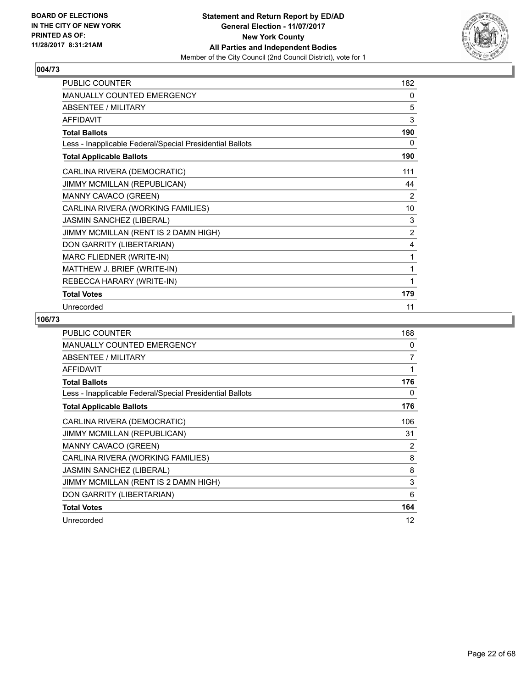

| <b>PUBLIC COUNTER</b>                                    | 182            |
|----------------------------------------------------------|----------------|
| <b>MANUALLY COUNTED EMERGENCY</b>                        | 0              |
| <b>ABSENTEE / MILITARY</b>                               | 5              |
| <b>AFFIDAVIT</b>                                         | 3              |
| <b>Total Ballots</b>                                     | 190            |
| Less - Inapplicable Federal/Special Presidential Ballots | 0              |
| <b>Total Applicable Ballots</b>                          | 190            |
| CARLINA RIVERA (DEMOCRATIC)                              | 111            |
| JIMMY MCMILLAN (REPUBLICAN)                              | 44             |
| MANNY CAVACO (GREEN)                                     | 2              |
| CARLINA RIVERA (WORKING FAMILIES)                        | 10             |
| <b>JASMIN SANCHEZ (LIBERAL)</b>                          | 3              |
| JIMMY MCMILLAN (RENT IS 2 DAMN HIGH)                     | $\overline{2}$ |
| DON GARRITY (LIBERTARIAN)                                | 4              |
| MARC FLIEDNER (WRITE-IN)                                 | 1              |
| MATTHEW J. BRIEF (WRITE-IN)                              | 1              |
| REBECCA HARARY (WRITE-IN)                                | 1              |
| <b>Total Votes</b>                                       | 179            |
| Unrecorded                                               | 11             |

| <b>PUBLIC COUNTER</b>                                    | 168            |
|----------------------------------------------------------|----------------|
| <b>MANUALLY COUNTED EMERGENCY</b>                        | 0              |
| <b>ABSENTEE / MILITARY</b>                               | $\overline{7}$ |
| <b>AFFIDAVIT</b>                                         | 1              |
| <b>Total Ballots</b>                                     | 176            |
| Less - Inapplicable Federal/Special Presidential Ballots | 0              |
| <b>Total Applicable Ballots</b>                          | 176            |
| CARLINA RIVERA (DEMOCRATIC)                              | 106            |
| JIMMY MCMILLAN (REPUBLICAN)                              | 31             |
| MANNY CAVACO (GREEN)                                     | 2              |
| CARLINA RIVERA (WORKING FAMILIES)                        | 8              |
| <b>JASMIN SANCHEZ (LIBERAL)</b>                          | 8              |
| JIMMY MCMILLAN (RENT IS 2 DAMN HIGH)                     | 3              |
| DON GARRITY (LIBERTARIAN)                                | 6              |
| <b>Total Votes</b>                                       | 164            |
| Unrecorded                                               | 12             |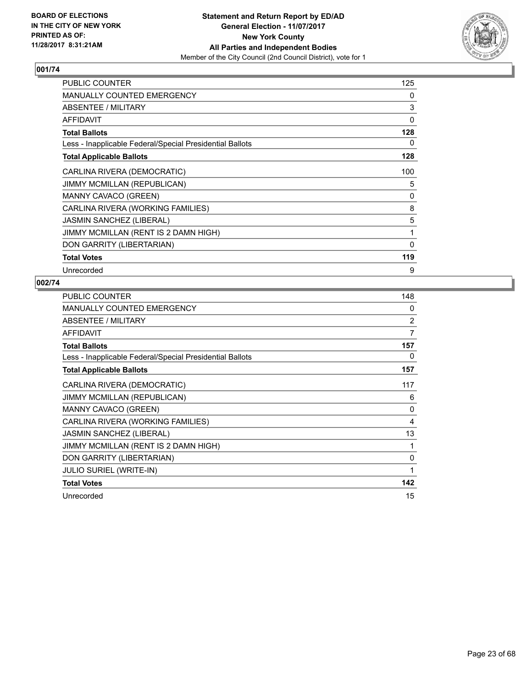

| PUBLIC COUNTER                                           | 125          |
|----------------------------------------------------------|--------------|
| <b>MANUALLY COUNTED EMERGENCY</b>                        | 0            |
| ABSENTEE / MILITARY                                      | 3            |
| <b>AFFIDAVIT</b>                                         | 0            |
| <b>Total Ballots</b>                                     | 128          |
| Less - Inapplicable Federal/Special Presidential Ballots | 0            |
| <b>Total Applicable Ballots</b>                          | 128          |
| CARLINA RIVERA (DEMOCRATIC)                              | 100          |
| <b>JIMMY MCMILLAN (REPUBLICAN)</b>                       | 5            |
| MANNY CAVACO (GREEN)                                     | 0            |
| CARLINA RIVERA (WORKING FAMILIES)                        | 8            |
| <b>JASMIN SANCHEZ (LIBERAL)</b>                          | 5            |
| JIMMY MCMILLAN (RENT IS 2 DAMN HIGH)                     | 1            |
| DON GARRITY (LIBERTARIAN)                                | $\mathbf{0}$ |
| <b>Total Votes</b>                                       | 119          |
| Unrecorded                                               | 9            |

| <b>PUBLIC COUNTER</b>                                    | 148          |
|----------------------------------------------------------|--------------|
| <b>MANUALLY COUNTED EMERGENCY</b>                        | $\mathbf{0}$ |
| ABSENTEE / MILITARY                                      | 2            |
| <b>AFFIDAVIT</b>                                         | 7            |
| <b>Total Ballots</b>                                     | 157          |
| Less - Inapplicable Federal/Special Presidential Ballots | 0            |
| <b>Total Applicable Ballots</b>                          | 157          |
| CARLINA RIVERA (DEMOCRATIC)                              | 117          |
| <b>JIMMY MCMILLAN (REPUBLICAN)</b>                       | 6            |
| MANNY CAVACO (GREEN)                                     | $\mathbf{0}$ |
| CARLINA RIVERA (WORKING FAMILIES)                        | 4            |
| <b>JASMIN SANCHEZ (LIBERAL)</b>                          | 13           |
| JIMMY MCMILLAN (RENT IS 2 DAMN HIGH)                     | 1            |
| DON GARRITY (LIBERTARIAN)                                | 0            |
| <b>JULIO SURIEL (WRITE-IN)</b>                           | 1            |
| <b>Total Votes</b>                                       | 142          |
| Unrecorded                                               | 15           |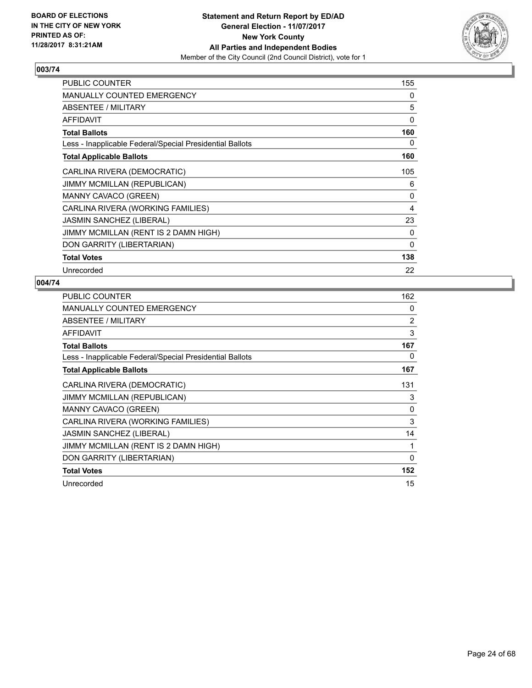

| PUBLIC COUNTER                                           | 155 |
|----------------------------------------------------------|-----|
| <b>MANUALLY COUNTED EMERGENCY</b>                        | 0   |
| ABSENTEE / MILITARY                                      | 5   |
| AFFIDAVIT                                                | 0   |
| <b>Total Ballots</b>                                     | 160 |
| Less - Inapplicable Federal/Special Presidential Ballots | 0   |
| <b>Total Applicable Ballots</b>                          | 160 |
| CARLINA RIVERA (DEMOCRATIC)                              | 105 |
| <b>JIMMY MCMILLAN (REPUBLICAN)</b>                       | 6   |
| <b>MANNY CAVACO (GREEN)</b>                              | 0   |
| CARLINA RIVERA (WORKING FAMILIES)                        | 4   |
| <b>JASMIN SANCHEZ (LIBERAL)</b>                          | 23  |
| JIMMY MCMILLAN (RENT IS 2 DAMN HIGH)                     | 0   |
| DON GARRITY (LIBERTARIAN)                                | 0   |
| <b>Total Votes</b>                                       | 138 |
| Unrecorded                                               | 22  |

| <b>PUBLIC COUNTER</b>                                    | 162      |
|----------------------------------------------------------|----------|
| <b>MANUALLY COUNTED EMERGENCY</b>                        | 0        |
| ABSENTEE / MILITARY                                      | 2        |
| <b>AFFIDAVIT</b>                                         | 3        |
| <b>Total Ballots</b>                                     | 167      |
| Less - Inapplicable Federal/Special Presidential Ballots | 0        |
| <b>Total Applicable Ballots</b>                          | 167      |
| CARLINA RIVERA (DEMOCRATIC)                              | 131      |
| JIMMY MCMILLAN (REPUBLICAN)                              | 3        |
| MANNY CAVACO (GREEN)                                     | 0        |
| CARLINA RIVERA (WORKING FAMILIES)                        | 3        |
| <b>JASMIN SANCHEZ (LIBERAL)</b>                          | 14       |
| JIMMY MCMILLAN (RENT IS 2 DAMN HIGH)                     | 1        |
| DON GARRITY (LIBERTARIAN)                                | $\Omega$ |
| <b>Total Votes</b>                                       | 152      |
| Unrecorded                                               | 15       |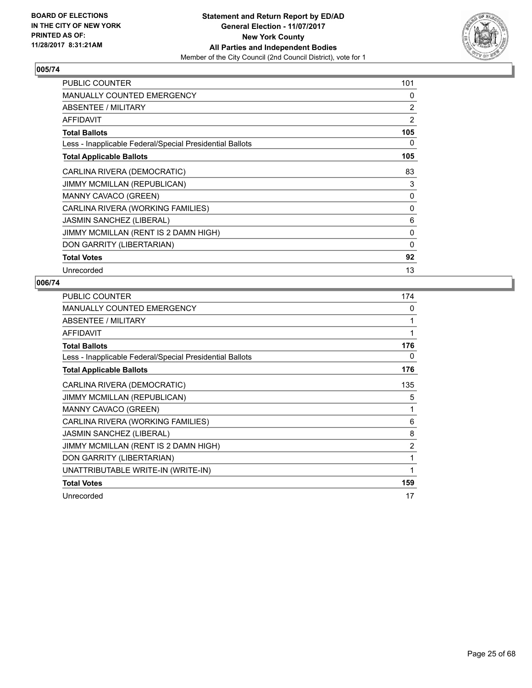

| PUBLIC COUNTER                                           | 101            |
|----------------------------------------------------------|----------------|
| <b>MANUALLY COUNTED EMERGENCY</b>                        | 0              |
| ABSENTEE / MILITARY                                      | $\overline{2}$ |
| <b>AFFIDAVIT</b>                                         | 2              |
| <b>Total Ballots</b>                                     | 105            |
| Less - Inapplicable Federal/Special Presidential Ballots | 0              |
| <b>Total Applicable Ballots</b>                          | 105            |
| CARLINA RIVERA (DEMOCRATIC)                              | 83             |
| JIMMY MCMILLAN (REPUBLICAN)                              | 3              |
| <b>MANNY CAVACO (GREEN)</b>                              | 0              |
| CARLINA RIVERA (WORKING FAMILIES)                        | 0              |
| <b>JASMIN SANCHEZ (LIBERAL)</b>                          | 6              |
| JIMMY MCMILLAN (RENT IS 2 DAMN HIGH)                     | 0              |
| DON GARRITY (LIBERTARIAN)                                | 0              |
| <b>Total Votes</b>                                       | 92             |
| Unrecorded                                               | 13             |

| <b>PUBLIC COUNTER</b>                                    | 174            |
|----------------------------------------------------------|----------------|
| <b>MANUALLY COUNTED EMERGENCY</b>                        | 0              |
| <b>ABSENTEE / MILITARY</b>                               | 1              |
| <b>AFFIDAVIT</b>                                         | 1              |
| <b>Total Ballots</b>                                     | 176            |
| Less - Inapplicable Federal/Special Presidential Ballots | 0              |
| <b>Total Applicable Ballots</b>                          | 176            |
| CARLINA RIVERA (DEMOCRATIC)                              | 135            |
| <b>JIMMY MCMILLAN (REPUBLICAN)</b>                       | 5              |
| MANNY CAVACO (GREEN)                                     | 1              |
| CARLINA RIVERA (WORKING FAMILIES)                        | 6              |
| <b>JASMIN SANCHEZ (LIBERAL)</b>                          | 8              |
| JIMMY MCMILLAN (RENT IS 2 DAMN HIGH)                     | $\overline{2}$ |
| DON GARRITY (LIBERTARIAN)                                | 1              |
| UNATTRIBUTABLE WRITE-IN (WRITE-IN)                       | 1              |
| <b>Total Votes</b>                                       | 159            |
| Unrecorded                                               | 17             |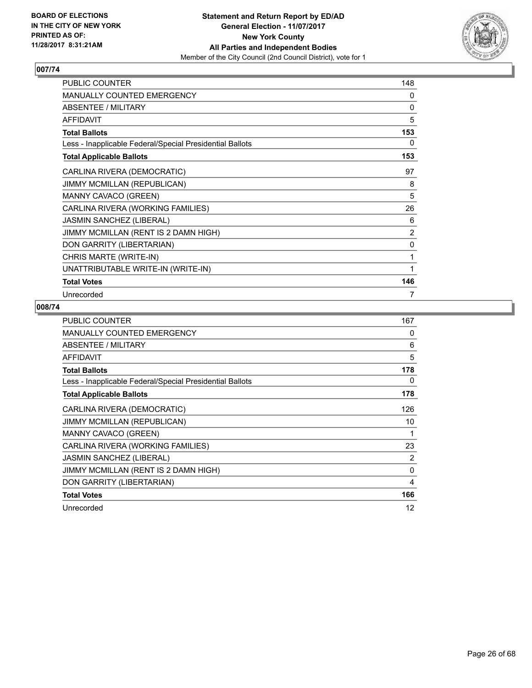

| <b>PUBLIC COUNTER</b>                                    | 148 |
|----------------------------------------------------------|-----|
| <b>MANUALLY COUNTED EMERGENCY</b>                        | 0   |
| ABSENTEE / MILITARY                                      | 0   |
| <b>AFFIDAVIT</b>                                         | 5   |
| <b>Total Ballots</b>                                     | 153 |
| Less - Inapplicable Federal/Special Presidential Ballots | 0   |
| <b>Total Applicable Ballots</b>                          | 153 |
| CARLINA RIVERA (DEMOCRATIC)                              | 97  |
| JIMMY MCMILLAN (REPUBLICAN)                              | 8   |
| <b>MANNY CAVACO (GREEN)</b>                              | 5   |
| CARLINA RIVERA (WORKING FAMILIES)                        | 26  |
| <b>JASMIN SANCHEZ (LIBERAL)</b>                          | 6   |
| JIMMY MCMILLAN (RENT IS 2 DAMN HIGH)                     | 2   |
| DON GARRITY (LIBERTARIAN)                                | 0   |
| CHRIS MARTE (WRITE-IN)                                   | 1   |
| UNATTRIBUTABLE WRITE-IN (WRITE-IN)                       | 1   |
| <b>Total Votes</b>                                       | 146 |
| Unrecorded                                               | 7   |

| <b>PUBLIC COUNTER</b>                                    | 167      |
|----------------------------------------------------------|----------|
| <b>MANUALLY COUNTED EMERGENCY</b>                        | 0        |
| ABSENTEE / MILITARY                                      | 6        |
| AFFIDAVIT                                                | 5        |
| <b>Total Ballots</b>                                     | 178      |
| Less - Inapplicable Federal/Special Presidential Ballots | 0        |
| <b>Total Applicable Ballots</b>                          | 178      |
| CARLINA RIVERA (DEMOCRATIC)                              | 126      |
| <b>JIMMY MCMILLAN (REPUBLICAN)</b>                       | 10       |
| <b>MANNY CAVACO (GREEN)</b>                              | 1        |
| CARLINA RIVERA (WORKING FAMILIES)                        | 23       |
| JASMIN SANCHEZ (LIBERAL)                                 | 2        |
| JIMMY MCMILLAN (RENT IS 2 DAMN HIGH)                     | $\Omega$ |
| DON GARRITY (LIBERTARIAN)                                | 4        |
| <b>Total Votes</b>                                       | 166      |
| Unrecorded                                               | 12       |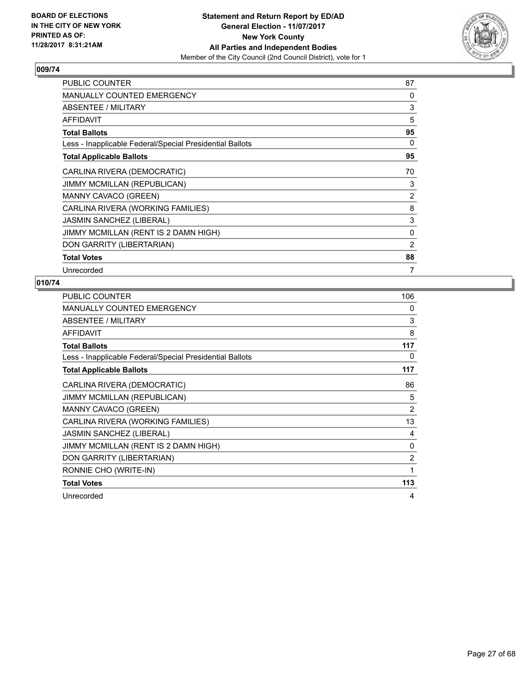

| <b>PUBLIC COUNTER</b>                                    | 87             |
|----------------------------------------------------------|----------------|
| <b>MANUALLY COUNTED EMERGENCY</b>                        | 0              |
| ABSENTEE / MILITARY                                      | 3              |
| <b>AFFIDAVIT</b>                                         | 5              |
| <b>Total Ballots</b>                                     | 95             |
| Less - Inapplicable Federal/Special Presidential Ballots | 0              |
| <b>Total Applicable Ballots</b>                          | 95             |
| CARLINA RIVERA (DEMOCRATIC)                              | 70             |
| JIMMY MCMILLAN (REPUBLICAN)                              | 3              |
| MANNY CAVACO (GREEN)                                     | $\overline{2}$ |
| CARLINA RIVERA (WORKING FAMILIES)                        | 8              |
| <b>JASMIN SANCHEZ (LIBERAL)</b>                          | 3              |
| JIMMY MCMILLAN (RENT IS 2 DAMN HIGH)                     | 0              |
| DON GARRITY (LIBERTARIAN)                                | 2              |
| <b>Total Votes</b>                                       | 88             |
| Unrecorded                                               | 7              |

| PUBLIC COUNTER                                           | 106            |
|----------------------------------------------------------|----------------|
| <b>MANUALLY COUNTED EMERGENCY</b>                        | 0              |
| <b>ABSENTEE / MILITARY</b>                               | 3              |
| <b>AFFIDAVIT</b>                                         | 8              |
| <b>Total Ballots</b>                                     | 117            |
| Less - Inapplicable Federal/Special Presidential Ballots | 0              |
| <b>Total Applicable Ballots</b>                          | 117            |
| CARLINA RIVERA (DEMOCRATIC)                              | 86             |
| <b>JIMMY MCMILLAN (REPUBLICAN)</b>                       | 5              |
| MANNY CAVACO (GREEN)                                     | $\overline{2}$ |
| CARLINA RIVERA (WORKING FAMILIES)                        | 13             |
| <b>JASMIN SANCHEZ (LIBERAL)</b>                          | 4              |
| JIMMY MCMILLAN (RENT IS 2 DAMN HIGH)                     | 0              |
| DON GARRITY (LIBERTARIAN)                                | $\overline{2}$ |
| RONNIE CHO (WRITE-IN)                                    | 1              |
| <b>Total Votes</b>                                       | 113            |
| Unrecorded                                               | 4              |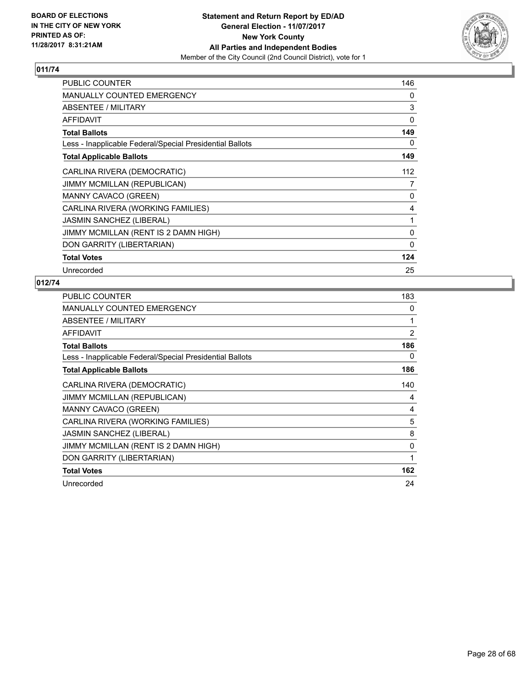

| <b>PUBLIC COUNTER</b>                                    | 146      |
|----------------------------------------------------------|----------|
| <b>MANUALLY COUNTED EMERGENCY</b>                        | 0        |
| ABSENTEE / MILITARY                                      | 3        |
| <b>AFFIDAVIT</b>                                         | $\Omega$ |
| <b>Total Ballots</b>                                     | 149      |
| Less - Inapplicable Federal/Special Presidential Ballots | 0        |
| <b>Total Applicable Ballots</b>                          | 149      |
| CARLINA RIVERA (DEMOCRATIC)                              | 112      |
| JIMMY MCMILLAN (REPUBLICAN)                              | 7        |
| <b>MANNY CAVACO (GREEN)</b>                              | 0        |
| CARLINA RIVERA (WORKING FAMILIES)                        | 4        |
| <b>JASMIN SANCHEZ (LIBERAL)</b>                          | 1        |
| JIMMY MCMILLAN (RENT IS 2 DAMN HIGH)                     | 0        |
| DON GARRITY (LIBERTARIAN)                                | 0        |
| <b>Total Votes</b>                                       | 124      |
| Unrecorded                                               | 25       |

| <b>PUBLIC COUNTER</b>                                    | 183            |
|----------------------------------------------------------|----------------|
| <b>MANUALLY COUNTED EMERGENCY</b>                        | 0              |
| ABSENTEE / MILITARY                                      | 1              |
| <b>AFFIDAVIT</b>                                         | $\overline{2}$ |
| <b>Total Ballots</b>                                     | 186            |
| Less - Inapplicable Federal/Special Presidential Ballots | 0              |
| <b>Total Applicable Ballots</b>                          | 186            |
| CARLINA RIVERA (DEMOCRATIC)                              | 140            |
| <b>JIMMY MCMILLAN (REPUBLICAN)</b>                       | 4              |
| MANNY CAVACO (GREEN)                                     | 4              |
| CARLINA RIVERA (WORKING FAMILIES)                        | 5              |
| <b>JASMIN SANCHEZ (LIBERAL)</b>                          | 8              |
| JIMMY MCMILLAN (RENT IS 2 DAMN HIGH)                     | 0              |
| DON GARRITY (LIBERTARIAN)                                | 1              |
| <b>Total Votes</b>                                       | 162            |
| Unrecorded                                               | 24             |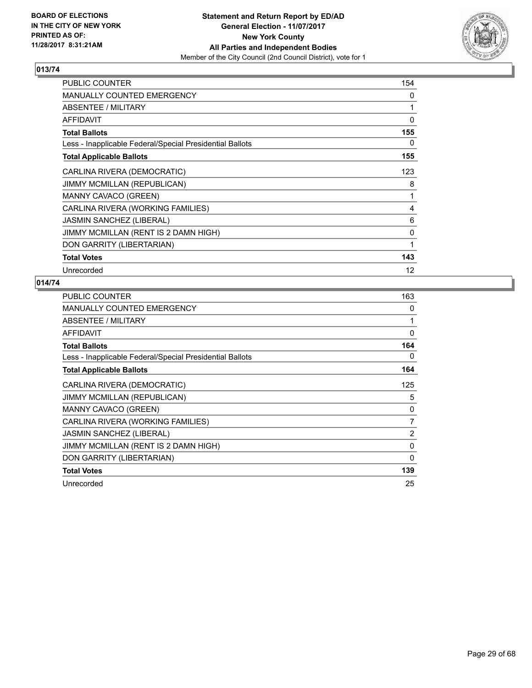

| PUBLIC COUNTER                                           | 154          |
|----------------------------------------------------------|--------------|
| MANUALLY COUNTED EMERGENCY                               | 0            |
| ABSENTEE / MILITARY                                      | 1            |
| AFFIDAVIT                                                | 0            |
| <b>Total Ballots</b>                                     | 155          |
| Less - Inapplicable Federal/Special Presidential Ballots | 0            |
| <b>Total Applicable Ballots</b>                          | 155          |
| CARLINA RIVERA (DEMOCRATIC)                              | 123          |
| <b>JIMMY MCMILLAN (REPUBLICAN)</b>                       | 8            |
| MANNY CAVACO (GREEN)                                     | 1            |
| CARLINA RIVERA (WORKING FAMILIES)                        | 4            |
| <b>JASMIN SANCHEZ (LIBERAL)</b>                          | 6            |
| JIMMY MCMILLAN (RENT IS 2 DAMN HIGH)                     | 0            |
| DON GARRITY (LIBERTARIAN)                                | $\mathbf{1}$ |
| <b>Total Votes</b>                                       | 143          |
| Unrecorded                                               | 12           |

| <b>PUBLIC COUNTER</b>                                    | 163            |
|----------------------------------------------------------|----------------|
| <b>MANUALLY COUNTED EMERGENCY</b>                        | 0              |
| ABSENTEE / MILITARY                                      | 1              |
| <b>AFFIDAVIT</b>                                         | 0              |
| <b>Total Ballots</b>                                     | 164            |
| Less - Inapplicable Federal/Special Presidential Ballots | 0              |
| <b>Total Applicable Ballots</b>                          | 164            |
| CARLINA RIVERA (DEMOCRATIC)                              | 125            |
| <b>JIMMY MCMILLAN (REPUBLICAN)</b>                       | 5              |
| MANNY CAVACO (GREEN)                                     | 0              |
| CARLINA RIVERA (WORKING FAMILIES)                        | 7              |
| <b>JASMIN SANCHEZ (LIBERAL)</b>                          | $\overline{2}$ |
| JIMMY MCMILLAN (RENT IS 2 DAMN HIGH)                     | 0              |
| DON GARRITY (LIBERTARIAN)                                | $\mathbf{0}$   |
| <b>Total Votes</b>                                       | 139            |
| Unrecorded                                               | 25             |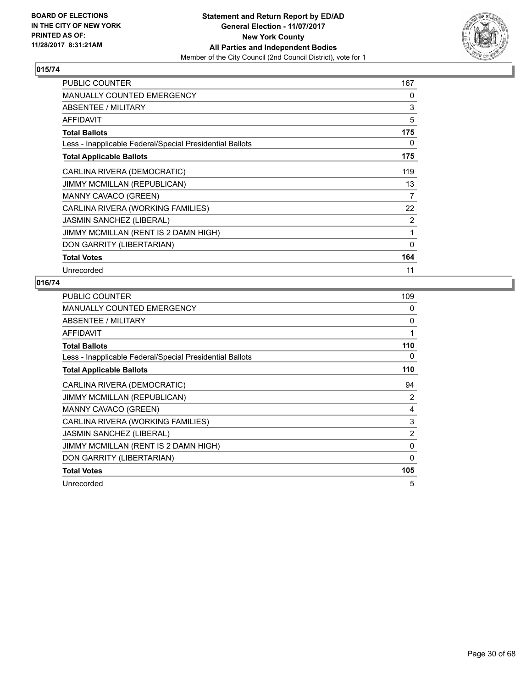

| PUBLIC COUNTER                                           | 167 |
|----------------------------------------------------------|-----|
| <b>MANUALLY COUNTED EMERGENCY</b>                        | 0   |
| ABSENTEE / MILITARY                                      | 3   |
| AFFIDAVIT                                                | 5   |
| <b>Total Ballots</b>                                     | 175 |
| Less - Inapplicable Federal/Special Presidential Ballots | 0   |
| <b>Total Applicable Ballots</b>                          | 175 |
| CARLINA RIVERA (DEMOCRATIC)                              | 119 |
| <b>JIMMY MCMILLAN (REPUBLICAN)</b>                       | 13  |
| <b>MANNY CAVACO (GREEN)</b>                              | 7   |
| CARLINA RIVERA (WORKING FAMILIES)                        | 22  |
| <b>JASMIN SANCHEZ (LIBERAL)</b>                          | 2   |
| JIMMY MCMILLAN (RENT IS 2 DAMN HIGH)                     | 1   |
| DON GARRITY (LIBERTARIAN)                                | 0   |
| <b>Total Votes</b>                                       | 164 |
| Unrecorded                                               | 11  |

| <b>PUBLIC COUNTER</b>                                    | 109            |
|----------------------------------------------------------|----------------|
| <b>MANUALLY COUNTED EMERGENCY</b>                        | 0              |
| ABSENTEE / MILITARY                                      | 0              |
| <b>AFFIDAVIT</b>                                         | 1              |
| <b>Total Ballots</b>                                     | 110            |
| Less - Inapplicable Federal/Special Presidential Ballots | 0              |
| <b>Total Applicable Ballots</b>                          | 110            |
| CARLINA RIVERA (DEMOCRATIC)                              | 94             |
| <b>JIMMY MCMILLAN (REPUBLICAN)</b>                       | 2              |
| MANNY CAVACO (GREEN)                                     | 4              |
| CARLINA RIVERA (WORKING FAMILIES)                        | 3              |
| <b>JASMIN SANCHEZ (LIBERAL)</b>                          | $\overline{2}$ |
| JIMMY MCMILLAN (RENT IS 2 DAMN HIGH)                     | 0              |
| DON GARRITY (LIBERTARIAN)                                | 0              |
| <b>Total Votes</b>                                       | 105            |
| Unrecorded                                               | 5              |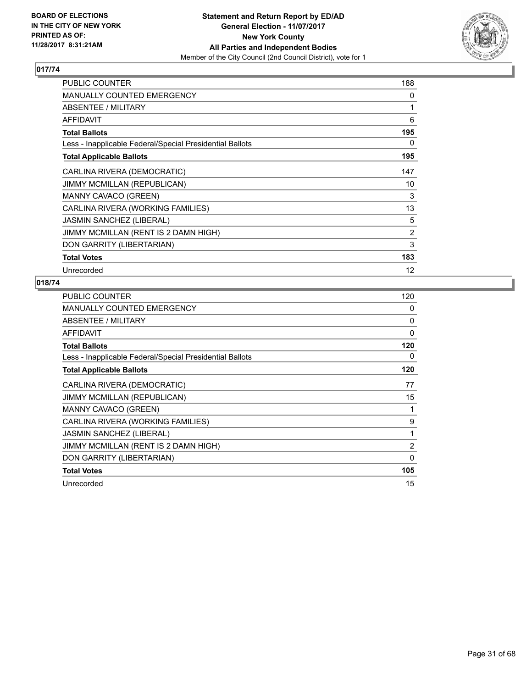

| PUBLIC COUNTER                                           | 188 |
|----------------------------------------------------------|-----|
| <b>MANUALLY COUNTED EMERGENCY</b>                        | 0   |
| ABSENTEE / MILITARY                                      | 1   |
| <b>AFFIDAVIT</b>                                         | 6   |
| <b>Total Ballots</b>                                     | 195 |
| Less - Inapplicable Federal/Special Presidential Ballots | 0   |
| <b>Total Applicable Ballots</b>                          | 195 |
| CARLINA RIVERA (DEMOCRATIC)                              | 147 |
| <b>JIMMY MCMILLAN (REPUBLICAN)</b>                       | 10  |
| MANNY CAVACO (GREEN)                                     | 3   |
| CARLINA RIVERA (WORKING FAMILIES)                        | 13  |
| <b>JASMIN SANCHEZ (LIBERAL)</b>                          | 5   |
| JIMMY MCMILLAN (RENT IS 2 DAMN HIGH)                     | 2   |
| DON GARRITY (LIBERTARIAN)                                | 3   |
| <b>Total Votes</b>                                       | 183 |
| Unrecorded                                               | 12  |

| <b>PUBLIC COUNTER</b>                                    | 120            |
|----------------------------------------------------------|----------------|
| <b>MANUALLY COUNTED EMERGENCY</b>                        | 0              |
| ABSENTEE / MILITARY                                      | 0              |
| <b>AFFIDAVIT</b>                                         | $\Omega$       |
| <b>Total Ballots</b>                                     | 120            |
| Less - Inapplicable Federal/Special Presidential Ballots | 0              |
| <b>Total Applicable Ballots</b>                          | 120            |
| CARLINA RIVERA (DEMOCRATIC)                              | 77             |
| <b>JIMMY MCMILLAN (REPUBLICAN)</b>                       | 15             |
| MANNY CAVACO (GREEN)                                     | 1              |
| CARLINA RIVERA (WORKING FAMILIES)                        | 9              |
| <b>JASMIN SANCHEZ (LIBERAL)</b>                          | 1              |
| JIMMY MCMILLAN (RENT IS 2 DAMN HIGH)                     | $\overline{2}$ |
| DON GARRITY (LIBERTARIAN)                                | 0              |
| <b>Total Votes</b>                                       | 105            |
| Unrecorded                                               | 15             |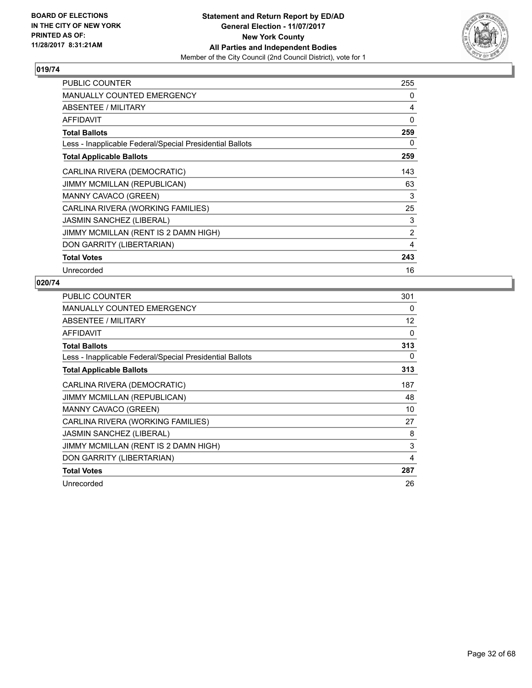

| PUBLIC COUNTER                                           | 255            |
|----------------------------------------------------------|----------------|
| <b>MANUALLY COUNTED EMERGENCY</b>                        | 0              |
| ABSENTEE / MILITARY                                      | 4              |
| AFFIDAVIT                                                | $\Omega$       |
| <b>Total Ballots</b>                                     | 259            |
| Less - Inapplicable Federal/Special Presidential Ballots | 0              |
| <b>Total Applicable Ballots</b>                          | 259            |
| CARLINA RIVERA (DEMOCRATIC)                              | 143            |
| <b>JIMMY MCMILLAN (REPUBLICAN)</b>                       | 63             |
| <b>MANNY CAVACO (GREEN)</b>                              | 3              |
| CARLINA RIVERA (WORKING FAMILIES)                        | 25             |
| <b>JASMIN SANCHEZ (LIBERAL)</b>                          | 3              |
| JIMMY MCMILLAN (RENT IS 2 DAMN HIGH)                     | $\overline{2}$ |
| DON GARRITY (LIBERTARIAN)                                | 4              |
| <b>Total Votes</b>                                       | 243            |
| Unrecorded                                               | 16             |

| <b>PUBLIC COUNTER</b>                                    | 301 |
|----------------------------------------------------------|-----|
| MANUALLY COUNTED EMERGENCY                               | 0   |
| ABSENTEE / MILITARY                                      | 12  |
| <b>AFFIDAVIT</b>                                         | 0   |
| <b>Total Ballots</b>                                     | 313 |
| Less - Inapplicable Federal/Special Presidential Ballots | 0   |
| <b>Total Applicable Ballots</b>                          | 313 |
| CARLINA RIVERA (DEMOCRATIC)                              | 187 |
| <b>JIMMY MCMILLAN (REPUBLICAN)</b>                       | 48  |
| MANNY CAVACO (GREEN)                                     | 10  |
| CARLINA RIVERA (WORKING FAMILIES)                        | 27  |
| <b>JASMIN SANCHEZ (LIBERAL)</b>                          | 8   |
| JIMMY MCMILLAN (RENT IS 2 DAMN HIGH)                     | 3   |
| DON GARRITY (LIBERTARIAN)                                | 4   |
| <b>Total Votes</b>                                       | 287 |
| Unrecorded                                               | 26  |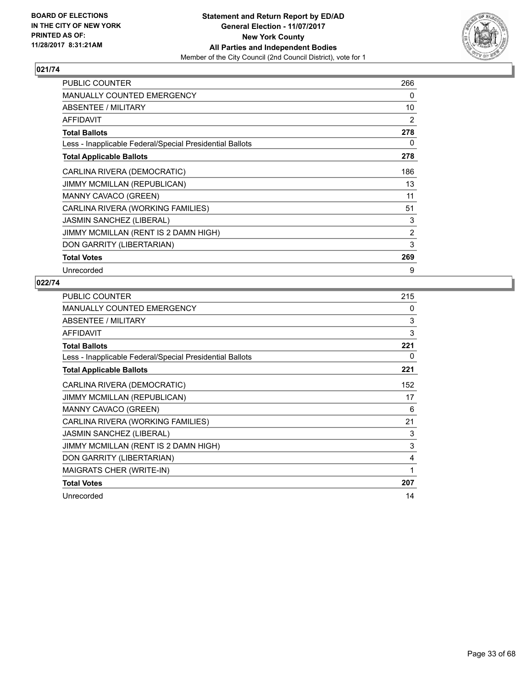

| PUBLIC COUNTER                                           | 266            |
|----------------------------------------------------------|----------------|
| <b>MANUALLY COUNTED EMERGENCY</b>                        | 0              |
| ABSENTEE / MILITARY                                      | 10             |
| <b>AFFIDAVIT</b>                                         | 2              |
| <b>Total Ballots</b>                                     | 278            |
| Less - Inapplicable Federal/Special Presidential Ballots | 0              |
| <b>Total Applicable Ballots</b>                          | 278            |
| CARLINA RIVERA (DEMOCRATIC)                              | 186            |
| <b>JIMMY MCMILLAN (REPUBLICAN)</b>                       | 13             |
| MANNY CAVACO (GREEN)                                     | 11             |
| CARLINA RIVERA (WORKING FAMILIES)                        | 51             |
| JASMIN SANCHEZ (LIBERAL)                                 | 3              |
| JIMMY MCMILLAN (RENT IS 2 DAMN HIGH)                     | $\overline{2}$ |
| DON GARRITY (LIBERTARIAN)                                | 3              |
| <b>Total Votes</b>                                       | 269            |
| Unrecorded                                               | 9              |

| <b>PUBLIC COUNTER</b>                                    | 215 |
|----------------------------------------------------------|-----|
| <b>MANUALLY COUNTED EMERGENCY</b>                        | 0   |
| ABSENTEE / MILITARY                                      | 3   |
| <b>AFFIDAVIT</b>                                         | 3   |
| <b>Total Ballots</b>                                     | 221 |
| Less - Inapplicable Federal/Special Presidential Ballots | 0   |
| <b>Total Applicable Ballots</b>                          | 221 |
| CARLINA RIVERA (DEMOCRATIC)                              | 152 |
| <b>JIMMY MCMILLAN (REPUBLICAN)</b>                       | 17  |
| MANNY CAVACO (GREEN)                                     | 6   |
| CARLINA RIVERA (WORKING FAMILIES)                        | 21  |
| <b>JASMIN SANCHEZ (LIBERAL)</b>                          | 3   |
| JIMMY MCMILLAN (RENT IS 2 DAMN HIGH)                     | 3   |
| DON GARRITY (LIBERTARIAN)                                | 4   |
| MAIGRATS CHER (WRITE-IN)                                 | 1   |
| <b>Total Votes</b>                                       | 207 |
| Unrecorded                                               | 14  |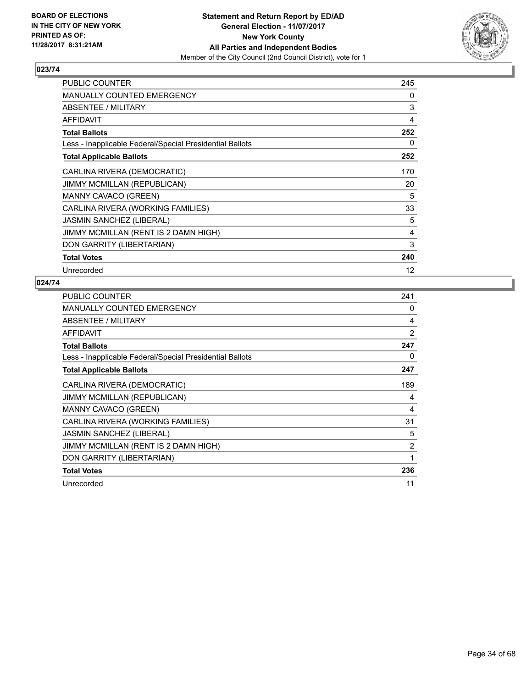

| PUBLIC COUNTER                                           | 245 |
|----------------------------------------------------------|-----|
| <b>MANUALLY COUNTED EMERGENCY</b>                        | 0   |
| <b>ABSENTEE / MILITARY</b>                               | 3   |
| AFFIDAVIT                                                | 4   |
| <b>Total Ballots</b>                                     | 252 |
| Less - Inapplicable Federal/Special Presidential Ballots | 0   |
| <b>Total Applicable Ballots</b>                          | 252 |
| CARLINA RIVERA (DEMOCRATIC)                              | 170 |
| <b>JIMMY MCMILLAN (REPUBLICAN)</b>                       | 20  |
| <b>MANNY CAVACO (GREEN)</b>                              | 5   |
| CARLINA RIVERA (WORKING FAMILIES)                        | 33  |
| <b>JASMIN SANCHEZ (LIBERAL)</b>                          | 5   |
| JIMMY MCMILLAN (RENT IS 2 DAMN HIGH)                     | 4   |
| DON GARRITY (LIBERTARIAN)                                | 3   |
| <b>Total Votes</b>                                       | 240 |
| Unrecorded                                               | 12  |

| <b>PUBLIC COUNTER</b>                                    | 241            |
|----------------------------------------------------------|----------------|
| <b>MANUALLY COUNTED EMERGENCY</b>                        | 0              |
| ABSENTEE / MILITARY                                      | 4              |
| <b>AFFIDAVIT</b>                                         | 2              |
| <b>Total Ballots</b>                                     | 247            |
| Less - Inapplicable Federal/Special Presidential Ballots | 0              |
| <b>Total Applicable Ballots</b>                          | 247            |
| CARLINA RIVERA (DEMOCRATIC)                              | 189            |
| <b>JIMMY MCMILLAN (REPUBLICAN)</b>                       | 4              |
| MANNY CAVACO (GREEN)                                     | 4              |
| CARLINA RIVERA (WORKING FAMILIES)                        | 31             |
| <b>JASMIN SANCHEZ (LIBERAL)</b>                          | 5              |
| JIMMY MCMILLAN (RENT IS 2 DAMN HIGH)                     | $\overline{2}$ |
| DON GARRITY (LIBERTARIAN)                                | 1              |
| <b>Total Votes</b>                                       | 236            |
| Unrecorded                                               | 11             |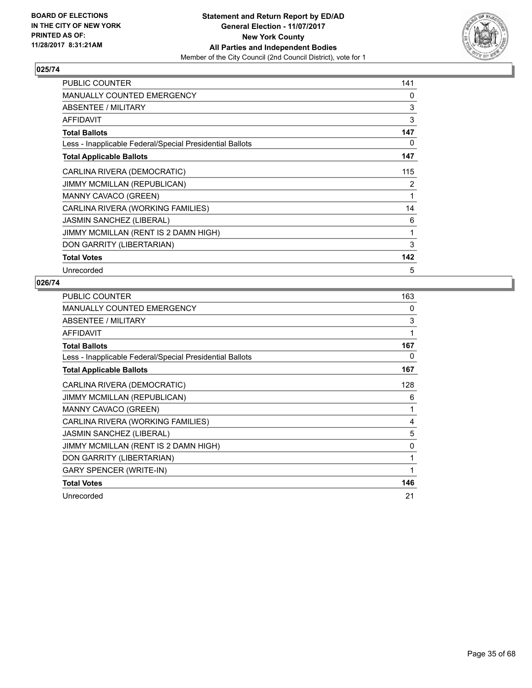

| <b>PUBLIC COUNTER</b>                                    | 141 |
|----------------------------------------------------------|-----|
| <b>MANUALLY COUNTED EMERGENCY</b>                        | 0   |
| ABSENTEE / MILITARY                                      | 3   |
| <b>AFFIDAVIT</b>                                         | 3   |
| <b>Total Ballots</b>                                     | 147 |
| Less - Inapplicable Federal/Special Presidential Ballots | 0   |
| <b>Total Applicable Ballots</b>                          | 147 |
| CARLINA RIVERA (DEMOCRATIC)                              | 115 |
| <b>JIMMY MCMILLAN (REPUBLICAN)</b>                       | 2   |
| MANNY CAVACO (GREEN)                                     | 1   |
| CARLINA RIVERA (WORKING FAMILIES)                        | 14  |
| <b>JASMIN SANCHEZ (LIBERAL)</b>                          | 6   |
| JIMMY MCMILLAN (RENT IS 2 DAMN HIGH)                     | 1   |
| DON GARRITY (LIBERTARIAN)                                | 3   |
| <b>Total Votes</b>                                       | 142 |
| Unrecorded                                               | 5   |

| <b>PUBLIC COUNTER</b>                                    | 163 |
|----------------------------------------------------------|-----|
| MANUALLY COUNTED EMERGENCY                               | 0   |
| <b>ABSENTEE / MILITARY</b>                               | 3   |
| <b>AFFIDAVIT</b>                                         | 1   |
| <b>Total Ballots</b>                                     | 167 |
| Less - Inapplicable Federal/Special Presidential Ballots | 0   |
| <b>Total Applicable Ballots</b>                          | 167 |
| CARLINA RIVERA (DEMOCRATIC)                              | 128 |
| JIMMY MCMILLAN (REPUBLICAN)                              | 6   |
| MANNY CAVACO (GREEN)                                     | 1   |
| CARLINA RIVERA (WORKING FAMILIES)                        | 4   |
| JASMIN SANCHEZ (LIBERAL)                                 | 5   |
| JIMMY MCMILLAN (RENT IS 2 DAMN HIGH)                     | 0   |
| DON GARRITY (LIBERTARIAN)                                | 1   |
| <b>GARY SPENCER (WRITE-IN)</b>                           | 1   |
| <b>Total Votes</b>                                       | 146 |
| Unrecorded                                               | 21  |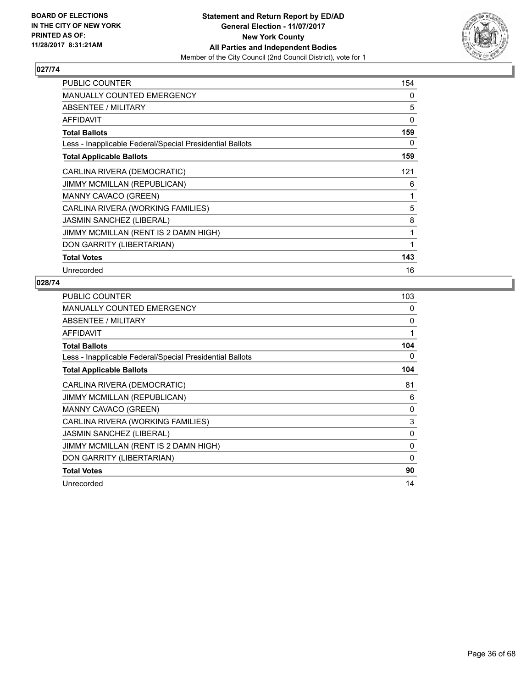

| <b>PUBLIC COUNTER</b>                                    | 154      |
|----------------------------------------------------------|----------|
| <b>MANUALLY COUNTED EMERGENCY</b>                        | 0        |
| <b>ABSENTEE / MILITARY</b>                               | 5        |
| AFFIDAVIT                                                | $\Omega$ |
| <b>Total Ballots</b>                                     | 159      |
| Less - Inapplicable Federal/Special Presidential Ballots | 0        |
| <b>Total Applicable Ballots</b>                          | 159      |
| CARLINA RIVERA (DEMOCRATIC)                              | 121      |
| <b>JIMMY MCMILLAN (REPUBLICAN)</b>                       | 6        |
| MANNY CAVACO (GREEN)                                     | 1        |
| CARLINA RIVERA (WORKING FAMILIES)                        | 5        |
| <b>JASMIN SANCHEZ (LIBERAL)</b>                          | 8        |
| JIMMY MCMILLAN (RENT IS 2 DAMN HIGH)                     | 1        |
| DON GARRITY (LIBERTARIAN)                                | 1        |
| <b>Total Votes</b>                                       | 143      |
| Unrecorded                                               | 16       |

| <b>PUBLIC COUNTER</b>                                    | 103      |
|----------------------------------------------------------|----------|
| <b>MANUALLY COUNTED EMERGENCY</b>                        | 0        |
| ABSENTEE / MILITARY                                      | 0        |
| <b>AFFIDAVIT</b>                                         | 1        |
| <b>Total Ballots</b>                                     | 104      |
| Less - Inapplicable Federal/Special Presidential Ballots | 0        |
| <b>Total Applicable Ballots</b>                          | 104      |
| CARLINA RIVERA (DEMOCRATIC)                              | 81       |
| <b>JIMMY MCMILLAN (REPUBLICAN)</b>                       | 6        |
| MANNY CAVACO (GREEN)                                     | 0        |
| CARLINA RIVERA (WORKING FAMILIES)                        | 3        |
| <b>JASMIN SANCHEZ (LIBERAL)</b>                          | 0        |
| JIMMY MCMILLAN (RENT IS 2 DAMN HIGH)                     | 0        |
| DON GARRITY (LIBERTARIAN)                                | $\Omega$ |
| <b>Total Votes</b>                                       | 90       |
| Unrecorded                                               | 14       |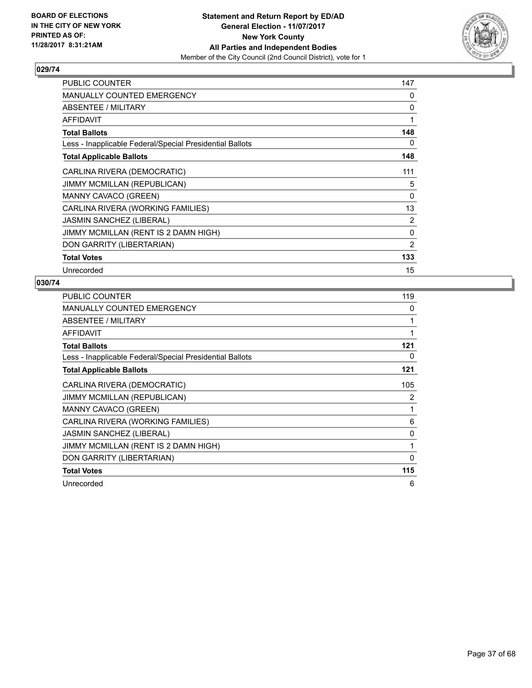

| PUBLIC COUNTER                                           | 147            |
|----------------------------------------------------------|----------------|
| <b>MANUALLY COUNTED EMERGENCY</b>                        | 0              |
| ABSENTEE / MILITARY                                      | 0              |
| <b>AFFIDAVIT</b>                                         | 1              |
| <b>Total Ballots</b>                                     | 148            |
| Less - Inapplicable Federal/Special Presidential Ballots | 0              |
| <b>Total Applicable Ballots</b>                          | 148            |
| CARLINA RIVERA (DEMOCRATIC)                              | 111            |
| <b>JIMMY MCMILLAN (REPUBLICAN)</b>                       | 5              |
| MANNY CAVACO (GREEN)                                     | $\Omega$       |
| CARLINA RIVERA (WORKING FAMILIES)                        | 13             |
| <b>JASMIN SANCHEZ (LIBERAL)</b>                          | $\overline{2}$ |
| JIMMY MCMILLAN (RENT IS 2 DAMN HIGH)                     | $\Omega$       |
| DON GARRITY (LIBERTARIAN)                                | 2              |
| <b>Total Votes</b>                                       | 133            |
| Unrecorded                                               | 15             |

| <b>PUBLIC COUNTER</b>                                    | 119      |
|----------------------------------------------------------|----------|
| <b>MANUALLY COUNTED EMERGENCY</b>                        | 0        |
| ABSENTEE / MILITARY                                      | 1        |
| AFFIDAVIT                                                | 1        |
| <b>Total Ballots</b>                                     | 121      |
| Less - Inapplicable Federal/Special Presidential Ballots | 0        |
| <b>Total Applicable Ballots</b>                          | 121      |
| CARLINA RIVERA (DEMOCRATIC)                              | 105      |
| <b>JIMMY MCMILLAN (REPUBLICAN)</b>                       | 2        |
| MANNY CAVACO (GREEN)                                     | 1        |
| CARLINA RIVERA (WORKING FAMILIES)                        | 6        |
| <b>JASMIN SANCHEZ (LIBERAL)</b>                          | 0        |
| JIMMY MCMILLAN (RENT IS 2 DAMN HIGH)                     | 1        |
| DON GARRITY (LIBERTARIAN)                                | $\Omega$ |
| <b>Total Votes</b>                                       | 115      |
| Unrecorded                                               | 6        |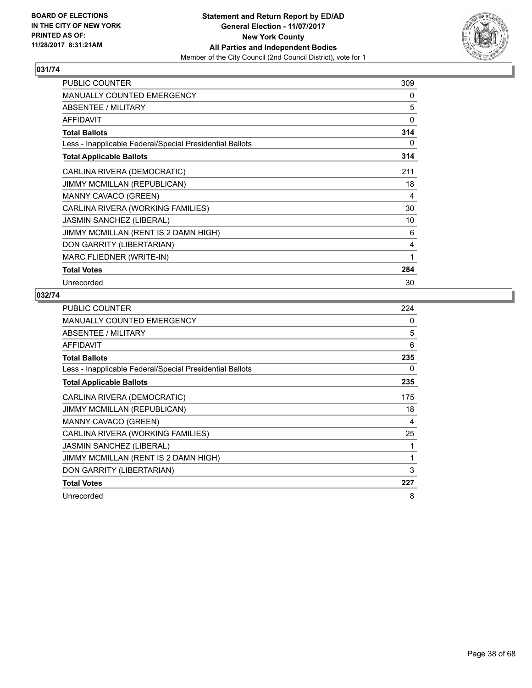

| PUBLIC COUNTER                                           | 309 |
|----------------------------------------------------------|-----|
| <b>MANUALLY COUNTED EMERGENCY</b>                        | 0   |
| <b>ABSENTEE / MILITARY</b>                               | 5   |
| <b>AFFIDAVIT</b>                                         | 0   |
| <b>Total Ballots</b>                                     | 314 |
| Less - Inapplicable Federal/Special Presidential Ballots | 0   |
| <b>Total Applicable Ballots</b>                          | 314 |
| CARLINA RIVERA (DEMOCRATIC)                              | 211 |
| JIMMY MCMILLAN (REPUBLICAN)                              | 18  |
| <b>MANNY CAVACO (GREEN)</b>                              | 4   |
| CARLINA RIVERA (WORKING FAMILIES)                        | 30  |
| JASMIN SANCHEZ (LIBERAL)                                 | 10  |
| JIMMY MCMILLAN (RENT IS 2 DAMN HIGH)                     | 6   |
| DON GARRITY (LIBERTARIAN)                                | 4   |
| <b>MARC FLIEDNER (WRITE-IN)</b>                          | 1   |
| <b>Total Votes</b>                                       | 284 |
| Unrecorded                                               | 30  |

| <b>PUBLIC COUNTER</b>                                    | 224 |
|----------------------------------------------------------|-----|
| <b>MANUALLY COUNTED EMERGENCY</b>                        | 0   |
| ABSENTEE / MILITARY                                      | 5   |
| <b>AFFIDAVIT</b>                                         | 6   |
| <b>Total Ballots</b>                                     | 235 |
| Less - Inapplicable Federal/Special Presidential Ballots | 0   |
| <b>Total Applicable Ballots</b>                          | 235 |
| CARLINA RIVERA (DEMOCRATIC)                              | 175 |
| <b>JIMMY MCMILLAN (REPUBLICAN)</b>                       | 18  |
| <b>MANNY CAVACO (GREEN)</b>                              | 4   |
| CARLINA RIVERA (WORKING FAMILIES)                        | 25  |
| <b>JASMIN SANCHEZ (LIBERAL)</b>                          | 1   |
| JIMMY MCMILLAN (RENT IS 2 DAMN HIGH)                     | 1   |
| DON GARRITY (LIBERTARIAN)                                | 3   |
| <b>Total Votes</b>                                       | 227 |
| Unrecorded                                               | 8   |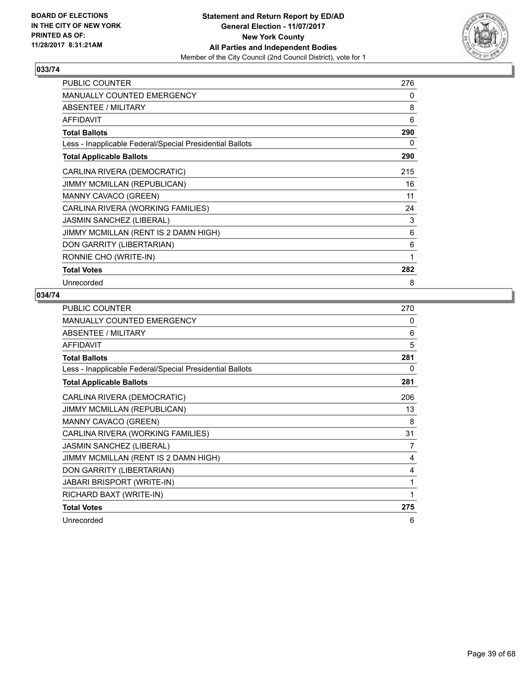

| <b>PUBLIC COUNTER</b>                                    | 276 |
|----------------------------------------------------------|-----|
| <b>MANUALLY COUNTED EMERGENCY</b>                        | 0   |
| <b>ABSENTEE / MILITARY</b>                               | 8   |
| <b>AFFIDAVIT</b>                                         | 6   |
| <b>Total Ballots</b>                                     | 290 |
| Less - Inapplicable Federal/Special Presidential Ballots | 0   |
| <b>Total Applicable Ballots</b>                          | 290 |
| CARLINA RIVERA (DEMOCRATIC)                              | 215 |
| JIMMY MCMILLAN (REPUBLICAN)                              | 16  |
| MANNY CAVACO (GREEN)                                     | 11  |
| CARLINA RIVERA (WORKING FAMILIES)                        | 24  |
| JASMIN SANCHEZ (LIBERAL)                                 | 3   |
| JIMMY MCMILLAN (RENT IS 2 DAMN HIGH)                     | 6   |
| DON GARRITY (LIBERTARIAN)                                | 6   |
| RONNIE CHO (WRITE-IN)                                    | 1   |
| <b>Total Votes</b>                                       | 282 |
| Unrecorded                                               | 8   |

| PUBLIC COUNTER                                           | 270 |
|----------------------------------------------------------|-----|
| <b>MANUALLY COUNTED EMERGENCY</b>                        | 0   |
| ABSENTEE / MILITARY                                      | 6   |
| <b>AFFIDAVIT</b>                                         | 5   |
| <b>Total Ballots</b>                                     | 281 |
| Less - Inapplicable Federal/Special Presidential Ballots | 0   |
| <b>Total Applicable Ballots</b>                          | 281 |
| CARLINA RIVERA (DEMOCRATIC)                              | 206 |
| <b>JIMMY MCMILLAN (REPUBLICAN)</b>                       | 13  |
| MANNY CAVACO (GREEN)                                     | 8   |
| CARLINA RIVERA (WORKING FAMILIES)                        | 31  |
| <b>JASMIN SANCHEZ (LIBERAL)</b>                          | 7   |
| JIMMY MCMILLAN (RENT IS 2 DAMN HIGH)                     | 4   |
| DON GARRITY (LIBERTARIAN)                                | 4   |
| JABARI BRISPORT (WRITE-IN)                               | 1   |
| RICHARD BAXT (WRITE-IN)                                  | 1   |
| <b>Total Votes</b>                                       | 275 |
| Unrecorded                                               | 6   |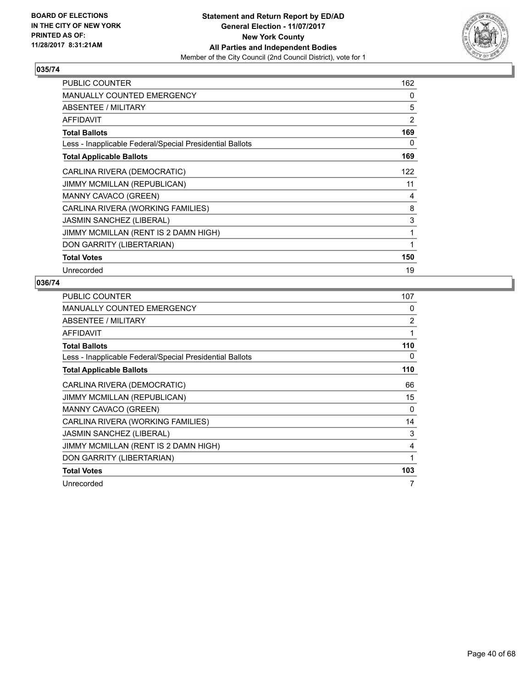

| PUBLIC COUNTER                                           | 162            |
|----------------------------------------------------------|----------------|
| <b>MANUALLY COUNTED EMERGENCY</b>                        | 0              |
| ABSENTEE / MILITARY                                      | 5              |
| <b>AFFIDAVIT</b>                                         | $\overline{2}$ |
| <b>Total Ballots</b>                                     | 169            |
| Less - Inapplicable Federal/Special Presidential Ballots | 0              |
| <b>Total Applicable Ballots</b>                          | 169            |
| CARLINA RIVERA (DEMOCRATIC)                              | 122            |
| <b>JIMMY MCMILLAN (REPUBLICAN)</b>                       | 11             |
| MANNY CAVACO (GREEN)                                     | 4              |
| CARLINA RIVERA (WORKING FAMILIES)                        | 8              |
| <b>JASMIN SANCHEZ (LIBERAL)</b>                          | 3              |
| JIMMY MCMILLAN (RENT IS 2 DAMN HIGH)                     | 1              |
| DON GARRITY (LIBERTARIAN)                                | 1              |
| <b>Total Votes</b>                                       | 150            |
| Unrecorded                                               | 19             |

| <b>PUBLIC COUNTER</b>                                    | 107            |
|----------------------------------------------------------|----------------|
| <b>MANUALLY COUNTED EMERGENCY</b>                        | 0              |
| ABSENTEE / MILITARY                                      | $\overline{2}$ |
| AFFIDAVIT                                                | 1              |
| <b>Total Ballots</b>                                     | 110            |
| Less - Inapplicable Federal/Special Presidential Ballots | 0              |
| <b>Total Applicable Ballots</b>                          | 110            |
| CARLINA RIVERA (DEMOCRATIC)                              | 66             |
| <b>JIMMY MCMILLAN (REPUBLICAN)</b>                       | 15             |
| <b>MANNY CAVACO (GREEN)</b>                              | 0              |
| CARLINA RIVERA (WORKING FAMILIES)                        | 14             |
| <b>JASMIN SANCHEZ (LIBERAL)</b>                          | 3              |
| JIMMY MCMILLAN (RENT IS 2 DAMN HIGH)                     | 4              |
| DON GARRITY (LIBERTARIAN)                                | 1              |
| <b>Total Votes</b>                                       | 103            |
| Unrecorded                                               | 7              |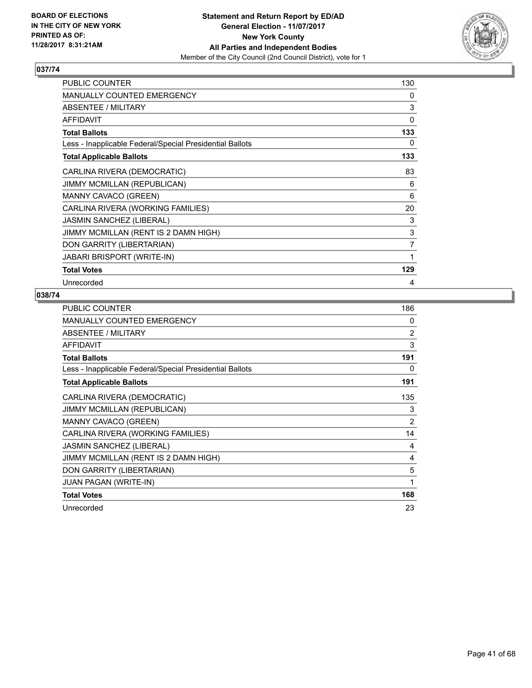

| <b>PUBLIC COUNTER</b>                                    | 130 |
|----------------------------------------------------------|-----|
| <b>MANUALLY COUNTED EMERGENCY</b>                        | 0   |
| ABSENTEE / MILITARY                                      | 3   |
| <b>AFFIDAVIT</b>                                         | 0   |
| <b>Total Ballots</b>                                     | 133 |
| Less - Inapplicable Federal/Special Presidential Ballots | 0   |
| <b>Total Applicable Ballots</b>                          | 133 |
| CARLINA RIVERA (DEMOCRATIC)                              | 83  |
| <b>JIMMY MCMILLAN (REPUBLICAN)</b>                       | 6   |
| <b>MANNY CAVACO (GREEN)</b>                              | 6   |
| CARLINA RIVERA (WORKING FAMILIES)                        | 20  |
| <b>JASMIN SANCHEZ (LIBERAL)</b>                          | 3   |
| JIMMY MCMILLAN (RENT IS 2 DAMN HIGH)                     | 3   |
| DON GARRITY (LIBERTARIAN)                                | 7   |
| <b>JABARI BRISPORT (WRITE-IN)</b>                        | 1   |
| <b>Total Votes</b>                                       | 129 |
| Unrecorded                                               | 4   |

| <b>PUBLIC COUNTER</b>                                    | 186 |
|----------------------------------------------------------|-----|
| MANUALLY COUNTED EMERGENCY                               | 0   |
| ABSENTEE / MILITARY                                      | 2   |
| AFFIDAVIT                                                | 3   |
| <b>Total Ballots</b>                                     | 191 |
| Less - Inapplicable Federal/Special Presidential Ballots | 0   |
| <b>Total Applicable Ballots</b>                          | 191 |
| CARLINA RIVERA (DEMOCRATIC)                              | 135 |
| <b>JIMMY MCMILLAN (REPUBLICAN)</b>                       | 3   |
| MANNY CAVACO (GREEN)                                     | 2   |
| CARLINA RIVERA (WORKING FAMILIES)                        | 14  |
| <b>JASMIN SANCHEZ (LIBERAL)</b>                          | 4   |
| JIMMY MCMILLAN (RENT IS 2 DAMN HIGH)                     | 4   |
| DON GARRITY (LIBERTARIAN)                                | 5   |
| JUAN PAGAN (WRITE-IN)                                    | 1   |
| <b>Total Votes</b>                                       | 168 |
| Unrecorded                                               | 23  |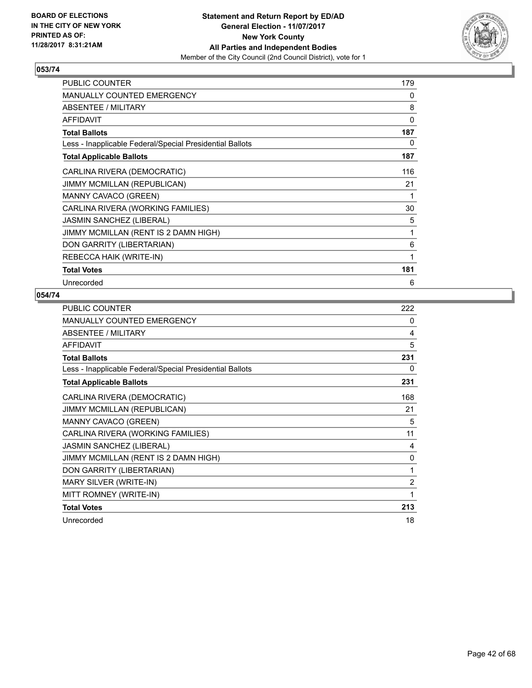

| PUBLIC COUNTER                                           | 179 |
|----------------------------------------------------------|-----|
| <b>MANUALLY COUNTED EMERGENCY</b>                        | 0   |
| ABSENTEE / MILITARY                                      | 8   |
| <b>AFFIDAVIT</b>                                         | 0   |
| <b>Total Ballots</b>                                     | 187 |
| Less - Inapplicable Federal/Special Presidential Ballots | 0   |
| <b>Total Applicable Ballots</b>                          | 187 |
| CARLINA RIVERA (DEMOCRATIC)                              | 116 |
| JIMMY MCMILLAN (REPUBLICAN)                              | 21  |
| <b>MANNY CAVACO (GREEN)</b>                              | 1   |
| CARLINA RIVERA (WORKING FAMILIES)                        | 30  |
| JASMIN SANCHEZ (LIBERAL)                                 | 5   |
| JIMMY MCMILLAN (RENT IS 2 DAMN HIGH)                     | 1   |
| DON GARRITY (LIBERTARIAN)                                | 6   |
| REBECCA HAIK (WRITE-IN)                                  | 1   |
| <b>Total Votes</b>                                       | 181 |
| Unrecorded                                               | 6   |

| <b>PUBLIC COUNTER</b>                                    | 222 |
|----------------------------------------------------------|-----|
| <b>MANUALLY COUNTED EMERGENCY</b>                        | 0   |
| <b>ABSENTEE / MILITARY</b>                               | 4   |
| <b>AFFIDAVIT</b>                                         | 5   |
| <b>Total Ballots</b>                                     | 231 |
| Less - Inapplicable Federal/Special Presidential Ballots | 0   |
| <b>Total Applicable Ballots</b>                          | 231 |
| CARLINA RIVERA (DEMOCRATIC)                              | 168 |
| <b>JIMMY MCMILLAN (REPUBLICAN)</b>                       | 21  |
| MANNY CAVACO (GREEN)                                     | 5   |
| CARLINA RIVERA (WORKING FAMILIES)                        | 11  |
| <b>JASMIN SANCHEZ (LIBERAL)</b>                          | 4   |
| JIMMY MCMILLAN (RENT IS 2 DAMN HIGH)                     | 0   |
| DON GARRITY (LIBERTARIAN)                                | 1   |
| MARY SILVER (WRITE-IN)                                   | 2   |
| MITT ROMNEY (WRITE-IN)                                   | 1   |
| <b>Total Votes</b>                                       | 213 |
| Unrecorded                                               | 18  |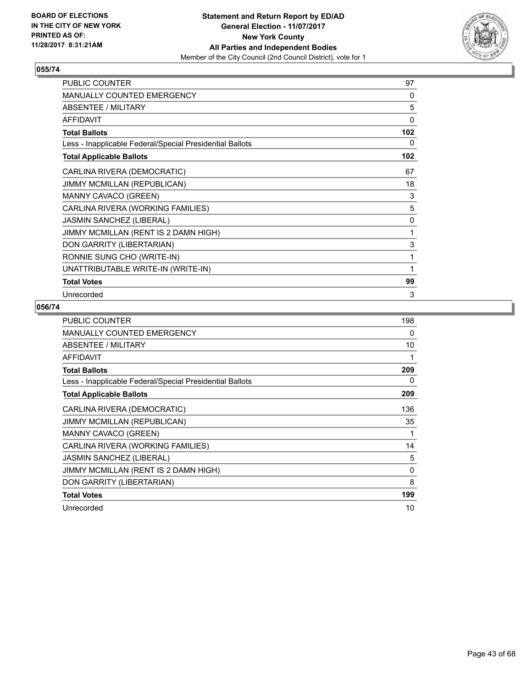

| <b>PUBLIC COUNTER</b>                                    | 97  |
|----------------------------------------------------------|-----|
| <b>MANUALLY COUNTED EMERGENCY</b>                        | 0   |
| ABSENTEE / MILITARY                                      | 5   |
| <b>AFFIDAVIT</b>                                         | 0   |
| <b>Total Ballots</b>                                     | 102 |
| Less - Inapplicable Federal/Special Presidential Ballots | 0   |
| <b>Total Applicable Ballots</b>                          | 102 |
| CARLINA RIVERA (DEMOCRATIC)                              | 67  |
| <b>JIMMY MCMILLAN (REPUBLICAN)</b>                       | 18  |
| MANNY CAVACO (GREEN)                                     | 3   |
| CARLINA RIVERA (WORKING FAMILIES)                        | 5   |
| <b>JASMIN SANCHEZ (LIBERAL)</b>                          | 0   |
| JIMMY MCMILLAN (RENT IS 2 DAMN HIGH)                     | 1   |
| DON GARRITY (LIBERTARIAN)                                | 3   |
| RONNIE SUNG CHO (WRITE-IN)                               | 1   |
| UNATTRIBUTABLE WRITE-IN (WRITE-IN)                       | 1   |
| <b>Total Votes</b>                                       | 99  |
| Unrecorded                                               | 3   |

| <b>PUBLIC COUNTER</b>                                    | 198 |
|----------------------------------------------------------|-----|
| MANUALLY COUNTED EMERGENCY                               | 0   |
| ABSENTEE / MILITARY                                      | 10  |
| <b>AFFIDAVIT</b>                                         | 1   |
| <b>Total Ballots</b>                                     | 209 |
| Less - Inapplicable Federal/Special Presidential Ballots | 0   |
| <b>Total Applicable Ballots</b>                          | 209 |
| CARLINA RIVERA (DEMOCRATIC)                              | 136 |
| <b>JIMMY MCMILLAN (REPUBLICAN)</b>                       | 35  |
| MANNY CAVACO (GREEN)                                     | 1   |
| CARLINA RIVERA (WORKING FAMILIES)                        | 14  |
| JASMIN SANCHEZ (LIBERAL)                                 | 5   |
| JIMMY MCMILLAN (RENT IS 2 DAMN HIGH)                     | 0   |
| DON GARRITY (LIBERTARIAN)                                | 8   |
| <b>Total Votes</b>                                       | 199 |
| Unrecorded                                               | 10  |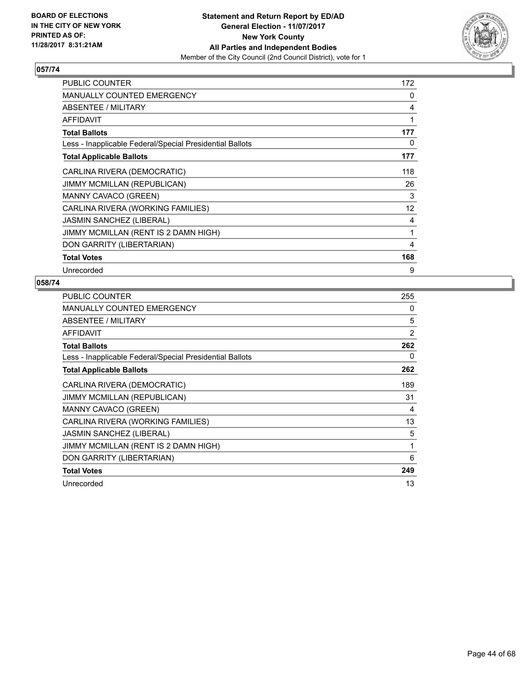

| <b>PUBLIC COUNTER</b>                                    | 172 |
|----------------------------------------------------------|-----|
| <b>MANUALLY COUNTED EMERGENCY</b>                        | 0   |
| ABSENTEE / MILITARY                                      | 4   |
| AFFIDAVIT                                                | 1   |
| <b>Total Ballots</b>                                     | 177 |
| Less - Inapplicable Federal/Special Presidential Ballots | 0   |
| <b>Total Applicable Ballots</b>                          | 177 |
| CARLINA RIVERA (DEMOCRATIC)                              | 118 |
| JIMMY MCMILLAN (REPUBLICAN)                              | 26  |
| <b>MANNY CAVACO (GREEN)</b>                              | 3   |
| CARLINA RIVERA (WORKING FAMILIES)                        | 12  |
| <b>JASMIN SANCHEZ (LIBERAL)</b>                          | 4   |
| JIMMY MCMILLAN (RENT IS 2 DAMN HIGH)                     | 1   |
| DON GARRITY (LIBERTARIAN)                                | 4   |
| <b>Total Votes</b>                                       | 168 |
| Unrecorded                                               | 9   |

| <b>PUBLIC COUNTER</b>                                    | 255            |
|----------------------------------------------------------|----------------|
| <b>MANUALLY COUNTED EMERGENCY</b>                        | 0              |
| ABSENTEE / MILITARY                                      | 5              |
| <b>AFFIDAVIT</b>                                         | $\overline{2}$ |
| <b>Total Ballots</b>                                     | 262            |
| Less - Inapplicable Federal/Special Presidential Ballots | 0              |
| <b>Total Applicable Ballots</b>                          | 262            |
| CARLINA RIVERA (DEMOCRATIC)                              | 189            |
| JIMMY MCMILLAN (REPUBLICAN)                              | 31             |
| MANNY CAVACO (GREEN)                                     | 4              |
| CARLINA RIVERA (WORKING FAMILIES)                        | 13             |
| <b>JASMIN SANCHEZ (LIBERAL)</b>                          | 5              |
| JIMMY MCMILLAN (RENT IS 2 DAMN HIGH)                     | 1              |
| DON GARRITY (LIBERTARIAN)                                | 6              |
| <b>Total Votes</b>                                       | 249            |
| Unrecorded                                               | 13             |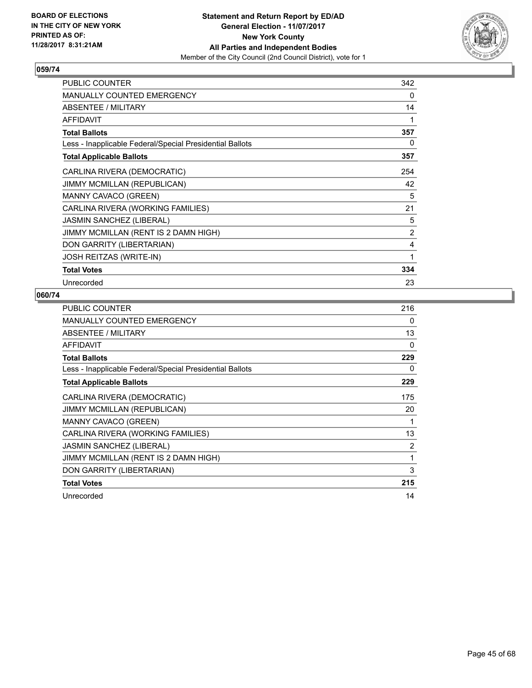

| <b>PUBLIC COUNTER</b>                                    | 342 |
|----------------------------------------------------------|-----|
| <b>MANUALLY COUNTED EMERGENCY</b>                        | 0   |
| <b>ABSENTEE / MILITARY</b>                               | 14  |
| <b>AFFIDAVIT</b>                                         | 1   |
| <b>Total Ballots</b>                                     | 357 |
| Less - Inapplicable Federal/Special Presidential Ballots | 0   |
| <b>Total Applicable Ballots</b>                          | 357 |
| CARLINA RIVERA (DEMOCRATIC)                              | 254 |
| JIMMY MCMILLAN (REPUBLICAN)                              | 42  |
| <b>MANNY CAVACO (GREEN)</b>                              | 5   |
| CARLINA RIVERA (WORKING FAMILIES)                        | 21  |
| JASMIN SANCHEZ (LIBERAL)                                 | 5   |
| JIMMY MCMILLAN (RENT IS 2 DAMN HIGH)                     | 2   |
| DON GARRITY (LIBERTARIAN)                                | 4   |
| JOSH REITZAS (WRITE-IN)                                  | 1   |
| <b>Total Votes</b>                                       | 334 |
| Unrecorded                                               | 23  |

| <b>PUBLIC COUNTER</b>                                    | 216 |
|----------------------------------------------------------|-----|
| <b>MANUALLY COUNTED EMERGENCY</b>                        | 0   |
| ABSENTEE / MILITARY                                      | 13  |
| <b>AFFIDAVIT</b>                                         | 0   |
| <b>Total Ballots</b>                                     | 229 |
| Less - Inapplicable Federal/Special Presidential Ballots | 0   |
| <b>Total Applicable Ballots</b>                          | 229 |
| CARLINA RIVERA (DEMOCRATIC)                              | 175 |
| JIMMY MCMILLAN (REPUBLICAN)                              | 20  |
| MANNY CAVACO (GREEN)                                     | 1   |
| CARLINA RIVERA (WORKING FAMILIES)                        | 13  |
| <b>JASMIN SANCHEZ (LIBERAL)</b>                          | 2   |
| JIMMY MCMILLAN (RENT IS 2 DAMN HIGH)                     | 1   |
| DON GARRITY (LIBERTARIAN)                                | 3   |
| <b>Total Votes</b>                                       | 215 |
| Unrecorded                                               | 14  |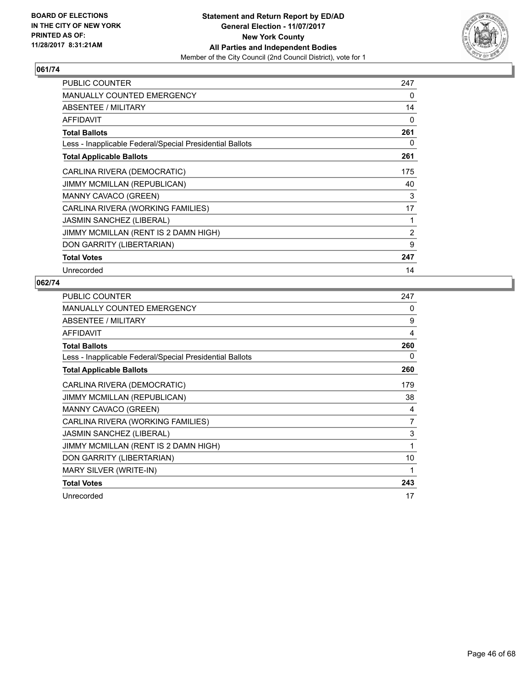

| PUBLIC COUNTER                                           | 247            |
|----------------------------------------------------------|----------------|
| <b>MANUALLY COUNTED EMERGENCY</b>                        | 0              |
| ABSENTEE / MILITARY                                      | 14             |
| AFFIDAVIT                                                | 0              |
| <b>Total Ballots</b>                                     | 261            |
| Less - Inapplicable Federal/Special Presidential Ballots | 0              |
| <b>Total Applicable Ballots</b>                          | 261            |
| CARLINA RIVERA (DEMOCRATIC)                              | 175            |
| JIMMY MCMILLAN (REPUBLICAN)                              | 40             |
| <b>MANNY CAVACO (GREEN)</b>                              | 3              |
| CARLINA RIVERA (WORKING FAMILIES)                        | 17             |
| <b>JASMIN SANCHEZ (LIBERAL)</b>                          | 1              |
| JIMMY MCMILLAN (RENT IS 2 DAMN HIGH)                     | $\overline{2}$ |
| DON GARRITY (LIBERTARIAN)                                | 9              |
| <b>Total Votes</b>                                       | 247            |
| Unrecorded                                               | 14             |

| <b>PUBLIC COUNTER</b>                                    | 247 |
|----------------------------------------------------------|-----|
| MANUALLY COUNTED EMERGENCY                               | 0   |
| ABSENTEE / MILITARY                                      | 9   |
| <b>AFFIDAVIT</b>                                         | 4   |
| <b>Total Ballots</b>                                     | 260 |
| Less - Inapplicable Federal/Special Presidential Ballots | 0   |
| <b>Total Applicable Ballots</b>                          | 260 |
| CARLINA RIVERA (DEMOCRATIC)                              | 179 |
| JIMMY MCMILLAN (REPUBLICAN)                              | 38  |
| <b>MANNY CAVACO (GREEN)</b>                              | 4   |
| CARLINA RIVERA (WORKING FAMILIES)                        | 7   |
| <b>JASMIN SANCHEZ (LIBERAL)</b>                          | 3   |
| JIMMY MCMILLAN (RENT IS 2 DAMN HIGH)                     | 1   |
| DON GARRITY (LIBERTARIAN)                                | 10  |
| MARY SILVER (WRITE-IN)                                   | 1   |
| <b>Total Votes</b>                                       | 243 |
| Unrecorded                                               | 17  |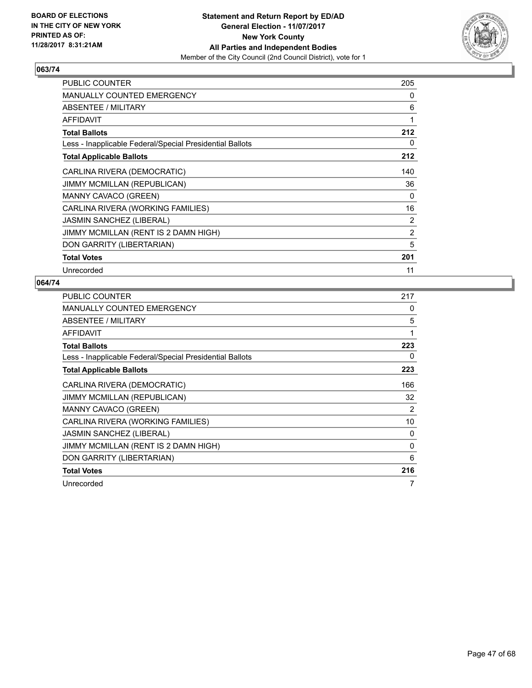

| PUBLIC COUNTER                                           | 205            |
|----------------------------------------------------------|----------------|
| <b>MANUALLY COUNTED EMERGENCY</b>                        | 0              |
| ABSENTEE / MILITARY                                      | 6              |
| <b>AFFIDAVIT</b>                                         | 1              |
| <b>Total Ballots</b>                                     | 212            |
| Less - Inapplicable Federal/Special Presidential Ballots | 0              |
| <b>Total Applicable Ballots</b>                          | 212            |
| CARLINA RIVERA (DEMOCRATIC)                              | 140            |
| <b>JIMMY MCMILLAN (REPUBLICAN)</b>                       | 36             |
| MANNY CAVACO (GREEN)                                     | 0              |
| CARLINA RIVERA (WORKING FAMILIES)                        | 16             |
| JASMIN SANCHEZ (LIBERAL)                                 | 2              |
| JIMMY MCMILLAN (RENT IS 2 DAMN HIGH)                     | $\overline{2}$ |
| DON GARRITY (LIBERTARIAN)                                | 5              |
| <b>Total Votes</b>                                       | 201            |
| Unrecorded                                               | 11             |

| <b>PUBLIC COUNTER</b>                                    | 217 |
|----------------------------------------------------------|-----|
| <b>MANUALLY COUNTED EMERGENCY</b>                        | 0   |
| ABSENTEE / MILITARY                                      | 5   |
| <b>AFFIDAVIT</b>                                         | 1   |
| <b>Total Ballots</b>                                     | 223 |
| Less - Inapplicable Federal/Special Presidential Ballots | 0   |
| <b>Total Applicable Ballots</b>                          | 223 |
| CARLINA RIVERA (DEMOCRATIC)                              | 166 |
| JIMMY MCMILLAN (REPUBLICAN)                              | 32  |
| MANNY CAVACO (GREEN)                                     | 2   |
| CARLINA RIVERA (WORKING FAMILIES)                        | 10  |
| <b>JASMIN SANCHEZ (LIBERAL)</b>                          | 0   |
| JIMMY MCMILLAN (RENT IS 2 DAMN HIGH)                     | 0   |
| DON GARRITY (LIBERTARIAN)                                | 6   |
| <b>Total Votes</b>                                       | 216 |
| Unrecorded                                               | 7   |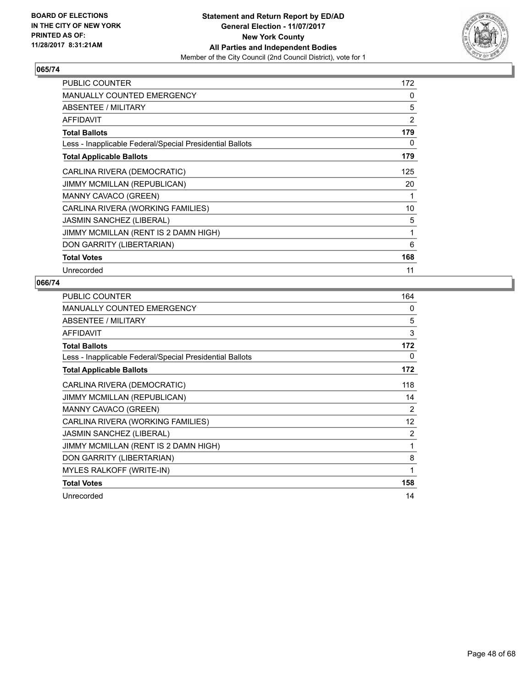

| <b>PUBLIC COUNTER</b>                                    | 172            |
|----------------------------------------------------------|----------------|
| <b>MANUALLY COUNTED EMERGENCY</b>                        | 0              |
| ABSENTEE / MILITARY                                      | 5              |
| <b>AFFIDAVIT</b>                                         | $\overline{2}$ |
| <b>Total Ballots</b>                                     | 179            |
| Less - Inapplicable Federal/Special Presidential Ballots | 0              |
| <b>Total Applicable Ballots</b>                          | 179            |
| CARLINA RIVERA (DEMOCRATIC)                              | 125            |
| <b>JIMMY MCMILLAN (REPUBLICAN)</b>                       | 20             |
| MANNY CAVACO (GREEN)                                     | 1              |
| CARLINA RIVERA (WORKING FAMILIES)                        | 10             |
| JASMIN SANCHEZ (LIBERAL)                                 | 5              |
| JIMMY MCMILLAN (RENT IS 2 DAMN HIGH)                     | 1              |
| DON GARRITY (LIBERTARIAN)                                | 6              |
| <b>Total Votes</b>                                       | 168            |
| Unrecorded                                               | 11             |

| <b>PUBLIC COUNTER</b>                                    | 164          |
|----------------------------------------------------------|--------------|
| <b>MANUALLY COUNTED EMERGENCY</b>                        | $\mathbf{0}$ |
| ABSENTEE / MILITARY                                      | 5            |
| <b>AFFIDAVIT</b>                                         | 3            |
| <b>Total Ballots</b>                                     | 172          |
| Less - Inapplicable Federal/Special Presidential Ballots | 0            |
| <b>Total Applicable Ballots</b>                          | 172          |
| CARLINA RIVERA (DEMOCRATIC)                              | 118          |
| <b>JIMMY MCMILLAN (REPUBLICAN)</b>                       | 14           |
| MANNY CAVACO (GREEN)                                     | 2            |
| CARLINA RIVERA (WORKING FAMILIES)                        | 12           |
| <b>JASMIN SANCHEZ (LIBERAL)</b>                          | 2            |
| JIMMY MCMILLAN (RENT IS 2 DAMN HIGH)                     | 1            |
| DON GARRITY (LIBERTARIAN)                                | 8            |
| <b>MYLES RALKOFF (WRITE-IN)</b>                          | 1            |
| <b>Total Votes</b>                                       | 158          |
| Unrecorded                                               | 14           |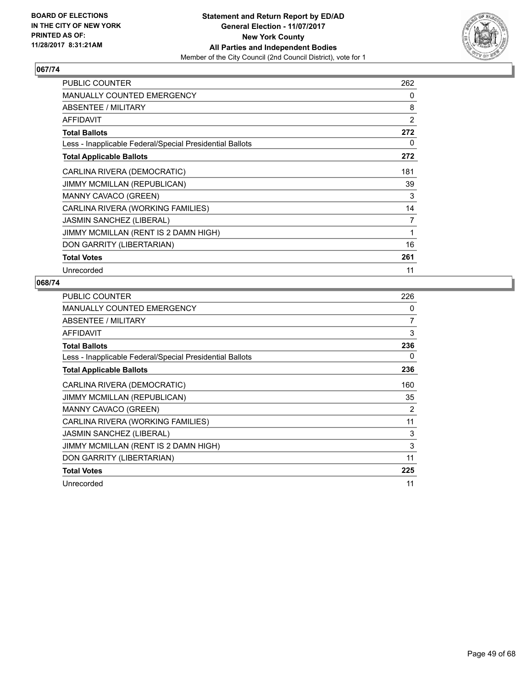

| <b>PUBLIC COUNTER</b>                                    | 262            |
|----------------------------------------------------------|----------------|
| <b>MANUALLY COUNTED EMERGENCY</b>                        | 0              |
| ABSENTEE / MILITARY                                      | 8              |
| <b>AFFIDAVIT</b>                                         | $\overline{2}$ |
| <b>Total Ballots</b>                                     | 272            |
| Less - Inapplicable Federal/Special Presidential Ballots | 0              |
| <b>Total Applicable Ballots</b>                          | 272            |
| CARLINA RIVERA (DEMOCRATIC)                              | 181            |
| <b>JIMMY MCMILLAN (REPUBLICAN)</b>                       | 39             |
| <b>MANNY CAVACO (GREEN)</b>                              | 3              |
| CARLINA RIVERA (WORKING FAMILIES)                        | 14             |
| <b>JASMIN SANCHEZ (LIBERAL)</b>                          | 7              |
| JIMMY MCMILLAN (RENT IS 2 DAMN HIGH)                     | 1              |
| DON GARRITY (LIBERTARIAN)                                | 16             |
| <b>Total Votes</b>                                       | 261            |
| Unrecorded                                               | 11             |

| <b>PUBLIC COUNTER</b>                                    | 226 |
|----------------------------------------------------------|-----|
| MANUALLY COUNTED EMERGENCY                               | 0   |
| ABSENTEE / MILITARY                                      | 7   |
| <b>AFFIDAVIT</b>                                         | 3   |
| <b>Total Ballots</b>                                     | 236 |
| Less - Inapplicable Federal/Special Presidential Ballots | 0   |
| <b>Total Applicable Ballots</b>                          | 236 |
| CARLINA RIVERA (DEMOCRATIC)                              | 160 |
| <b>JIMMY MCMILLAN (REPUBLICAN)</b>                       | 35  |
| MANNY CAVACO (GREEN)                                     | 2   |
| CARLINA RIVERA (WORKING FAMILIES)                        | 11  |
| <b>JASMIN SANCHEZ (LIBERAL)</b>                          | 3   |
| JIMMY MCMILLAN (RENT IS 2 DAMN HIGH)                     | 3   |
| DON GARRITY (LIBERTARIAN)                                | 11  |
| <b>Total Votes</b>                                       | 225 |
| Unrecorded                                               | 11  |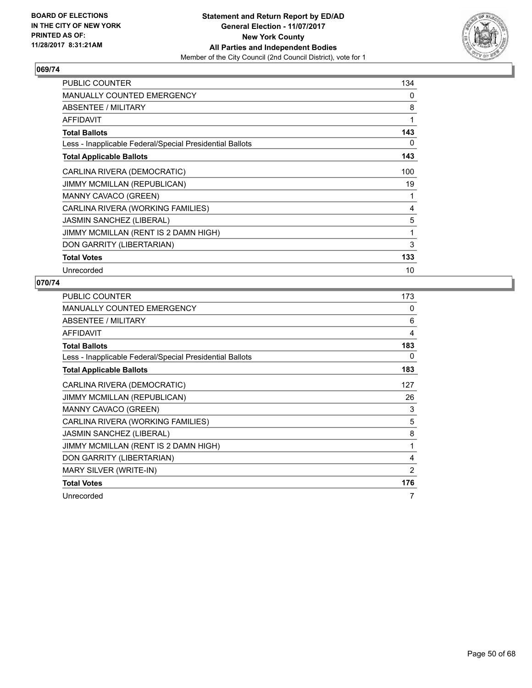

| <b>PUBLIC COUNTER</b>                                    | 134 |
|----------------------------------------------------------|-----|
| <b>MANUALLY COUNTED EMERGENCY</b>                        | 0   |
| ABSENTEE / MILITARY                                      | 8   |
| <b>AFFIDAVIT</b>                                         | 1   |
| <b>Total Ballots</b>                                     | 143 |
| Less - Inapplicable Federal/Special Presidential Ballots | 0   |
| <b>Total Applicable Ballots</b>                          | 143 |
| CARLINA RIVERA (DEMOCRATIC)                              | 100 |
| <b>JIMMY MCMILLAN (REPUBLICAN)</b>                       | 19  |
| MANNY CAVACO (GREEN)                                     | 1   |
| CARLINA RIVERA (WORKING FAMILIES)                        | 4   |
| <b>JASMIN SANCHEZ (LIBERAL)</b>                          | 5   |
| JIMMY MCMILLAN (RENT IS 2 DAMN HIGH)                     | 1   |
| DON GARRITY (LIBERTARIAN)                                | 3   |
| <b>Total Votes</b>                                       | 133 |
| Unrecorded                                               | 10  |

| <b>PUBLIC COUNTER</b>                                    | 173 |
|----------------------------------------------------------|-----|
| MANUALLY COUNTED EMERGENCY                               | 0   |
| ABSENTEE / MILITARY                                      | 6   |
| <b>AFFIDAVIT</b>                                         | 4   |
| <b>Total Ballots</b>                                     | 183 |
| Less - Inapplicable Federal/Special Presidential Ballots | 0   |
| <b>Total Applicable Ballots</b>                          | 183 |
| CARLINA RIVERA (DEMOCRATIC)                              | 127 |
| JIMMY MCMILLAN (REPUBLICAN)                              | 26  |
| MANNY CAVACO (GREEN)                                     | 3   |
| CARLINA RIVERA (WORKING FAMILIES)                        | 5   |
| <b>JASMIN SANCHEZ (LIBERAL)</b>                          | 8   |
| JIMMY MCMILLAN (RENT IS 2 DAMN HIGH)                     | 1   |
| DON GARRITY (LIBERTARIAN)                                | 4   |
| MARY SILVER (WRITE-IN)                                   | 2   |
| <b>Total Votes</b>                                       | 176 |
| Unrecorded                                               | 7   |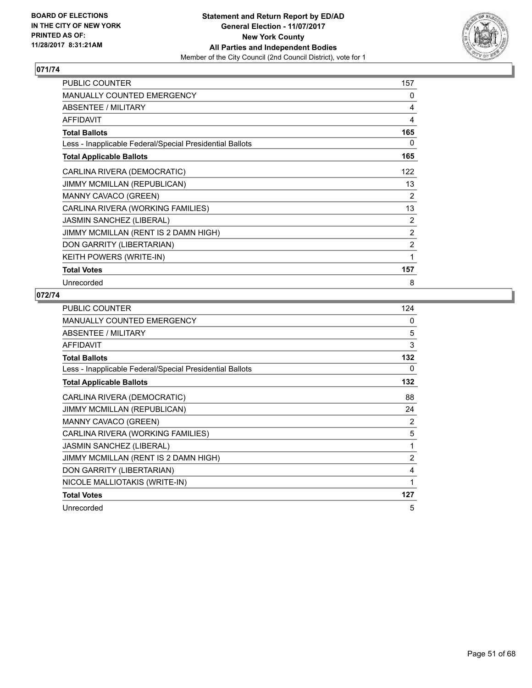

| <b>PUBLIC COUNTER</b>                                    | 157 |
|----------------------------------------------------------|-----|
| MANUALLY COUNTED EMERGENCY                               | 0   |
| <b>ABSENTEE / MILITARY</b>                               | 4   |
| <b>AFFIDAVIT</b>                                         | 4   |
| <b>Total Ballots</b>                                     | 165 |
| Less - Inapplicable Federal/Special Presidential Ballots | 0   |
| <b>Total Applicable Ballots</b>                          | 165 |
| CARLINA RIVERA (DEMOCRATIC)                              | 122 |
| JIMMY MCMILLAN (REPUBLICAN)                              | 13  |
| <b>MANNY CAVACO (GREEN)</b>                              | 2   |
| CARLINA RIVERA (WORKING FAMILIES)                        | 13  |
| JASMIN SANCHEZ (LIBERAL)                                 | 2   |
| JIMMY MCMILLAN (RENT IS 2 DAMN HIGH)                     | 2   |
| DON GARRITY (LIBERTARIAN)                                | 2   |
| KEITH POWERS (WRITE-IN)                                  | 1   |
| <b>Total Votes</b>                                       | 157 |
| Unrecorded                                               | 8   |

| <b>PUBLIC COUNTER</b>                                    | 124            |
|----------------------------------------------------------|----------------|
| MANUALLY COUNTED EMERGENCY                               | 0              |
| ABSENTEE / MILITARY                                      | 5              |
| AFFIDAVIT                                                | 3              |
| <b>Total Ballots</b>                                     | 132            |
| Less - Inapplicable Federal/Special Presidential Ballots | 0              |
| <b>Total Applicable Ballots</b>                          | 132            |
| CARLINA RIVERA (DEMOCRATIC)                              | 88             |
| <b>JIMMY MCMILLAN (REPUBLICAN)</b>                       | 24             |
| MANNY CAVACO (GREEN)                                     | 2              |
| CARLINA RIVERA (WORKING FAMILIES)                        | 5              |
| <b>JASMIN SANCHEZ (LIBERAL)</b>                          | 1              |
| JIMMY MCMILLAN (RENT IS 2 DAMN HIGH)                     | $\overline{2}$ |
| DON GARRITY (LIBERTARIAN)                                | 4              |
| NICOLE MALLIOTAKIS (WRITE-IN)                            | 1              |
| <b>Total Votes</b>                                       | 127            |
| Unrecorded                                               | 5              |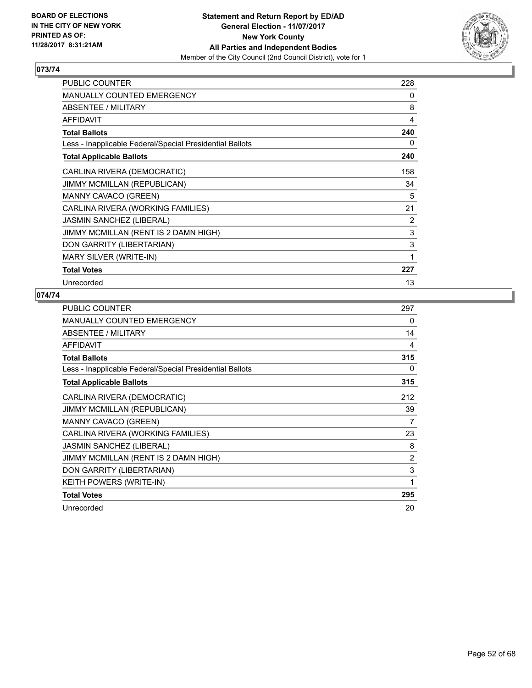

| <b>PUBLIC COUNTER</b>                                    | 228 |
|----------------------------------------------------------|-----|
| <b>MANUALLY COUNTED EMERGENCY</b>                        | 0   |
| <b>ABSENTEE / MILITARY</b>                               | 8   |
| <b>AFFIDAVIT</b>                                         | 4   |
| <b>Total Ballots</b>                                     | 240 |
| Less - Inapplicable Federal/Special Presidential Ballots | 0   |
| <b>Total Applicable Ballots</b>                          | 240 |
| CARLINA RIVERA (DEMOCRATIC)                              | 158 |
| JIMMY MCMILLAN (REPUBLICAN)                              | 34  |
| MANNY CAVACO (GREEN)                                     | 5   |
| CARLINA RIVERA (WORKING FAMILIES)                        | 21  |
| JASMIN SANCHEZ (LIBERAL)                                 | 2   |
| JIMMY MCMILLAN (RENT IS 2 DAMN HIGH)                     | 3   |
| DON GARRITY (LIBERTARIAN)                                | 3   |
| MARY SILVER (WRITE-IN)                                   | 1   |
| <b>Total Votes</b>                                       | 227 |
| Unrecorded                                               | 13  |

| <b>PUBLIC COUNTER</b>                                    | 297            |
|----------------------------------------------------------|----------------|
| <b>MANUALLY COUNTED EMERGENCY</b>                        | 0              |
| ABSENTEE / MILITARY                                      | 14             |
| <b>AFFIDAVIT</b>                                         | 4              |
| <b>Total Ballots</b>                                     | 315            |
| Less - Inapplicable Federal/Special Presidential Ballots | 0              |
| <b>Total Applicable Ballots</b>                          | 315            |
| CARLINA RIVERA (DEMOCRATIC)                              | 212            |
| <b>JIMMY MCMILLAN (REPUBLICAN)</b>                       | 39             |
| MANNY CAVACO (GREEN)                                     | 7              |
| CARLINA RIVERA (WORKING FAMILIES)                        | 23             |
| <b>JASMIN SANCHEZ (LIBERAL)</b>                          | 8              |
| JIMMY MCMILLAN (RENT IS 2 DAMN HIGH)                     | $\overline{2}$ |
| DON GARRITY (LIBERTARIAN)                                | 3              |
| KEITH POWERS (WRITE-IN)                                  | 1              |
| <b>Total Votes</b>                                       | 295            |
| Unrecorded                                               | 20             |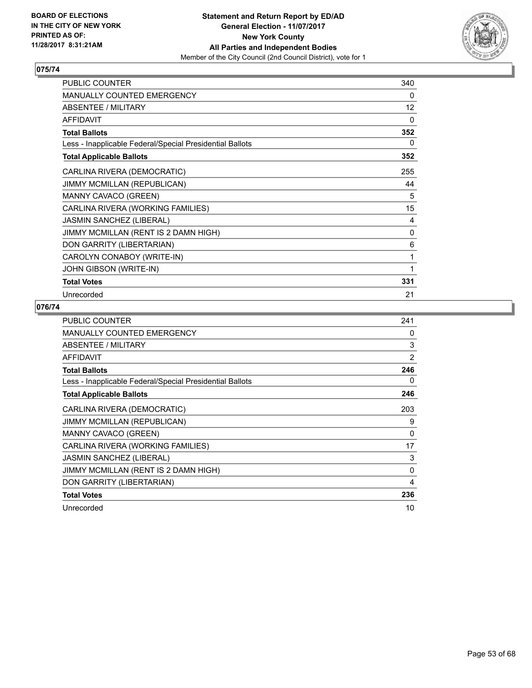

| <b>PUBLIC COUNTER</b>                                    | 340               |
|----------------------------------------------------------|-------------------|
| <b>MANUALLY COUNTED EMERGENCY</b>                        | 0                 |
| ABSENTEE / MILITARY                                      | $12 \overline{ }$ |
| <b>AFFIDAVIT</b>                                         | 0                 |
| <b>Total Ballots</b>                                     | 352               |
| Less - Inapplicable Federal/Special Presidential Ballots | 0                 |
| <b>Total Applicable Ballots</b>                          | 352               |
| CARLINA RIVERA (DEMOCRATIC)                              | 255               |
| <b>JIMMY MCMILLAN (REPUBLICAN)</b>                       | 44                |
| MANNY CAVACO (GREEN)                                     | 5                 |
| CARLINA RIVERA (WORKING FAMILIES)                        | 15                |
| <b>JASMIN SANCHEZ (LIBERAL)</b>                          | 4                 |
| JIMMY MCMILLAN (RENT IS 2 DAMN HIGH)                     | $\Omega$          |
| DON GARRITY (LIBERTARIAN)                                | 6                 |
| CAROLYN CONABOY (WRITE-IN)                               | 1                 |
| JOHN GIBSON (WRITE-IN)                                   | 1                 |
| <b>Total Votes</b>                                       | 331               |
| Unrecorded                                               | 21                |

| PUBLIC COUNTER                                           | 241      |
|----------------------------------------------------------|----------|
| <b>MANUALLY COUNTED EMERGENCY</b>                        | 0        |
| ABSENTEE / MILITARY                                      | 3        |
| AFFIDAVIT                                                | 2        |
| <b>Total Ballots</b>                                     | 246      |
| Less - Inapplicable Federal/Special Presidential Ballots | 0        |
| <b>Total Applicable Ballots</b>                          | 246      |
| CARLINA RIVERA (DEMOCRATIC)                              | 203      |
| JIMMY MCMILLAN (REPUBLICAN)                              | 9        |
| <b>MANNY CAVACO (GREEN)</b>                              | 0        |
| CARLINA RIVERA (WORKING FAMILIES)                        | 17       |
| <b>JASMIN SANCHEZ (LIBERAL)</b>                          | 3        |
| JIMMY MCMILLAN (RENT IS 2 DAMN HIGH)                     | $\Omega$ |
| DON GARRITY (LIBERTARIAN)                                | 4        |
| <b>Total Votes</b>                                       | 236      |
| Unrecorded                                               | 10       |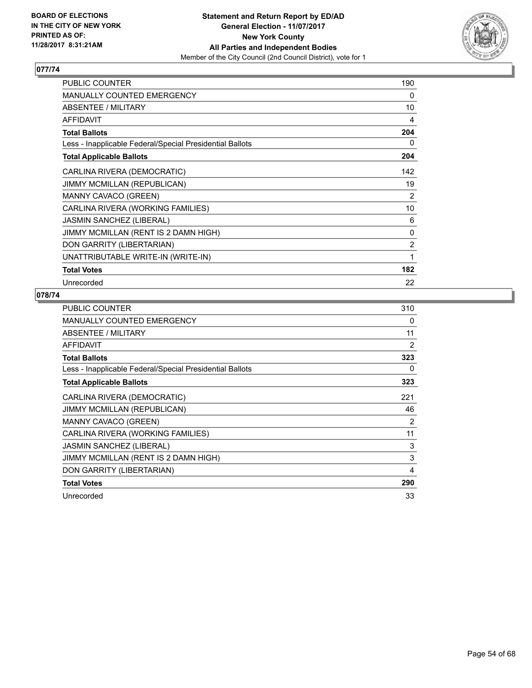

| <b>PUBLIC COUNTER</b>                                    | 190 |
|----------------------------------------------------------|-----|
| <b>MANUALLY COUNTED EMERGENCY</b>                        | 0   |
| <b>ABSENTEE / MILITARY</b>                               | 10  |
| <b>AFFIDAVIT</b>                                         | 4   |
| <b>Total Ballots</b>                                     | 204 |
| Less - Inapplicable Federal/Special Presidential Ballots | 0   |
| <b>Total Applicable Ballots</b>                          | 204 |
| CARLINA RIVERA (DEMOCRATIC)                              | 142 |
| JIMMY MCMILLAN (REPUBLICAN)                              | 19  |
| MANNY CAVACO (GREEN)                                     | 2   |
| CARLINA RIVERA (WORKING FAMILIES)                        | 10  |
| JASMIN SANCHEZ (LIBERAL)                                 | 6   |
| JIMMY MCMILLAN (RENT IS 2 DAMN HIGH)                     | 0   |
| DON GARRITY (LIBERTARIAN)                                | 2   |
| UNATTRIBUTABLE WRITE-IN (WRITE-IN)                       | 1   |
| <b>Total Votes</b>                                       | 182 |
| Unrecorded                                               | 22  |

| <b>PUBLIC COUNTER</b>                                    | 310 |
|----------------------------------------------------------|-----|
| <b>MANUALLY COUNTED EMERGENCY</b>                        | 0   |
| ABSENTEE / MILITARY                                      | 11  |
| AFFIDAVIT                                                | 2   |
| <b>Total Ballots</b>                                     | 323 |
| Less - Inapplicable Federal/Special Presidential Ballots | 0   |
| <b>Total Applicable Ballots</b>                          | 323 |
| CARLINA RIVERA (DEMOCRATIC)                              | 221 |
| <b>JIMMY MCMILLAN (REPUBLICAN)</b>                       | 46  |
| MANNY CAVACO (GREEN)                                     | 2   |
| CARLINA RIVERA (WORKING FAMILIES)                        | 11  |
| <b>JASMIN SANCHEZ (LIBERAL)</b>                          | 3   |
| JIMMY MCMILLAN (RENT IS 2 DAMN HIGH)                     | 3   |
| DON GARRITY (LIBERTARIAN)                                | 4   |
| <b>Total Votes</b>                                       | 290 |
| Unrecorded                                               | 33  |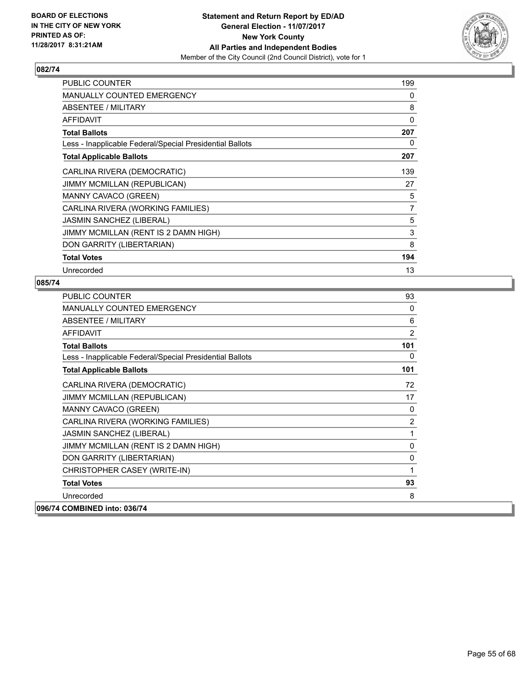

| PUBLIC COUNTER                                           | 199 |
|----------------------------------------------------------|-----|
| <b>MANUALLY COUNTED EMERGENCY</b>                        | 0   |
| ABSENTEE / MILITARY                                      | 8   |
| <b>AFFIDAVIT</b>                                         | 0   |
| <b>Total Ballots</b>                                     | 207 |
| Less - Inapplicable Federal/Special Presidential Ballots | 0   |
| <b>Total Applicable Ballots</b>                          | 207 |
| CARLINA RIVERA (DEMOCRATIC)                              | 139 |
| JIMMY MCMILLAN (REPUBLICAN)                              | 27  |
| MANNY CAVACO (GREEN)                                     | 5   |
| CARLINA RIVERA (WORKING FAMILIES)                        | 7   |
| <b>JASMIN SANCHEZ (LIBERAL)</b>                          | 5   |
| JIMMY MCMILLAN (RENT IS 2 DAMN HIGH)                     | 3   |
| DON GARRITY (LIBERTARIAN)                                | 8   |
| <b>Total Votes</b>                                       | 194 |
| Unrecorded                                               | 13  |

| <b>PUBLIC COUNTER</b>                                    | 93  |
|----------------------------------------------------------|-----|
| <b>MANUALLY COUNTED EMERGENCY</b>                        | 0   |
| <b>ABSENTEE / MILITARY</b>                               | 6   |
| <b>AFFIDAVIT</b>                                         | 2   |
| <b>Total Ballots</b>                                     | 101 |
| Less - Inapplicable Federal/Special Presidential Ballots | 0   |
| <b>Total Applicable Ballots</b>                          | 101 |
| CARLINA RIVERA (DEMOCRATIC)                              | 72  |
| <b>JIMMY MCMILLAN (REPUBLICAN)</b>                       | 17  |
| MANNY CAVACO (GREEN)                                     | 0   |
| CARLINA RIVERA (WORKING FAMILIES)                        | 2   |
| <b>JASMIN SANCHEZ (LIBERAL)</b>                          | 1   |
| JIMMY MCMILLAN (RENT IS 2 DAMN HIGH)                     | 0   |
| DON GARRITY (LIBERTARIAN)                                | 0   |
| CHRISTOPHER CASEY (WRITE-IN)                             | 1   |
| <b>Total Votes</b>                                       | 93  |
| Unrecorded                                               | 8   |
| 096/74 COMBINED into: 036/74                             |     |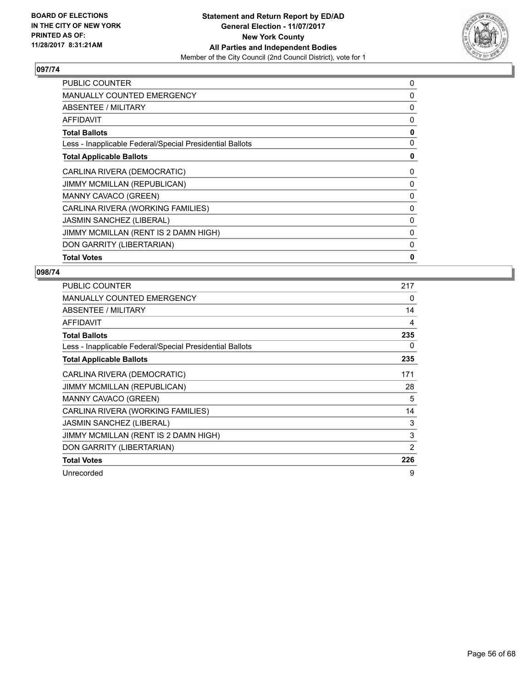

| <b>PUBLIC COUNTER</b>                                    | 0 |
|----------------------------------------------------------|---|
| <b>MANUALLY COUNTED EMERGENCY</b>                        | 0 |
| ABSENTEE / MILITARY                                      | 0 |
| <b>AFFIDAVIT</b>                                         | 0 |
| <b>Total Ballots</b>                                     | 0 |
| Less - Inapplicable Federal/Special Presidential Ballots | 0 |
| <b>Total Applicable Ballots</b>                          | 0 |
| CARLINA RIVERA (DEMOCRATIC)                              | 0 |
| JIMMY MCMILLAN (REPUBLICAN)                              | 0 |
| MANNY CAVACO (GREEN)                                     | 0 |
| CARLINA RIVERA (WORKING FAMILIES)                        | 0 |
| <b>JASMIN SANCHEZ (LIBERAL)</b>                          | 0 |
| JIMMY MCMILLAN (RENT IS 2 DAMN HIGH)                     | 0 |
| DON GARRITY (LIBERTARIAN)                                | 0 |
| <b>Total Votes</b>                                       | 0 |

| PUBLIC COUNTER                                           | 217 |
|----------------------------------------------------------|-----|
| MANUALLY COUNTED EMERGENCY                               | 0   |
| ABSENTEE / MILITARY                                      | 14  |
| AFFIDAVIT                                                | 4   |
| <b>Total Ballots</b>                                     | 235 |
| Less - Inapplicable Federal/Special Presidential Ballots | 0   |
| <b>Total Applicable Ballots</b>                          | 235 |
| CARLINA RIVERA (DEMOCRATIC)                              | 171 |
| JIMMY MCMILLAN (REPUBLICAN)                              | 28  |
| <b>MANNY CAVACO (GREEN)</b>                              | 5   |
| CARLINA RIVERA (WORKING FAMILIES)                        | 14  |
| <b>JASMIN SANCHEZ (LIBERAL)</b>                          | 3   |
| JIMMY MCMILLAN (RENT IS 2 DAMN HIGH)                     | 3   |
| DON GARRITY (LIBERTARIAN)                                | 2   |
| <b>Total Votes</b>                                       | 226 |
| Unrecorded                                               | 9   |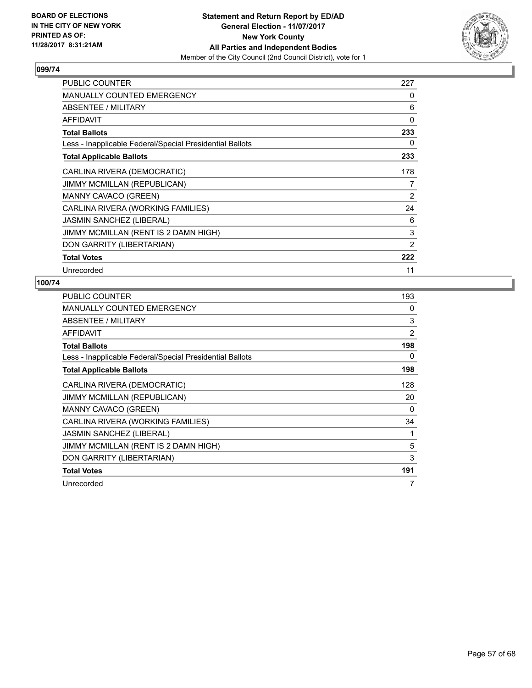

| PUBLIC COUNTER                                           | 227 |
|----------------------------------------------------------|-----|
| <b>MANUALLY COUNTED EMERGENCY</b>                        | 0   |
| ABSENTEE / MILITARY                                      | 6   |
| AFFIDAVIT                                                | 0   |
| <b>Total Ballots</b>                                     | 233 |
| Less - Inapplicable Federal/Special Presidential Ballots | 0   |
| <b>Total Applicable Ballots</b>                          | 233 |
| CARLINA RIVERA (DEMOCRATIC)                              | 178 |
| JIMMY MCMILLAN (REPUBLICAN)                              | 7   |
| <b>MANNY CAVACO (GREEN)</b>                              | 2   |
| CARLINA RIVERA (WORKING FAMILIES)                        | 24  |
| <b>JASMIN SANCHEZ (LIBERAL)</b>                          | 6   |
| JIMMY MCMILLAN (RENT IS 2 DAMN HIGH)                     | 3   |
| DON GARRITY (LIBERTARIAN)                                | 2   |
| <b>Total Votes</b>                                       | 222 |
| Unrecorded                                               | 11  |

| <b>PUBLIC COUNTER</b>                                    | 193 |
|----------------------------------------------------------|-----|
| <b>MANUALLY COUNTED EMERGENCY</b>                        | 0   |
| ABSENTEE / MILITARY                                      | 3   |
| AFFIDAVIT                                                | 2   |
| <b>Total Ballots</b>                                     | 198 |
| Less - Inapplicable Federal/Special Presidential Ballots | 0   |
| <b>Total Applicable Ballots</b>                          | 198 |
| CARLINA RIVERA (DEMOCRATIC)                              | 128 |
| <b>JIMMY MCMILLAN (REPUBLICAN)</b>                       | 20  |
| <b>MANNY CAVACO (GREEN)</b>                              | 0   |
| CARLINA RIVERA (WORKING FAMILIES)                        | 34  |
| <b>JASMIN SANCHEZ (LIBERAL)</b>                          | 1   |
| JIMMY MCMILLAN (RENT IS 2 DAMN HIGH)                     | 5   |
| DON GARRITY (LIBERTARIAN)                                | 3   |
| <b>Total Votes</b>                                       | 191 |
| Unrecorded                                               | 7   |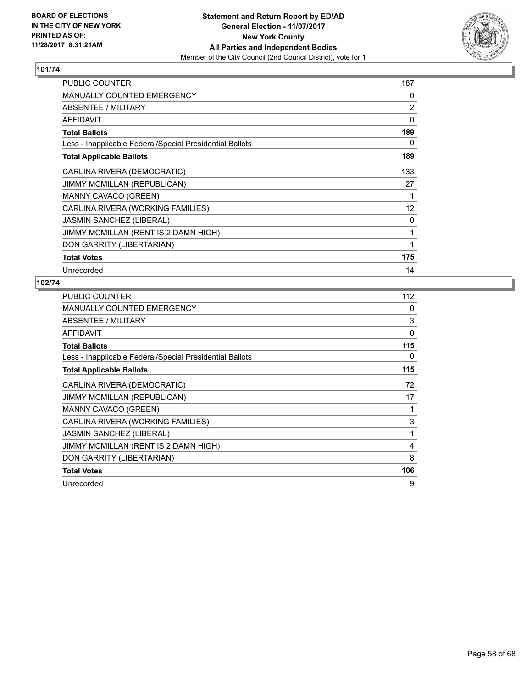

| PUBLIC COUNTER                                           | 187 |
|----------------------------------------------------------|-----|
| <b>MANUALLY COUNTED EMERGENCY</b>                        | 0   |
| ABSENTEE / MILITARY                                      | 2   |
| <b>AFFIDAVIT</b>                                         | 0   |
| <b>Total Ballots</b>                                     | 189 |
| Less - Inapplicable Federal/Special Presidential Ballots | 0   |
| <b>Total Applicable Ballots</b>                          | 189 |
| CARLINA RIVERA (DEMOCRATIC)                              | 133 |
| JIMMY MCMILLAN (REPUBLICAN)                              | 27  |
| MANNY CAVACO (GREEN)                                     | 1   |
| CARLINA RIVERA (WORKING FAMILIES)                        | 12  |
| <b>JASMIN SANCHEZ (LIBERAL)</b>                          | 0   |
| JIMMY MCMILLAN (RENT IS 2 DAMN HIGH)                     | 1   |
| DON GARRITY (LIBERTARIAN)                                | 1   |
| <b>Total Votes</b>                                       | 175 |
| Unrecorded                                               | 14  |

| <b>PUBLIC COUNTER</b>                                    | 112 |
|----------------------------------------------------------|-----|
| <b>MANUALLY COUNTED EMERGENCY</b>                        | 0   |
| ABSENTEE / MILITARY                                      | 3   |
| AFFIDAVIT                                                | 0   |
| <b>Total Ballots</b>                                     | 115 |
| Less - Inapplicable Federal/Special Presidential Ballots | 0   |
| <b>Total Applicable Ballots</b>                          | 115 |
| CARLINA RIVERA (DEMOCRATIC)                              | 72  |
| <b>JIMMY MCMILLAN (REPUBLICAN)</b>                       | 17  |
| <b>MANNY CAVACO (GREEN)</b>                              | 1   |
| CARLINA RIVERA (WORKING FAMILIES)                        | 3   |
| <b>JASMIN SANCHEZ (LIBERAL)</b>                          | 1   |
| JIMMY MCMILLAN (RENT IS 2 DAMN HIGH)                     | 4   |
| DON GARRITY (LIBERTARIAN)                                | 8   |
| <b>Total Votes</b>                                       | 106 |
| Unrecorded                                               | 9   |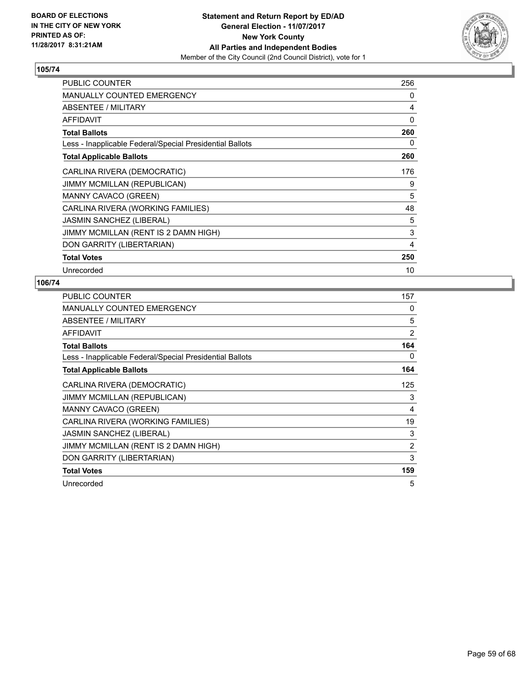

| <b>PUBLIC COUNTER</b>                                    | 256 |
|----------------------------------------------------------|-----|
| <b>MANUALLY COUNTED EMERGENCY</b>                        | 0   |
| ABSENTEE / MILITARY                                      | 4   |
| <b>AFFIDAVIT</b>                                         | 0   |
| <b>Total Ballots</b>                                     | 260 |
| Less - Inapplicable Federal/Special Presidential Ballots | 0   |
| <b>Total Applicable Ballots</b>                          | 260 |
| CARLINA RIVERA (DEMOCRATIC)                              | 176 |
| <b>JIMMY MCMILLAN (REPUBLICAN)</b>                       | 9   |
| MANNY CAVACO (GREEN)                                     | 5   |
| CARLINA RIVERA (WORKING FAMILIES)                        | 48  |
| <b>JASMIN SANCHEZ (LIBERAL)</b>                          | 5   |
| JIMMY MCMILLAN (RENT IS 2 DAMN HIGH)                     | 3   |
| DON GARRITY (LIBERTARIAN)                                | 4   |
| <b>Total Votes</b>                                       | 250 |
| Unrecorded                                               | 10  |

| <b>PUBLIC COUNTER</b>                                    | 157            |
|----------------------------------------------------------|----------------|
| <b>MANUALLY COUNTED EMERGENCY</b>                        | 0              |
| ABSENTEE / MILITARY                                      | 5              |
| AFFIDAVIT                                                | 2              |
| <b>Total Ballots</b>                                     | 164            |
| Less - Inapplicable Federal/Special Presidential Ballots | 0              |
| <b>Total Applicable Ballots</b>                          | 164            |
| CARLINA RIVERA (DEMOCRATIC)                              | 125            |
| <b>JIMMY MCMILLAN (REPUBLICAN)</b>                       | 3              |
| MANNY CAVACO (GREEN)                                     | 4              |
| CARLINA RIVERA (WORKING FAMILIES)                        | 19             |
| <b>JASMIN SANCHEZ (LIBERAL)</b>                          | 3              |
| JIMMY MCMILLAN (RENT IS 2 DAMN HIGH)                     | $\overline{2}$ |
| DON GARRITY (LIBERTARIAN)                                | 3              |
| <b>Total Votes</b>                                       | 159            |
| Unrecorded                                               | 5              |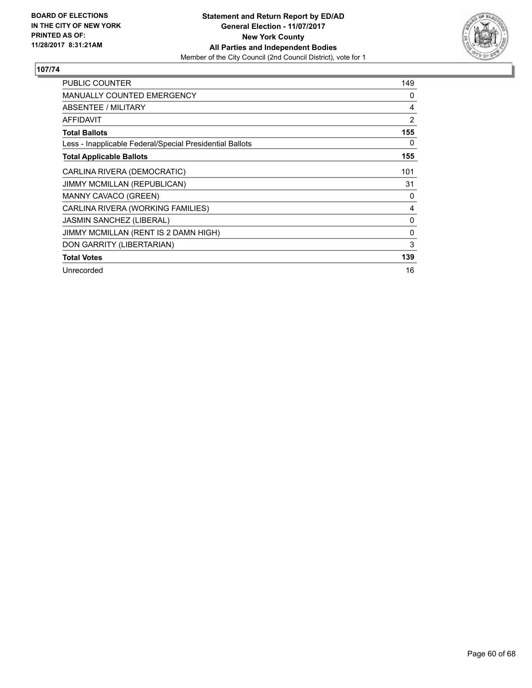

| <b>PUBLIC COUNTER</b>                                    | 149            |
|----------------------------------------------------------|----------------|
| <b>MANUALLY COUNTED EMERGENCY</b>                        | 0              |
| <b>ABSENTEE / MILITARY</b>                               | 4              |
| <b>AFFIDAVIT</b>                                         | $\overline{2}$ |
| <b>Total Ballots</b>                                     | 155            |
| Less - Inapplicable Federal/Special Presidential Ballots | 0              |
| <b>Total Applicable Ballots</b>                          | 155            |
| CARLINA RIVERA (DEMOCRATIC)                              | 101            |
| <b>JIMMY MCMILLAN (REPUBLICAN)</b>                       | 31             |
| MANNY CAVACO (GREEN)                                     | 0              |
| CARLINA RIVERA (WORKING FAMILIES)                        | 4              |
| JASMIN SANCHEZ (LIBERAL)                                 | 0              |
| JIMMY MCMILLAN (RENT IS 2 DAMN HIGH)                     | $\mathbf{0}$   |
| DON GARRITY (LIBERTARIAN)                                | 3              |
| <b>Total Votes</b>                                       | 139            |
| Unrecorded                                               | 16             |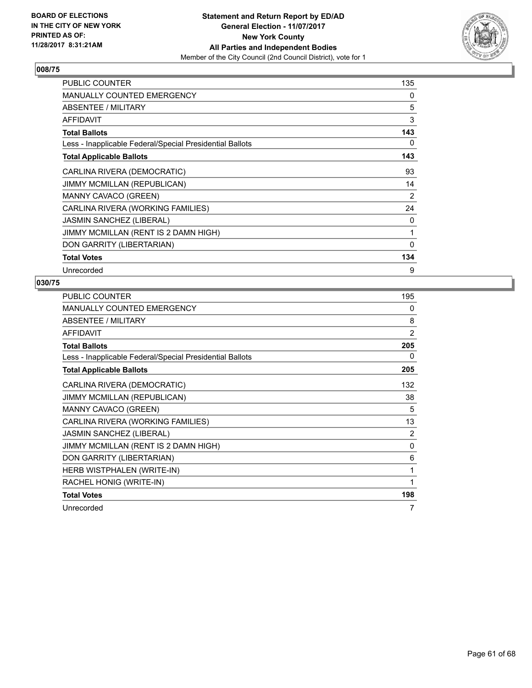

| PUBLIC COUNTER                                           | 135 |
|----------------------------------------------------------|-----|
| <b>MANUALLY COUNTED EMERGENCY</b>                        | 0   |
| ABSENTEE / MILITARY                                      | 5   |
| AFFIDAVIT                                                | 3   |
| <b>Total Ballots</b>                                     | 143 |
| Less - Inapplicable Federal/Special Presidential Ballots | 0   |
| <b>Total Applicable Ballots</b>                          | 143 |
| CARLINA RIVERA (DEMOCRATIC)                              | 93  |
| JIMMY MCMILLAN (REPUBLICAN)                              | 14  |
| <b>MANNY CAVACO (GREEN)</b>                              | 2   |
| CARLINA RIVERA (WORKING FAMILIES)                        | 24  |
| <b>JASMIN SANCHEZ (LIBERAL)</b>                          | 0   |
| JIMMY MCMILLAN (RENT IS 2 DAMN HIGH)                     | 1   |
| DON GARRITY (LIBERTARIAN)                                | 0   |
| <b>Total Votes</b>                                       | 134 |
| Unrecorded                                               | 9   |

| <b>PUBLIC COUNTER</b>                                    | 195            |
|----------------------------------------------------------|----------------|
| <b>MANUALLY COUNTED EMERGENCY</b>                        | 0              |
| ABSENTEE / MILITARY                                      | 8              |
| <b>AFFIDAVIT</b>                                         | $\overline{2}$ |
| <b>Total Ballots</b>                                     | 205            |
| Less - Inapplicable Federal/Special Presidential Ballots | 0              |
| <b>Total Applicable Ballots</b>                          | 205            |
| CARLINA RIVERA (DEMOCRATIC)                              | 132            |
| <b>JIMMY MCMILLAN (REPUBLICAN)</b>                       | 38             |
| MANNY CAVACO (GREEN)                                     | 5              |
| CARLINA RIVERA (WORKING FAMILIES)                        | 13             |
| <b>JASMIN SANCHEZ (LIBERAL)</b>                          | 2              |
| JIMMY MCMILLAN (RENT IS 2 DAMN HIGH)                     | $\mathbf{0}$   |
| DON GARRITY (LIBERTARIAN)                                | 6              |
| HERB WISTPHALEN (WRITE-IN)                               | 1              |
| RACHEL HONIG (WRITE-IN)                                  | 1              |
| <b>Total Votes</b>                                       | 198            |
| Unrecorded                                               | 7              |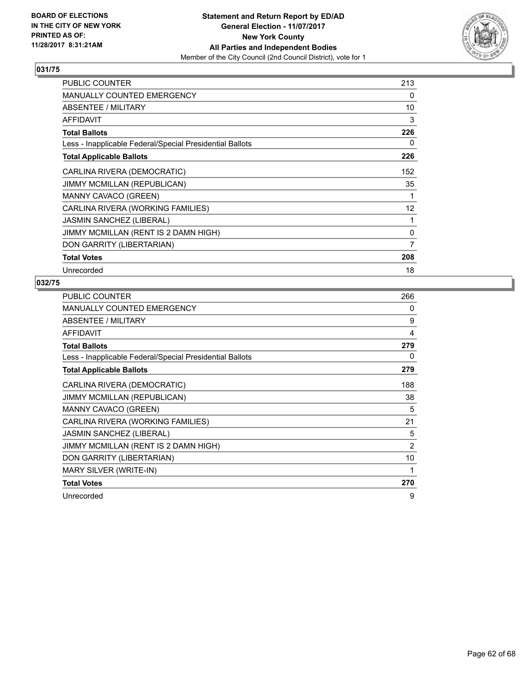

| PUBLIC COUNTER                                           | 213 |
|----------------------------------------------------------|-----|
| <b>MANUALLY COUNTED EMERGENCY</b>                        | 0   |
| ABSENTEE / MILITARY                                      | 10  |
| <b>AFFIDAVIT</b>                                         | 3   |
| <b>Total Ballots</b>                                     | 226 |
| Less - Inapplicable Federal/Special Presidential Ballots | 0   |
| <b>Total Applicable Ballots</b>                          | 226 |
| CARLINA RIVERA (DEMOCRATIC)                              | 152 |
| JIMMY MCMILLAN (REPUBLICAN)                              | 35  |
| MANNY CAVACO (GREEN)                                     | 1   |
| CARLINA RIVERA (WORKING FAMILIES)                        | 12  |
| <b>JASMIN SANCHEZ (LIBERAL)</b>                          | 1   |
| JIMMY MCMILLAN (RENT IS 2 DAMN HIGH)                     | 0   |
| DON GARRITY (LIBERTARIAN)                                | 7   |
| <b>Total Votes</b>                                       | 208 |
| Unrecorded                                               | 18  |

| <b>PUBLIC COUNTER</b>                                    | 266            |
|----------------------------------------------------------|----------------|
| <b>MANUALLY COUNTED EMERGENCY</b>                        | 0              |
| <b>ABSENTEE / MILITARY</b>                               | 9              |
| <b>AFFIDAVIT</b>                                         | 4              |
| <b>Total Ballots</b>                                     | 279            |
| Less - Inapplicable Federal/Special Presidential Ballots | 0              |
| <b>Total Applicable Ballots</b>                          | 279            |
| CARLINA RIVERA (DEMOCRATIC)                              | 188            |
| JIMMY MCMILLAN (REPUBLICAN)                              | 38             |
| MANNY CAVACO (GREEN)                                     | 5              |
| CARLINA RIVERA (WORKING FAMILIES)                        | 21             |
| JASMIN SANCHEZ (LIBERAL)                                 | 5              |
| JIMMY MCMILLAN (RENT IS 2 DAMN HIGH)                     | $\overline{2}$ |
| DON GARRITY (LIBERTARIAN)                                | 10             |
| <b>MARY SILVER (WRITE-IN)</b>                            | 1              |
| <b>Total Votes</b>                                       | 270            |
| Unrecorded                                               | 9              |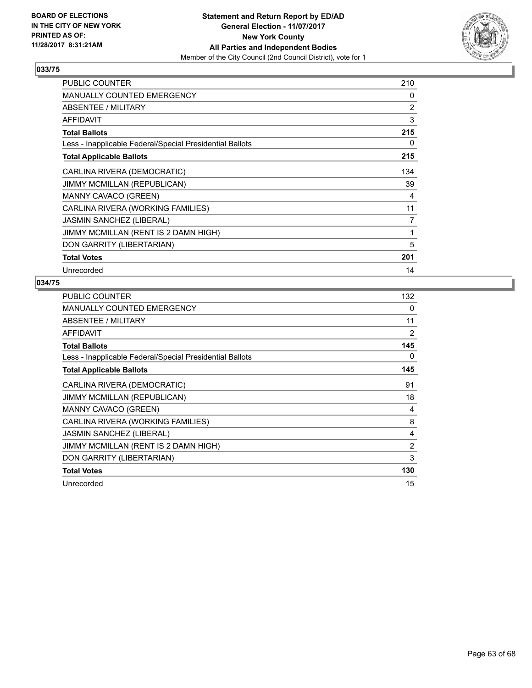

| PUBLIC COUNTER                                           | 210            |
|----------------------------------------------------------|----------------|
| <b>MANUALLY COUNTED EMERGENCY</b>                        | 0              |
| ABSENTEE / MILITARY                                      | $\overline{2}$ |
| <b>AFFIDAVIT</b>                                         | 3              |
| <b>Total Ballots</b>                                     | 215            |
| Less - Inapplicable Federal/Special Presidential Ballots | 0              |
| <b>Total Applicable Ballots</b>                          | 215            |
| CARLINA RIVERA (DEMOCRATIC)                              | 134            |
| JIMMY MCMILLAN (REPUBLICAN)                              | 39             |
| MANNY CAVACO (GREEN)                                     | 4              |
| CARLINA RIVERA (WORKING FAMILIES)                        | 11             |
| <b>JASMIN SANCHEZ (LIBERAL)</b>                          | 7              |
| JIMMY MCMILLAN (RENT IS 2 DAMN HIGH)                     | 1              |
| DON GARRITY (LIBERTARIAN)                                | 5              |
| <b>Total Votes</b>                                       | 201            |
| Unrecorded                                               | 14             |

| <b>PUBLIC COUNTER</b>                                    | 132            |
|----------------------------------------------------------|----------------|
| <b>MANUALLY COUNTED EMERGENCY</b>                        | 0              |
| ABSENTEE / MILITARY                                      | 11             |
| <b>AFFIDAVIT</b>                                         | 2              |
| <b>Total Ballots</b>                                     | 145            |
| Less - Inapplicable Federal/Special Presidential Ballots | 0              |
| <b>Total Applicable Ballots</b>                          | 145            |
| CARLINA RIVERA (DEMOCRATIC)                              | 91             |
| <b>JIMMY MCMILLAN (REPUBLICAN)</b>                       | 18             |
| MANNY CAVACO (GREEN)                                     | 4              |
| CARLINA RIVERA (WORKING FAMILIES)                        | 8              |
| <b>JASMIN SANCHEZ (LIBERAL)</b>                          | 4              |
| JIMMY MCMILLAN (RENT IS 2 DAMN HIGH)                     | $\overline{2}$ |
| DON GARRITY (LIBERTARIAN)                                | 3              |
| <b>Total Votes</b>                                       | 130            |
| Unrecorded                                               | 15             |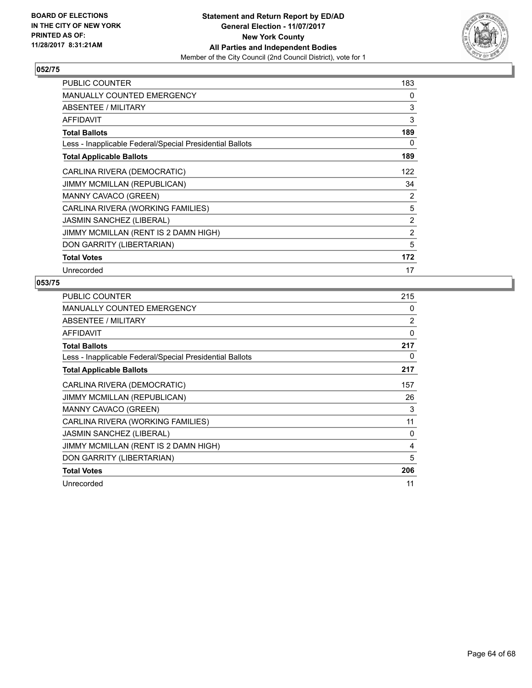

| PUBLIC COUNTER                                           | 183            |
|----------------------------------------------------------|----------------|
| <b>MANUALLY COUNTED EMERGENCY</b>                        | 0              |
| ABSENTEE / MILITARY                                      | 3              |
| <b>AFFIDAVIT</b>                                         | 3              |
| <b>Total Ballots</b>                                     | 189            |
| Less - Inapplicable Federal/Special Presidential Ballots | 0              |
| <b>Total Applicable Ballots</b>                          | 189            |
| CARLINA RIVERA (DEMOCRATIC)                              | 122            |
| JIMMY MCMILLAN (REPUBLICAN)                              | 34             |
| <b>MANNY CAVACO (GREEN)</b>                              | $\overline{2}$ |
| CARLINA RIVERA (WORKING FAMILIES)                        | 5              |
| <b>JASMIN SANCHEZ (LIBERAL)</b>                          | $\overline{2}$ |
| JIMMY MCMILLAN (RENT IS 2 DAMN HIGH)                     | $\overline{2}$ |
| DON GARRITY (LIBERTARIAN)                                | 5              |
| <b>Total Votes</b>                                       | 172            |
| Unrecorded                                               | 17             |

| <b>PUBLIC COUNTER</b>                                    | 215 |
|----------------------------------------------------------|-----|
| <b>MANUALLY COUNTED EMERGENCY</b>                        | 0   |
| ABSENTEE / MILITARY                                      | 2   |
| <b>AFFIDAVIT</b>                                         | 0   |
| <b>Total Ballots</b>                                     | 217 |
| Less - Inapplicable Federal/Special Presidential Ballots | 0   |
| <b>Total Applicable Ballots</b>                          | 217 |
| CARLINA RIVERA (DEMOCRATIC)                              | 157 |
| JIMMY MCMILLAN (REPUBLICAN)                              | 26  |
| MANNY CAVACO (GREEN)                                     | 3   |
| CARLINA RIVERA (WORKING FAMILIES)                        | 11  |
| <b>JASMIN SANCHEZ (LIBERAL)</b>                          | 0   |
| JIMMY MCMILLAN (RENT IS 2 DAMN HIGH)                     | 4   |
| DON GARRITY (LIBERTARIAN)                                | 5   |
| <b>Total Votes</b>                                       | 206 |
| Unrecorded                                               | 11  |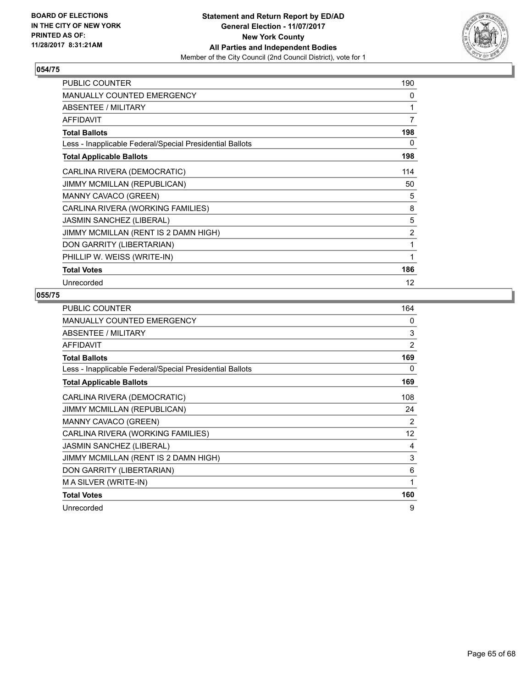

| <b>PUBLIC COUNTER</b>                                    | 190 |
|----------------------------------------------------------|-----|
| <b>MANUALLY COUNTED EMERGENCY</b>                        | 0   |
| <b>ABSENTEE / MILITARY</b>                               | 1   |
| <b>AFFIDAVIT</b>                                         | 7   |
| <b>Total Ballots</b>                                     | 198 |
| Less - Inapplicable Federal/Special Presidential Ballots | 0   |
| <b>Total Applicable Ballots</b>                          | 198 |
| CARLINA RIVERA (DEMOCRATIC)                              | 114 |
| JIMMY MCMILLAN (REPUBLICAN)                              | 50  |
| <b>MANNY CAVACO (GREEN)</b>                              | 5   |
| CARLINA RIVERA (WORKING FAMILIES)                        | 8   |
| JASMIN SANCHEZ (LIBERAL)                                 | 5   |
| JIMMY MCMILLAN (RENT IS 2 DAMN HIGH)                     | 2   |
| DON GARRITY (LIBERTARIAN)                                | 1   |
| PHILLIP W. WEISS (WRITE-IN)                              | 1   |
| <b>Total Votes</b>                                       | 186 |
| Unrecorded                                               | 12  |

| <b>PUBLIC COUNTER</b>                                    | 164            |
|----------------------------------------------------------|----------------|
| <b>MANUALLY COUNTED EMERGENCY</b>                        | 0              |
| <b>ABSENTEE / MILITARY</b>                               | 3              |
| <b>AFFIDAVIT</b>                                         | $\overline{2}$ |
| <b>Total Ballots</b>                                     | 169            |
| Less - Inapplicable Federal/Special Presidential Ballots | 0              |
| <b>Total Applicable Ballots</b>                          | 169            |
| CARLINA RIVERA (DEMOCRATIC)                              | 108            |
| <b>JIMMY MCMILLAN (REPUBLICAN)</b>                       | 24             |
| MANNY CAVACO (GREEN)                                     | $\overline{2}$ |
| CARLINA RIVERA (WORKING FAMILIES)                        | 12             |
| <b>JASMIN SANCHEZ (LIBERAL)</b>                          | 4              |
| JIMMY MCMILLAN (RENT IS 2 DAMN HIGH)                     | 3              |
| DON GARRITY (LIBERTARIAN)                                | 6              |
| M A SILVER (WRITE-IN)                                    | 1              |
| <b>Total Votes</b>                                       | 160            |
| Unrecorded                                               | 9              |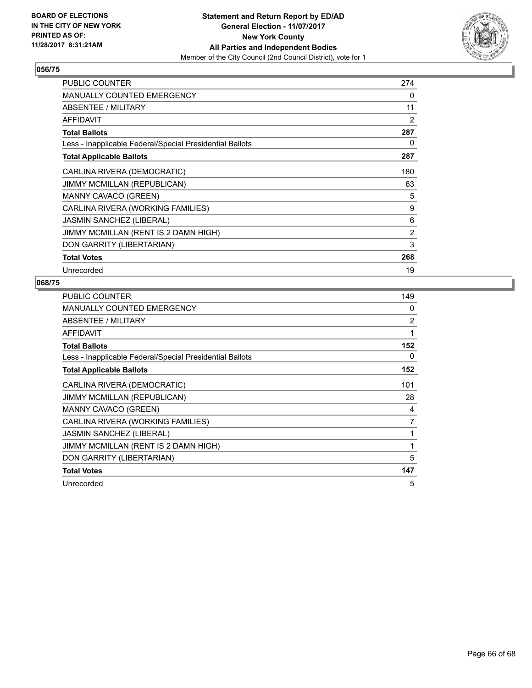

| PUBLIC COUNTER                                           | 274            |
|----------------------------------------------------------|----------------|
| <b>MANUALLY COUNTED EMERGENCY</b>                        | 0              |
| ABSENTEE / MILITARY                                      | 11             |
| <b>AFFIDAVIT</b>                                         | 2              |
| <b>Total Ballots</b>                                     | 287            |
| Less - Inapplicable Federal/Special Presidential Ballots | 0              |
| <b>Total Applicable Ballots</b>                          | 287            |
| CARLINA RIVERA (DEMOCRATIC)                              | 180            |
| JIMMY MCMILLAN (REPUBLICAN)                              | 63             |
| MANNY CAVACO (GREEN)                                     | 5              |
| CARLINA RIVERA (WORKING FAMILIES)                        | 9              |
| <b>JASMIN SANCHEZ (LIBERAL)</b>                          | 6              |
| JIMMY MCMILLAN (RENT IS 2 DAMN HIGH)                     | $\overline{2}$ |
| DON GARRITY (LIBERTARIAN)                                | 3              |
| <b>Total Votes</b>                                       | 268            |
| Unrecorded                                               | 19             |

| <b>PUBLIC COUNTER</b>                                    | 149 |
|----------------------------------------------------------|-----|
| <b>MANUALLY COUNTED EMERGENCY</b>                        | 0   |
| ABSENTEE / MILITARY                                      | 2   |
| <b>AFFIDAVIT</b>                                         | 1   |
| <b>Total Ballots</b>                                     | 152 |
| Less - Inapplicable Federal/Special Presidential Ballots | 0   |
| <b>Total Applicable Ballots</b>                          | 152 |
| CARLINA RIVERA (DEMOCRATIC)                              | 101 |
| JIMMY MCMILLAN (REPUBLICAN)                              | 28  |
| MANNY CAVACO (GREEN)                                     | 4   |
| CARLINA RIVERA (WORKING FAMILIES)                        | 7   |
| <b>JASMIN SANCHEZ (LIBERAL)</b>                          | 1   |
| JIMMY MCMILLAN (RENT IS 2 DAMN HIGH)                     | 1   |
| DON GARRITY (LIBERTARIAN)                                | 5   |
| <b>Total Votes</b>                                       | 147 |
| Unrecorded                                               | 5   |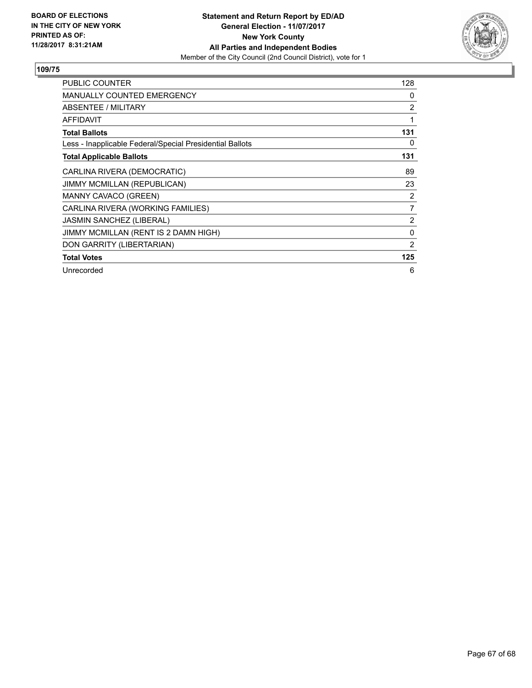

| <b>PUBLIC COUNTER</b>                                    | 128 |
|----------------------------------------------------------|-----|
| <b>MANUALLY COUNTED EMERGENCY</b>                        | 0   |
| <b>ABSENTEE / MILITARY</b>                               | 2   |
| <b>AFFIDAVIT</b>                                         | 1   |
| <b>Total Ballots</b>                                     | 131 |
| Less - Inapplicable Federal/Special Presidential Ballots | 0   |
| <b>Total Applicable Ballots</b>                          | 131 |
| CARLINA RIVERA (DEMOCRATIC)                              | 89  |
| JIMMY MCMILLAN (REPUBLICAN)                              | 23  |
| MANNY CAVACO (GREEN)                                     | 2   |
| CARLINA RIVERA (WORKING FAMILIES)                        | 7   |
| JASMIN SANCHEZ (LIBERAL)                                 | 2   |
| JIMMY MCMILLAN (RENT IS 2 DAMN HIGH)                     | 0   |
| DON GARRITY (LIBERTARIAN)                                | 2   |
| <b>Total Votes</b>                                       | 125 |
| Unrecorded                                               | 6   |